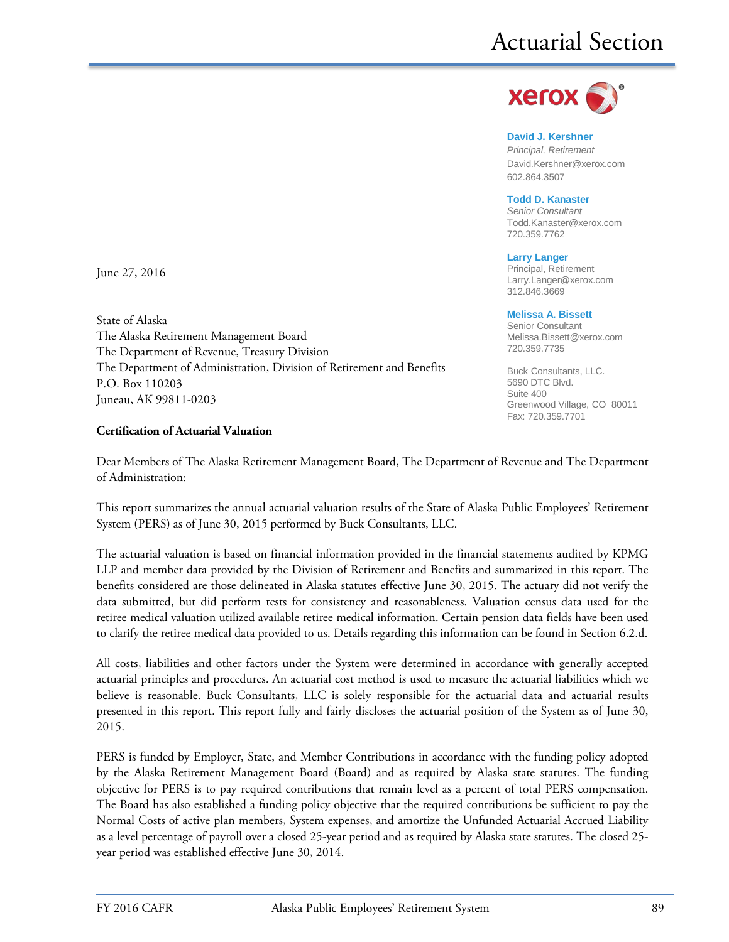

**David J. Kershner** *Principal, Retirement* David.Kershner@xerox.com 602.864.3507

**Todd D. Kanaster** *Senior Consultant* [Todd.Kanaster@xerox.com](mailto:Todd.Kanaster@xerox.com) 720.359.7762

**Larry Langer** Principal, Retirement Larry.Langer@xerox.com 312.846.3669

#### **Melissa A. Bissett**

Senior Consultant Melissa.Bissett@xerox.com 720.359.7735

Buck Consultants, LLC. 5690 DTC Blvd. Suite 400 Greenwood Village, CO 80011 Fax: 720.359.7701

June 27, 2016

State of Alaska The Alaska Retirement Management Board The Department of Revenue, Treasury Division The Department of Administration, Division of Retirement and Benefits P.O. Box 110203 Juneau, AK 99811-0203

#### **Certification of Actuarial Valuation**

Dear Members of The Alaska Retirement Management Board, The Department of Revenue and The Department of Administration:

This report summarizes the annual actuarial valuation results of the State of Alaska Public Employees' Retirement System (PERS) as of June 30, 2015 performed by Buck Consultants, LLC.

The actuarial valuation is based on financial information provided in the financial statements audited by KPMG LLP and member data provided by the Division of Retirement and Benefits and summarized in this report. The benefits considered are those delineated in Alaska statutes effective June 30, 2015. The actuary did not verify the data submitted, but did perform tests for consistency and reasonableness. Valuation census data used for the retiree medical valuation utilized available retiree medical information. Certain pension data fields have been used to clarify the retiree medical data provided to us. Details regarding this information can be found in Section 6.2.d.

All costs, liabilities and other factors under the System were determined in accordance with generally accepted actuarial principles and procedures. An actuarial cost method is used to measure the actuarial liabilities which we believe is reasonable. Buck Consultants, LLC is solely responsible for the actuarial data and actuarial results presented in this report. This report fully and fairly discloses the actuarial position of the System as of June 30, 2015.

PERS is funded by Employer, State, and Member Contributions in accordance with the funding policy adopted by the Alaska Retirement Management Board (Board) and as required by Alaska state statutes. The funding objective for PERS is to pay required contributions that remain level as a percent of total PERS compensation. The Board has also established a funding policy objective that the required contributions be sufficient to pay the Normal Costs of active plan members, System expenses, and amortize the Unfunded Actuarial Accrued Liability as a level percentage of payroll over a closed 25-year period and as required by Alaska state statutes. The closed 25 year period was established effective June 30, 2014.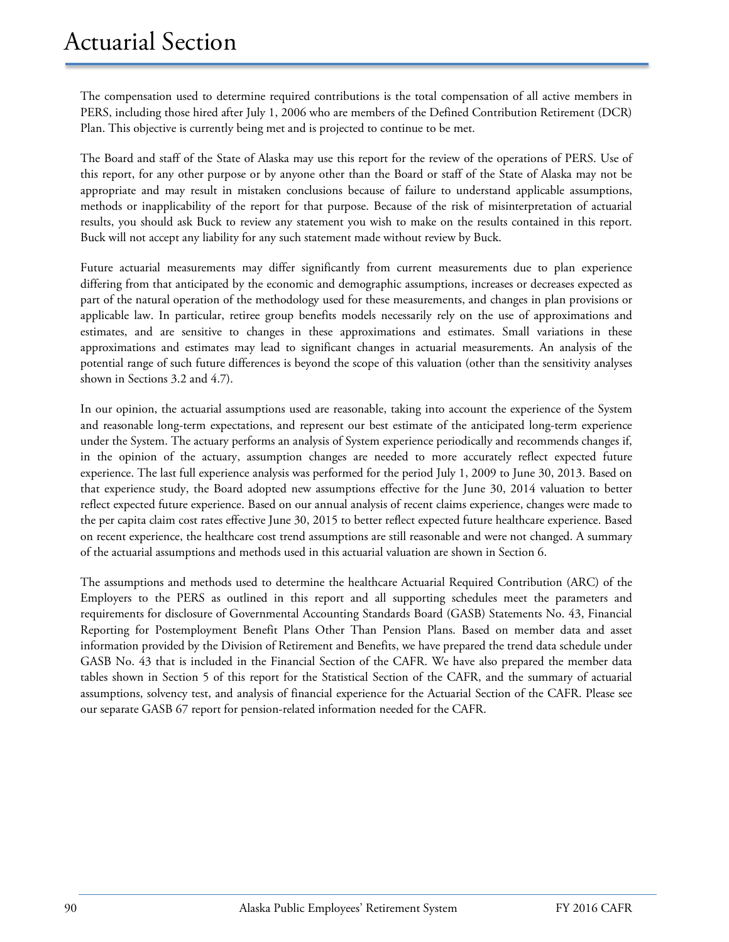The compensation used to determine required contributions is the total compensation of all active members in PERS, including those hired after July 1, 2006 who are members of the Defined Contribution Retirement (DCR) Plan. This objective is currently being met and is projected to continue to be met.

The Board and staff of the State of Alaska may use this report for the review of the operations of PERS. Use of this report, for any other purpose or by anyone other than the Board or staff of the State of Alaska may not be appropriate and may result in mistaken conclusions because of failure to understand applicable assumptions, methods or inapplicability of the report for that purpose. Because of the risk of misinterpretation of actuarial results, you should ask Buck to review any statement you wish to make on the results contained in this report. Buck will not accept any liability for any such statement made without review by Buck.

Future actuarial measurements may differ significantly from current measurements due to plan experience differing from that anticipated by the economic and demographic assumptions, increases or decreases expected as part of the natural operation of the methodology used for these measurements, and changes in plan provisions or applicable law. In particular, retiree group benefits models necessarily rely on the use of approximations and estimates, and are sensitive to changes in these approximations and estimates. Small variations in these approximations and estimates may lead to significant changes in actuarial measurements. An analysis of the potential range of such future differences is beyond the scope of this valuation (other than the sensitivity analyses shown in Sections 3.2 and 4.7).

In our opinion, the actuarial assumptions used are reasonable, taking into account the experience of the System and reasonable long-term expectations, and represent our best estimate of the anticipated long-term experience under the System. The actuary performs an analysis of System experience periodically and recommends changes if, in the opinion of the actuary, assumption changes are needed to more accurately reflect expected future experience. The last full experience analysis was performed for the period July 1, 2009 to June 30, 2013. Based on that experience study, the Board adopted new assumptions effective for the June 30, 2014 valuation to better reflect expected future experience. Based on our annual analysis of recent claims experience, changes were made to the per capita claim cost rates effective June 30, 2015 to better reflect expected future healthcare experience. Based on recent experience, the healthcare cost trend assumptions are still reasonable and were not changed. A summary of the actuarial assumptions and methods used in this actuarial valuation are shown in Section 6.

The assumptions and methods used to determine the healthcare Actuarial Required Contribution (ARC) of the Employers to the PERS as outlined in this report and all supporting schedules meet the parameters and requirements for disclosure of Governmental Accounting Standards Board (GASB) Statements No. 43, Financial Reporting for Postemployment Benefit Plans Other Than Pension Plans. Based on member data and asset information provided by the Division of Retirement and Benefits, we have prepared the trend data schedule under GASB No. 43 that is included in the Financial Section of the CAFR. We have also prepared the member data tables shown in Section 5 of this report for the Statistical Section of the CAFR, and the summary of actuarial assumptions, solvency test, and analysis of financial experience for the Actuarial Section of the CAFR. Please see our separate GASB 67 report for pension-related information needed for the CAFR.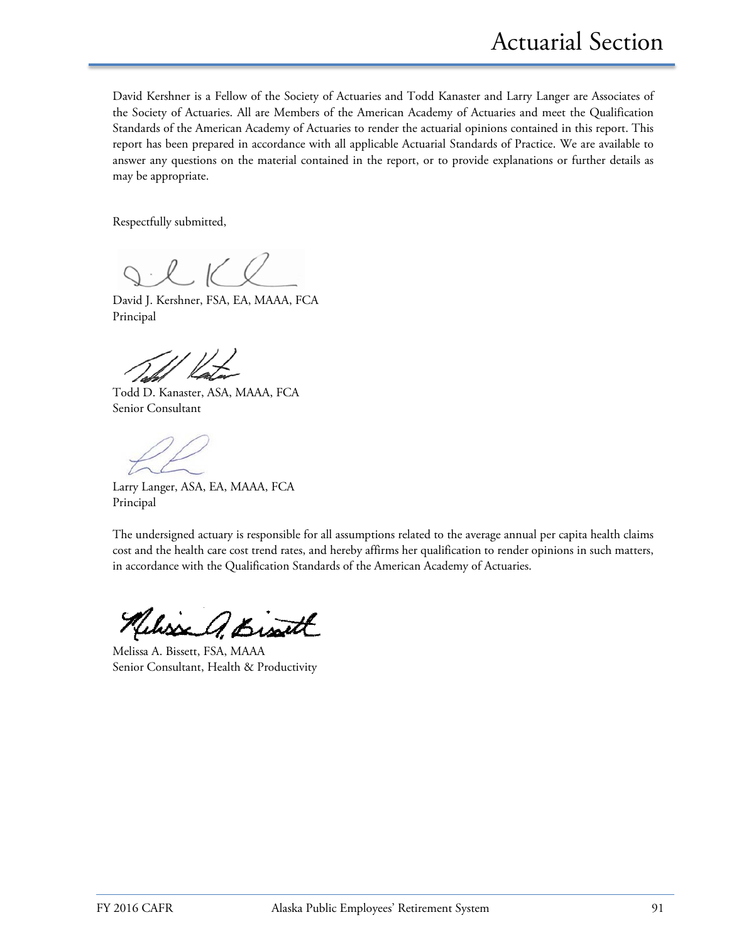David Kershner is a Fellow of the Society of Actuaries and Todd Kanaster and Larry Langer are Associates of the Society of Actuaries. All are Members of the American Academy of Actuaries and meet the Qualification Standards of the American Academy of Actuaries to render the actuarial opinions contained in this report. This report has been prepared in accordance with all applicable Actuarial Standards of Practice. We are available to answer any questions on the material contained in the report, or to provide explanations or further details as may be appropriate.

Respectfully submitted,

David J. Kershner, FSA, EA, MAAA, FCA Principal

Todd D. Kanaster, ASA, MAAA, FCA Senior Consultant

Larry Langer, ASA, EA, MAAA, FCA Principal

The undersigned actuary is responsible for all assumptions related to the average annual per capita health claims cost and the health care cost trend rates, and hereby affirms her qualification to render opinions in such matters, in accordance with the Qualification Standards of the American Academy of Actuaries.

Melisse A. Bisatt

Melissa A. Bissett, FSA, MAAA Senior Consultant, Health & Productivity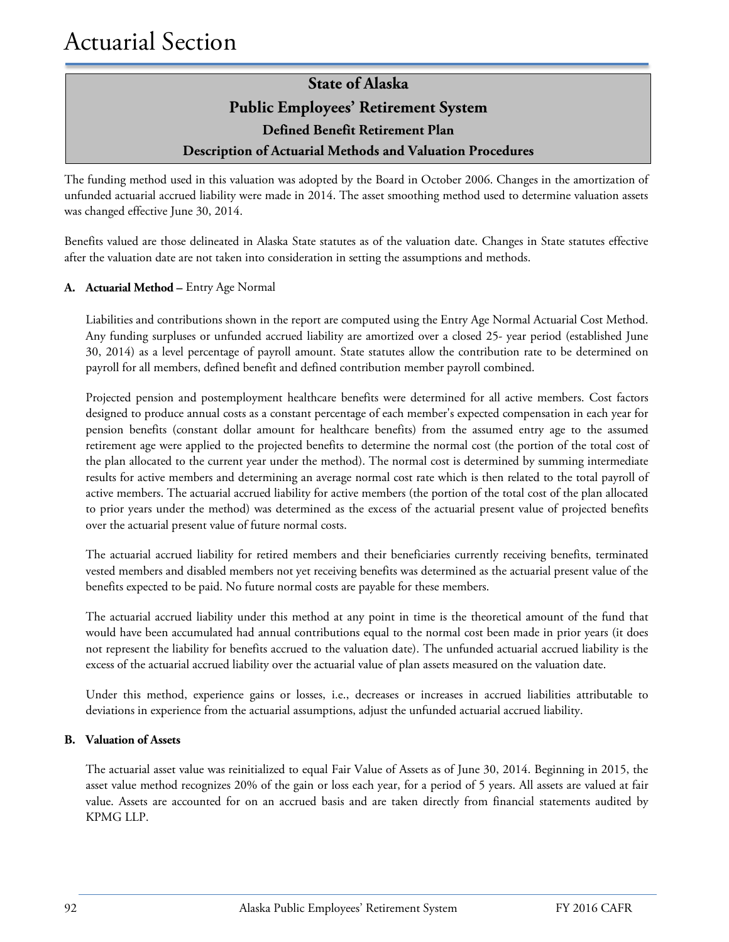The funding method used in this valuation was adopted by the Board in October 2006. Changes in the amortization of unfunded actuarial accrued liability were made in 2014. The asset smoothing method used to determine valuation assets was changed effective June 30, 2014.

Benefits valued are those delineated in Alaska State statutes as of the valuation date. Changes in State statutes effective after the valuation date are not taken into consideration in setting the assumptions and methods.

### **A. Actuarial Method –** Entry Age Normal

Liabilities and contributions shown in the report are computed using the Entry Age Normal Actuarial Cost Method. Any funding surpluses or unfunded accrued liability are amortized over a closed 25- year period (established June 30, 2014) as a level percentage of payroll amount. State statutes allow the contribution rate to be determined on payroll for all members, defined benefit and defined contribution member payroll combined.

Projected pension and postemployment healthcare benefits were determined for all active members. Cost factors designed to produce annual costs as a constant percentage of each member's expected compensation in each year for pension benefits (constant dollar amount for healthcare benefits) from the assumed entry age to the assumed retirement age were applied to the projected benefits to determine the normal cost (the portion of the total cost of the plan allocated to the current year under the method). The normal cost is determined by summing intermediate results for active members and determining an average normal cost rate which is then related to the total payroll of active members. The actuarial accrued liability for active members (the portion of the total cost of the plan allocated to prior years under the method) was determined as the excess of the actuarial present value of projected benefits over the actuarial present value of future normal costs.

The actuarial accrued liability for retired members and their beneficiaries currently receiving benefits, terminated vested members and disabled members not yet receiving benefits was determined as the actuarial present value of the benefits expected to be paid. No future normal costs are payable for these members.

The actuarial accrued liability under this method at any point in time is the theoretical amount of the fund that would have been accumulated had annual contributions equal to the normal cost been made in prior years (it does not represent the liability for benefits accrued to the valuation date). The unfunded actuarial accrued liability is the excess of the actuarial accrued liability over the actuarial value of plan assets measured on the valuation date.

Under this method, experience gains or losses, i.e., decreases or increases in accrued liabilities attributable to deviations in experience from the actuarial assumptions, adjust the unfunded actuarial accrued liability.

#### **B. Valuation of Assets**

The actuarial asset value was reinitialized to equal Fair Value of Assets as of June 30, 2014. Beginning in 2015, the asset value method recognizes 20% of the gain or loss each year, for a period of 5 years. All assets are valued at fair value. Assets are accounted for on an accrued basis and are taken directly from financial statements audited by KPMG LLP.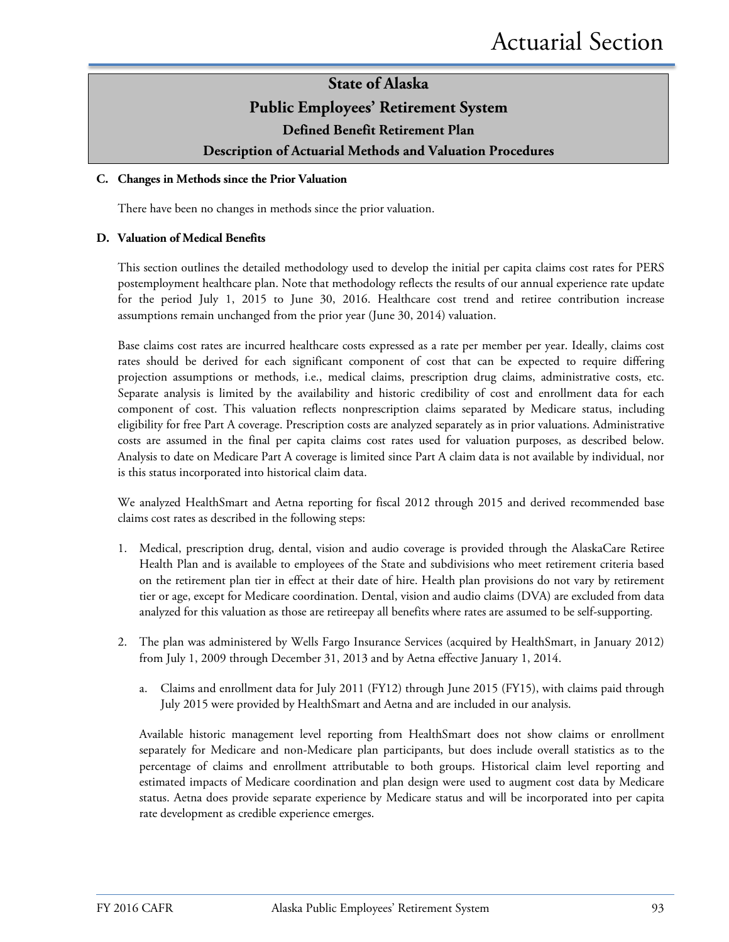### **State of Alaska Public Employees' Retirement System Defined Benefit Retirement Plan**

# **Description of Actuarial Methods and Valuation Procedures**

### **C. Changes in Methods since the Prior Valuation**

There have been no changes in methods since the prior valuation.

### **D. Valuation of Medical Benefits**

This section outlines the detailed methodology used to develop the initial per capita claims cost rates for PERS postemployment healthcare plan. Note that methodology reflects the results of our annual experience rate update for the period July 1, 2015 to June 30, 2016. Healthcare cost trend and retiree contribution increase assumptions remain unchanged from the prior year (June 30, 2014) valuation.

Base claims cost rates are incurred healthcare costs expressed as a rate per member per year. Ideally, claims cost rates should be derived for each significant component of cost that can be expected to require differing projection assumptions or methods, i.e., medical claims, prescription drug claims, administrative costs, etc. Separate analysis is limited by the availability and historic credibility of cost and enrollment data for each component of cost. This valuation reflects nonprescription claims separated by Medicare status, including eligibility for free Part A coverage. Prescription costs are analyzed separately as in prior valuations. Administrative costs are assumed in the final per capita claims cost rates used for valuation purposes, as described below. Analysis to date on Medicare Part A coverage is limited since Part A claim data is not available by individual, nor is this status incorporated into historical claim data.

We analyzed HealthSmart and Aetna reporting for fiscal 2012 through 2015 and derived recommended base claims cost rates as described in the following steps:

- 1. Medical, prescription drug, dental, vision and audio coverage is provided through the AlaskaCare Retiree Health Plan and is available to employees of the State and subdivisions who meet retirement criteria based on the retirement plan tier in effect at their date of hire. Health plan provisions do not vary by retirement tier or age, except for Medicare coordination. Dental, vision and audio claims (DVA) are excluded from data analyzed for this valuation as those are retireepay all benefits where rates are assumed to be self-supporting.
- 2. The plan was administered by Wells Fargo Insurance Services (acquired by HealthSmart, in January 2012) from July 1, 2009 through December 31, 2013 and by Aetna effective January 1, 2014.
	- a. Claims and enrollment data for July 2011 (FY12) through June 2015 (FY15), with claims paid through July 2015 were provided by HealthSmart and Aetna and are included in our analysis.

Available historic management level reporting from HealthSmart does not show claims or enrollment separately for Medicare and non-Medicare plan participants, but does include overall statistics as to the percentage of claims and enrollment attributable to both groups. Historical claim level reporting and estimated impacts of Medicare coordination and plan design were used to augment cost data by Medicare status. Aetna does provide separate experience by Medicare status and will be incorporated into per capita rate development as credible experience emerges.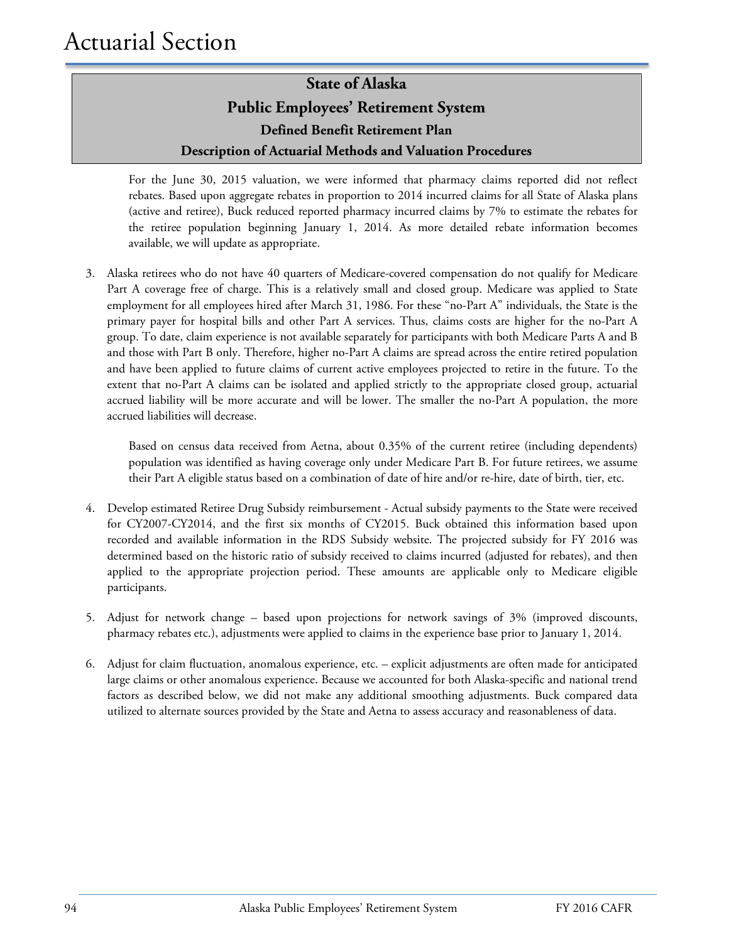For the June 30, 2015 valuation, we were informed that pharmacy claims reported did not reflect rebates. Based upon aggregate rebates in proportion to 2014 incurred claims for all State of Alaska plans (active and retiree), Buck reduced reported pharmacy incurred claims by 7% to estimate the rebates for the retiree population beginning January 1, 2014. As more detailed rebate information becomes available, we will update as appropriate.

3. Alaska retirees who do not have 40 quarters of Medicare-covered compensation do not qualify for Medicare Part A coverage free of charge. This is a relatively small and closed group. Medicare was applied to State employment for all employees hired after March 31, 1986. For these "no-Part A" individuals, the State is the primary payer for hospital bills and other Part A services. Thus, claims costs are higher for the no-Part A group. To date, claim experience is not available separately for participants with both Medicare Parts A and B and those with Part B only. Therefore, higher no-Part A claims are spread across the entire retired population and have been applied to future claims of current active employees projected to retire in the future. To the extent that no-Part A claims can be isolated and applied strictly to the appropriate closed group, actuarial accrued liability will be more accurate and will be lower. The smaller the no-Part A population, the more accrued liabilities will decrease.

Based on census data received from Aetna, about 0.35% of the current retiree (including dependents) population was identified as having coverage only under Medicare Part B. For future retirees, we assume their Part A eligible status based on a combination of date of hire and/or re-hire, date of birth, tier, etc.

- 4. Develop estimated Retiree Drug Subsidy reimbursement Actual subsidy payments to the State were received for CY2007-CY2014, and the first six months of CY2015. Buck obtained this information based upon recorded and available information in the RDS Subsidy website. The projected subsidy for FY 2016 was determined based on the historic ratio of subsidy received to claims incurred (adjusted for rebates), and then applied to the appropriate projection period. These amounts are applicable only to Medicare eligible participants.
- 5. Adjust for network change based upon projections for network savings of 3% (improved discounts, pharmacy rebates etc.), adjustments were applied to claims in the experience base prior to January 1, 2014.
- 6. Adjust for claim fluctuation, anomalous experience, etc. explicit adjustments are often made for anticipated large claims or other anomalous experience. Because we accounted for both Alaska-specific and national trend factors as described below, we did not make any additional smoothing adjustments. Buck compared data utilized to alternate sources provided by the State and Aetna to assess accuracy and reasonableness of data.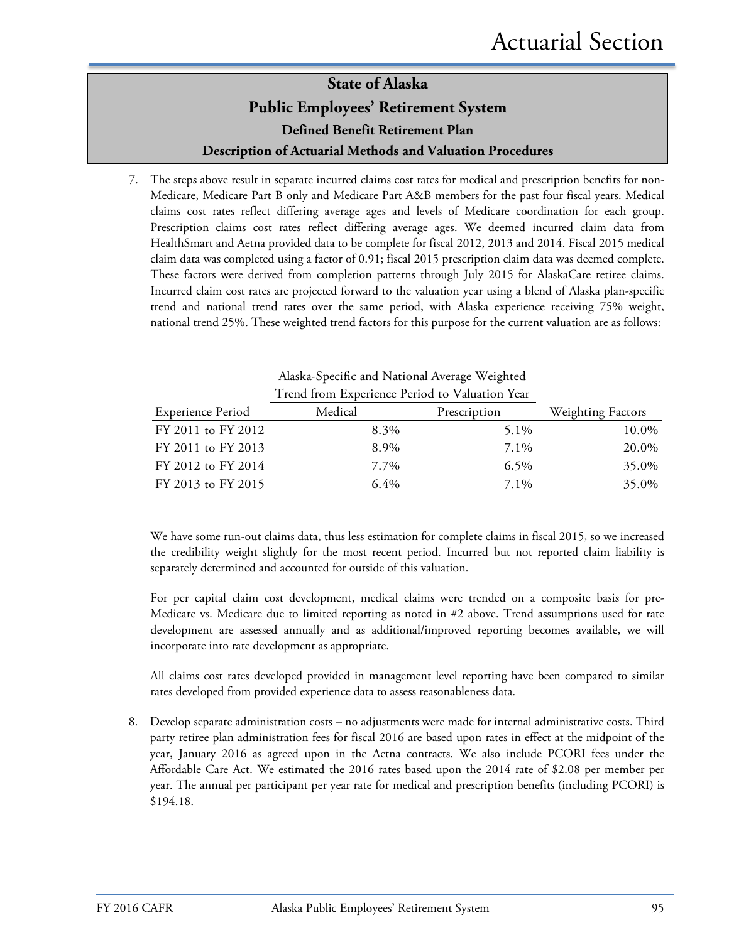7. The steps above result in separate incurred claims cost rates for medical and prescription benefits for non-Medicare, Medicare Part B only and Medicare Part A&B members for the past four fiscal years. Medical claims cost rates reflect differing average ages and levels of Medicare coordination for each group. Prescription claims cost rates reflect differing average ages. We deemed incurred claim data from HealthSmart and Aetna provided data to be complete for fiscal 2012, 2013 and 2014. Fiscal 2015 medical claim data was completed using a factor of 0.91; fiscal 2015 prescription claim data was deemed complete. These factors were derived from completion patterns through July 2015 for AlaskaCare retiree claims. Incurred claim cost rates are projected forward to the valuation year using a blend of Alaska plan-specific trend and national trend rates over the same period, with Alaska experience receiving 75% weight, national trend 25%. These weighted trend factors for this purpose for the current valuation are as follows:

|                          | Trend from Experience Period to Valuation Year |              |                          |
|--------------------------|------------------------------------------------|--------------|--------------------------|
| <b>Experience Period</b> | Medical                                        | Prescription | <b>Weighting Factors</b> |
| FY 2011 to FY 2012       | 8.3%                                           | 5.1%         | 10.0%                    |
| FY 2011 to FY 2013       | 8.9%                                           | 7.1%         | 20.0%                    |
| FY 2012 to FY 2014       | 7.7%                                           | $6.5\%$      | 35.0%                    |
| FY 2013 to FY 2015       | $6.4\%$                                        | 7.1%         | 35.0%                    |

Alaska-Specific and National Average Weighted

We have some run-out claims data, thus less estimation for complete claims in fiscal 2015, so we increased the credibility weight slightly for the most recent period. Incurred but not reported claim liability is separately determined and accounted for outside of this valuation.

For per capital claim cost development, medical claims were trended on a composite basis for pre-Medicare vs. Medicare due to limited reporting as noted in #2 above. Trend assumptions used for rate development are assessed annually and as additional/improved reporting becomes available, we will incorporate into rate development as appropriate.

All claims cost rates developed provided in management level reporting have been compared to similar rates developed from provided experience data to assess reasonableness data.

8. Develop separate administration costs – no adjustments were made for internal administrative costs. Third party retiree plan administration fees for fiscal 2016 are based upon rates in effect at the midpoint of the year, January 2016 as agreed upon in the Aetna contracts. We also include PCORI fees under the Affordable Care Act. We estimated the 2016 rates based upon the 2014 rate of \$2.08 per member per year. The annual per participant per year rate for medical and prescription benefits (including PCORI) is \$194.18.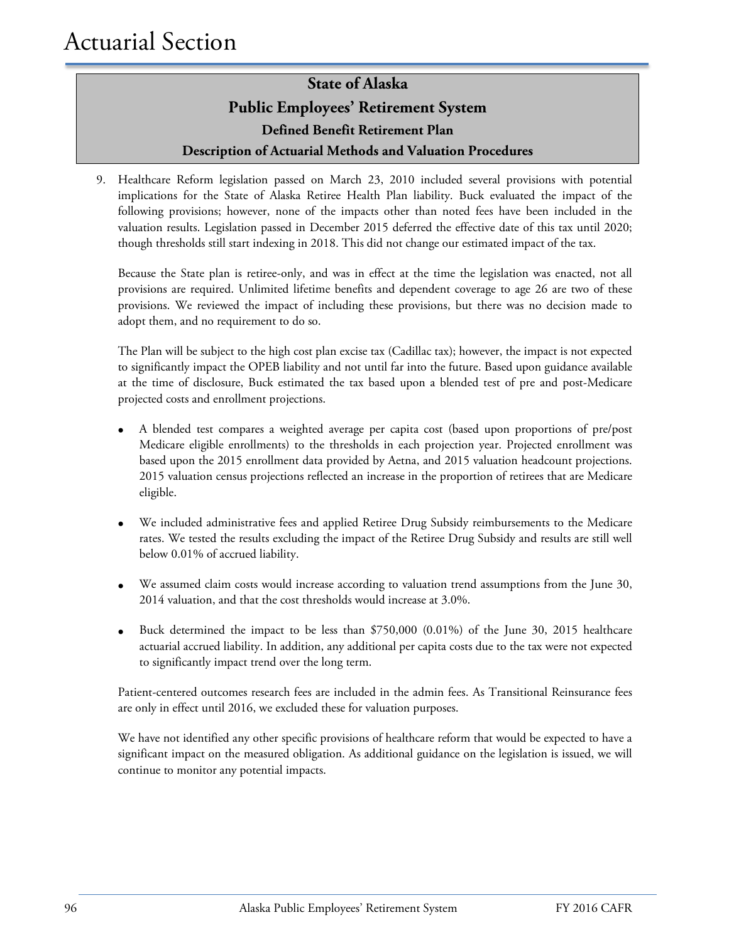9. Healthcare Reform legislation passed on March 23, 2010 included several provisions with potential implications for the State of Alaska Retiree Health Plan liability. Buck evaluated the impact of the following provisions; however, none of the impacts other than noted fees have been included in the valuation results. Legislation passed in December 2015 deferred the effective date of this tax until 2020; though thresholds still start indexing in 2018. This did not change our estimated impact of the tax.

Because the State plan is retiree-only, and was in effect at the time the legislation was enacted, not all provisions are required. Unlimited lifetime benefits and dependent coverage to age 26 are two of these provisions. We reviewed the impact of including these provisions, but there was no decision made to adopt them, and no requirement to do so.

The Plan will be subject to the high cost plan excise tax (Cadillac tax); however, the impact is not expected to significantly impact the OPEB liability and not until far into the future. Based upon guidance available at the time of disclosure, Buck estimated the tax based upon a blended test of pre and post-Medicare projected costs and enrollment projections.

- A blended test compares a weighted average per capita cost (based upon proportions of pre/post Medicare eligible enrollments) to the thresholds in each projection year. Projected enrollment was based upon the 2015 enrollment data provided by Aetna, and 2015 valuation headcount projections. 2015 valuation census projections reflected an increase in the proportion of retirees that are Medicare eligible.
- We included administrative fees and applied Retiree Drug Subsidy reimbursements to the Medicare rates. We tested the results excluding the impact of the Retiree Drug Subsidy and results are still well below 0.01% of accrued liability.
- We assumed claim costs would increase according to valuation trend assumptions from the June 30, 2014 valuation, and that the cost thresholds would increase at 3.0%.
- Buck determined the impact to be less than \$750,000 (0.01%) of the June 30, 2015 healthcare actuarial accrued liability. In addition, any additional per capita costs due to the tax were not expected to significantly impact trend over the long term.

Patient-centered outcomes research fees are included in the admin fees. As Transitional Reinsurance fees are only in effect until 2016, we excluded these for valuation purposes.

We have not identified any other specific provisions of healthcare reform that would be expected to have a significant impact on the measured obligation. As additional guidance on the legislation is issued, we will continue to monitor any potential impacts.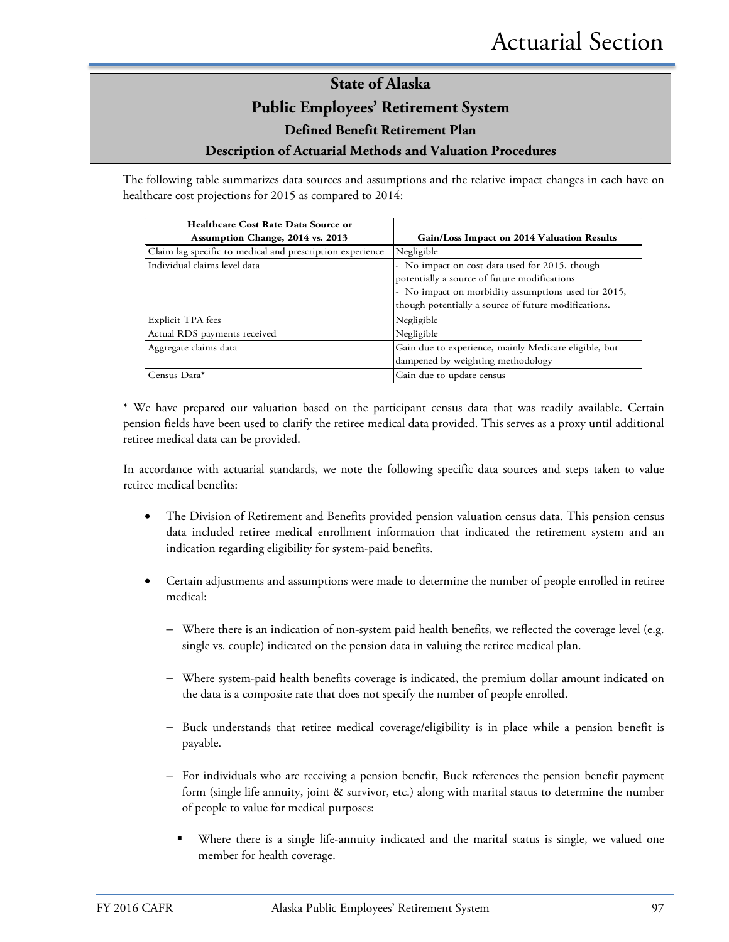The following table summarizes data sources and assumptions and the relative impact changes in each have on healthcare cost projections for 2015 as compared to 2014:

| Healthcare Cost Rate Data Source or                       |                                                       |
|-----------------------------------------------------------|-------------------------------------------------------|
| Assumption Change, 2014 vs. 2013                          | Gain/Loss Impact on 2014 Valuation Results            |
| Claim lag specific to medical and prescription experience | Negligible                                            |
| Individual claims level data                              | - No impact on cost data used for 2015, though        |
|                                                           | potentially a source of future modifications          |
|                                                           | - No impact on morbidity assumptions used for 2015,   |
|                                                           | though potentially a source of future modifications.  |
| Explicit TPA fees                                         | Negligible                                            |
| Actual RDS payments received                              | Negligible                                            |
| Aggregate claims data                                     | Gain due to experience, mainly Medicare eligible, but |
|                                                           | dampened by weighting methodology                     |
| Census Data*                                              | Gain due to update census                             |

\* We have prepared our valuation based on the participant census data that was readily available. Certain pension fields have been used to clarify the retiree medical data provided. This serves as a proxy until additional retiree medical data can be provided.

In accordance with actuarial standards, we note the following specific data sources and steps taken to value retiree medical benefits:

- The Division of Retirement and Benefits provided pension valuation census data. This pension census data included retiree medical enrollment information that indicated the retirement system and an indication regarding eligibility for system-paid benefits.
- Certain adjustments and assumptions were made to determine the number of people enrolled in retiree medical:
	- − Where there is an indication of non-system paid health benefits, we reflected the coverage level (e.g. single vs. couple) indicated on the pension data in valuing the retiree medical plan.
	- − Where system-paid health benefits coverage is indicated, the premium dollar amount indicated on the data is a composite rate that does not specify the number of people enrolled.
	- Buck understands that retiree medical coverage/eligibility is in place while a pension benefit is payable.
	- − For individuals who are receiving a pension benefit, Buck references the pension benefit payment form (single life annuity, joint & survivor, etc.) along with marital status to determine the number of people to value for medical purposes:
		- Where there is a single life-annuity indicated and the marital status is single, we valued one member for health coverage.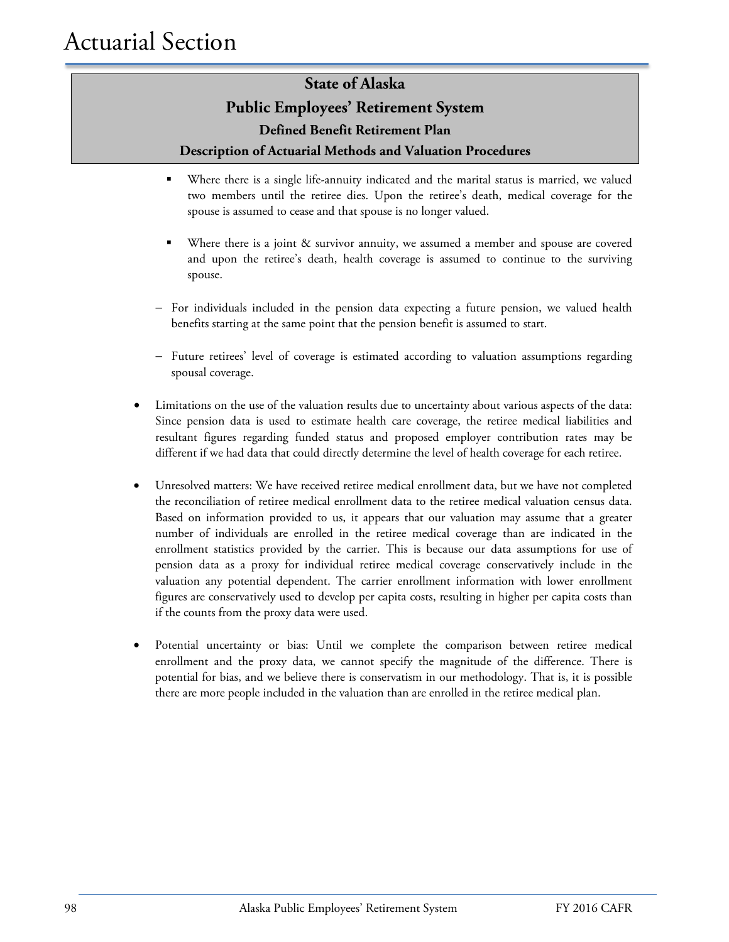- Where there is a single life-annuity indicated and the marital status is married, we valued two members until the retiree dies. Upon the retiree's death, medical coverage for the spouse is assumed to cease and that spouse is no longer valued.
- Where there is a joint & survivor annuity, we assumed a member and spouse are covered and upon the retiree's death, health coverage is assumed to continue to the surviving spouse.
- − For individuals included in the pension data expecting a future pension, we valued health benefits starting at the same point that the pension benefit is assumed to start.
- − Future retirees' level of coverage is estimated according to valuation assumptions regarding spousal coverage.
- Limitations on the use of the valuation results due to uncertainty about various aspects of the data: Since pension data is used to estimate health care coverage, the retiree medical liabilities and resultant figures regarding funded status and proposed employer contribution rates may be different if we had data that could directly determine the level of health coverage for each retiree.
- Unresolved matters: We have received retiree medical enrollment data, but we have not completed the reconciliation of retiree medical enrollment data to the retiree medical valuation census data. Based on information provided to us, it appears that our valuation may assume that a greater number of individuals are enrolled in the retiree medical coverage than are indicated in the enrollment statistics provided by the carrier. This is because our data assumptions for use of pension data as a proxy for individual retiree medical coverage conservatively include in the valuation any potential dependent. The carrier enrollment information with lower enrollment figures are conservatively used to develop per capita costs, resulting in higher per capita costs than if the counts from the proxy data were used.
- Potential uncertainty or bias: Until we complete the comparison between retiree medical enrollment and the proxy data, we cannot specify the magnitude of the difference. There is potential for bias, and we believe there is conservatism in our methodology. That is, it is possible there are more people included in the valuation than are enrolled in the retiree medical plan.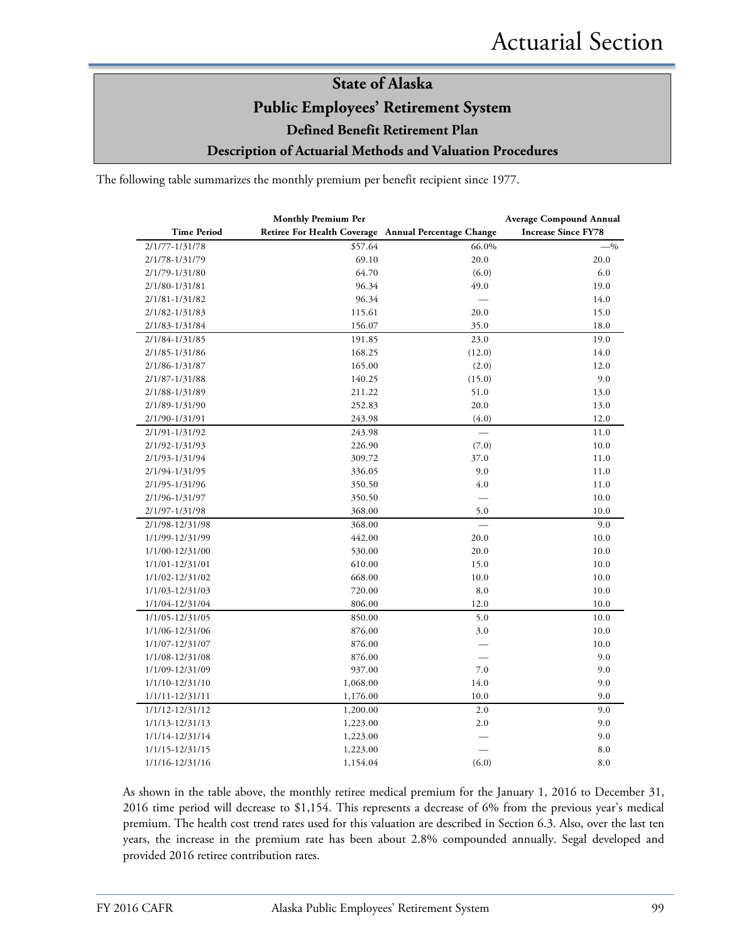The following table summarizes the monthly premium per benefit recipient since 1977.

|                    | <b>Monthly Premium Per</b>                           |          | <b>Average Compound Annual</b> |
|--------------------|------------------------------------------------------|----------|--------------------------------|
| <b>Time Period</b> | Retiree For Health Coverage Annual Percentage Change |          | <b>Increase Since FY78</b>     |
| 2/1/77-1/31/78     | \$57.64                                              | 66.0%    | $-9/0$                         |
| 2/1/78-1/31/79     | 69.10                                                | 20.0     | 20.0                           |
| 2/1/79-1/31/80     | 64.70                                                | (6.0)    | 6.0                            |
| 2/1/80-1/31/81     | 96.34                                                | 49.0     | 19.0                           |
| 2/1/81-1/31/82     | 96.34                                                |          | 14.0                           |
| 2/1/82-1/31/83     | 115.61                                               | 20.0     | 15.0                           |
| 2/1/83-1/31/84     | 156.07                                               | 35.0     | 18.0                           |
| 2/1/84-1/31/85     | 191.85                                               | 23.0     | 19.0                           |
| 2/1/85-1/31/86     | 168.25                                               | (12.0)   | 14.0                           |
| 2/1/86-1/31/87     | 165.00                                               | (2.0)    | 12.0                           |
| 2/1/87-1/31/88     | 140.25                                               | (15.0)   | 9.0                            |
| 2/1/88-1/31/89     | 211.22                                               | 51.0     | 13.0                           |
| 2/1/89-1/31/90     | 252.83                                               | 20.0     | 13.0                           |
| 2/1/90-1/31/91     | 243.98                                               | (4.0)    | 12.0                           |
| 2/1/91-1/31/92     | 243.98                                               |          | 11.0                           |
| 2/1/92-1/31/93     | 226.90                                               | (7.0)    | 10.0                           |
| 2/1/93-1/31/94     | 309.72                                               | 37.0     | 11.0                           |
| 2/1/94-1/31/95     | 336.05                                               | 9.0      | 11.0                           |
| 2/1/95-1/31/96     | 350.50                                               | 4.0      | 11.0                           |
| 2/1/96-1/31/97     | 350.50                                               |          | 10.0                           |
| 2/1/97-1/31/98     | 368.00                                               | 5.0      | 10.0                           |
| 2/1/98-12/31/98    | 368.00                                               |          | 9.0                            |
| 1/1/99-12/31/99    | 442.00                                               | 20.0     | 10.0                           |
| 1/1/00-12/31/00    | 530.00                                               | 20.0     | 10.0                           |
| 1/1/01-12/31/01    | 610.00                                               | 15.0     | 10.0                           |
| 1/1/02-12/31/02    | 668.00                                               | $10.0\,$ | 10.0                           |
| 1/1/03-12/31/03    | 720.00                                               | 8.0      | 10.0                           |
| 1/1/04-12/31/04    | 806.00                                               | 12.0     | 10.0                           |
| 1/1/05-12/31/05    | 850.00                                               | 5.0      | 10.0                           |
| 1/1/06-12/31/06    | 876.00                                               | 3.0      | 10.0                           |
| 1/1/07-12/31/07    | 876.00                                               |          | 10.0                           |
| 1/1/08-12/31/08    | 876.00                                               |          | 9.0                            |
| 1/1/09-12/31/09    | 937.00                                               | 7.0      | 9.0                            |
| 1/1/10-12/31/10    | 1,068.00                                             | 14.0     | 9.0                            |
| 1/1/11-12/31/11    | 1,176.00                                             | 10.0     | 9.0                            |
| 1/1/12-12/31/12    | 1,200.00                                             | 2.0      | 9.0                            |
| 1/1/13-12/31/13    | 1,223.00                                             | 2.0      | 9.0                            |
| 1/1/14-12/31/14    | 1,223.00                                             |          | 9.0                            |
| 1/1/15-12/31/15    | 1,223.00                                             |          | 8.0                            |
| 1/1/16-12/31/16    | 1,154.04                                             | (6.0)    | 8.0                            |

As shown in the table above, the monthly retiree medical premium for the January 1, 2016 to December 31, 2016 time period will decrease to \$1,154. This represents a decrease of 6% from the previous year's medical premium. The health cost trend rates used for this valuation are described in Section 6.3. Also, over the last ten years, the increase in the premium rate has been about 2.8% compounded annually. Segal developed and provided 2016 retiree contribution rates.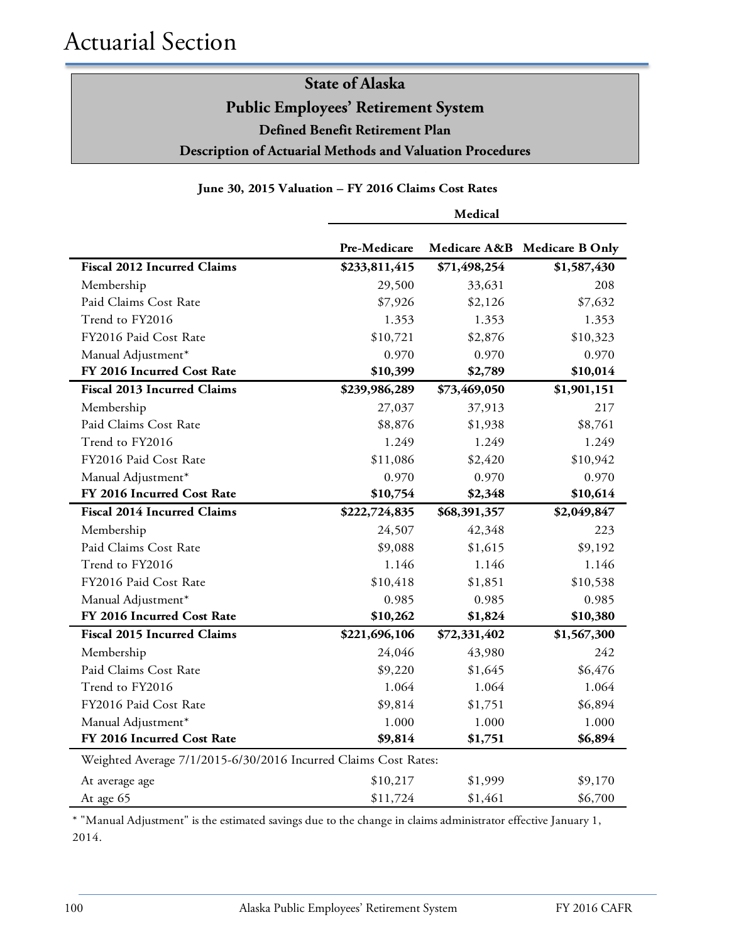### **June 30, 2015 Valuation – FY 2016 Claims Cost Rates**

|                                                                 | Medical       |              |                              |
|-----------------------------------------------------------------|---------------|--------------|------------------------------|
|                                                                 | Pre-Medicare  |              | Medicare A&B Medicare B Only |
| <b>Fiscal 2012 Incurred Claims</b>                              | \$233,811,415 | \$71,498,254 | \$1,587,430                  |
| Membership                                                      | 29,500        | 33,631       | 208                          |
| Paid Claims Cost Rate                                           | \$7,926       | \$2,126      | \$7,632                      |
| Trend to FY2016                                                 | 1.353         | 1.353        | 1.353                        |
| FY2016 Paid Cost Rate                                           | \$10,721      | \$2,876      | \$10,323                     |
| Manual Adjustment*                                              | 0.970         | 0.970        | 0.970                        |
| FY 2016 Incurred Cost Rate                                      | \$10,399      | \$2,789      | \$10,014                     |
| <b>Fiscal 2013 Incurred Claims</b>                              | \$239,986,289 | \$73,469,050 | \$1,901,151                  |
| Membership                                                      | 27,037        | 37,913       | 217                          |
| Paid Claims Cost Rate                                           | \$8,876       | \$1,938      | \$8,761                      |
| Trend to FY2016                                                 | 1.249         | 1.249        | 1.249                        |
| FY2016 Paid Cost Rate                                           | \$11,086      | \$2,420      | \$10,942                     |
| Manual Adjustment*                                              | 0.970         | 0.970        | 0.970                        |
| FY 2016 Incurred Cost Rate                                      | \$10,754      | \$2,348      | \$10,614                     |
| <b>Fiscal 2014 Incurred Claims</b>                              | \$222,724,835 | \$68,391,357 | \$2,049,847                  |
| Membership                                                      | 24,507        | 42,348       | 223                          |
| Paid Claims Cost Rate                                           | \$9,088       | \$1,615      | \$9,192                      |
| Trend to FY2016                                                 | 1.146         | 1.146        | 1.146                        |
| FY2016 Paid Cost Rate                                           | \$10,418      | \$1,851      | \$10,538                     |
| Manual Adjustment*                                              | 0.985         | 0.985        | 0.985                        |
| FY 2016 Incurred Cost Rate                                      | \$10,262      | \$1,824      | \$10,380                     |
| <b>Fiscal 2015 Incurred Claims</b>                              | \$221,696,106 | \$72,331,402 | \$1,567,300                  |
| Membership                                                      | 24,046        | 43,980       | 242                          |
| Paid Claims Cost Rate                                           | \$9,220       | \$1,645      | \$6,476                      |
| Trend to FY2016                                                 | 1.064         | 1.064        | 1.064                        |
| FY2016 Paid Cost Rate                                           | \$9,814       | \$1,751      | \$6,894                      |
| Manual Adjustment*                                              | 1.000         | 1.000        | 1.000                        |
| FY 2016 Incurred Cost Rate                                      | \$9,814       | \$1,751      | \$6,894                      |
| Weighted Average 7/1/2015-6/30/2016 Incurred Claims Cost Rates: |               |              |                              |
| At average age                                                  | \$10,217      | \$1,999      | \$9,170                      |
| At age 65                                                       | \$11,724      | \$1,461      | \$6,700                      |

\* "Manual Adjustment" is the estimated savings due to the change in claims administrator effective January 1, 2014.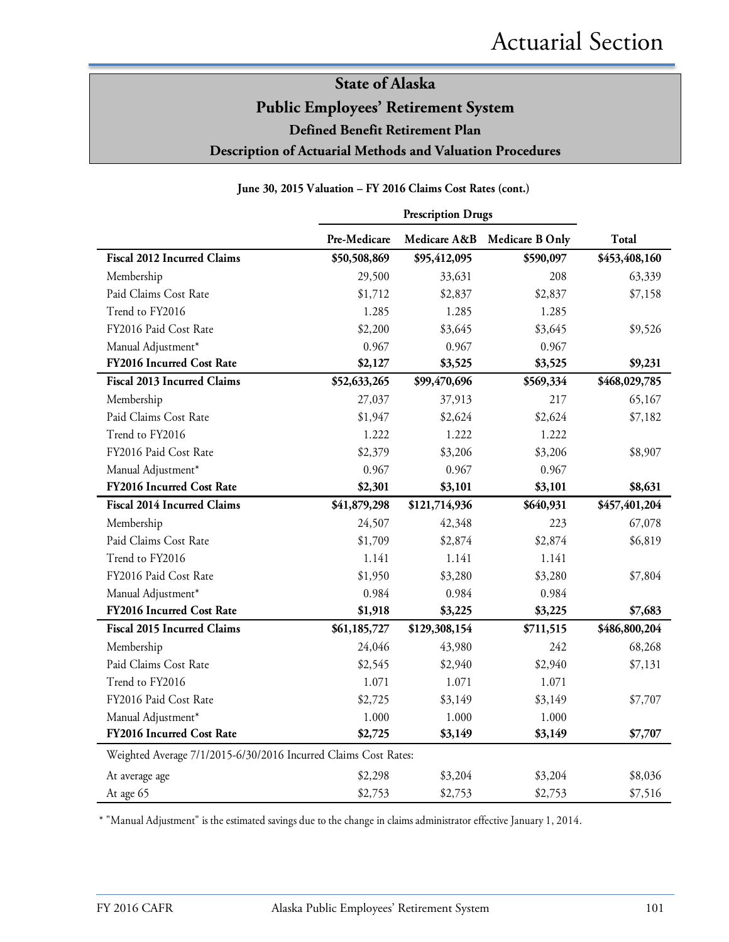#### **June 30, 2015 Valuation – FY 2016 Claims Cost Rates (cont.)**

|                                                                 | <b>Prescription Drugs</b> |               |                        |               |
|-----------------------------------------------------------------|---------------------------|---------------|------------------------|---------------|
|                                                                 | Pre-Medicare              | Medicare A&B  | <b>Medicare B Only</b> | <b>Total</b>  |
| <b>Fiscal 2012 Incurred Claims</b>                              | \$50,508,869              | \$95,412,095  | \$590,097              | \$453,408,160 |
| Membership                                                      | 29,500                    | 33,631        | 208                    | 63,339        |
| Paid Claims Cost Rate                                           | \$1,712                   | \$2,837       | \$2,837                | \$7,158       |
| Trend to FY2016                                                 | 1.285                     | 1.285         | 1.285                  |               |
| FY2016 Paid Cost Rate                                           | \$2,200                   | \$3,645       | \$3,645                | \$9,526       |
| Manual Adjustment*                                              | 0.967                     | 0.967         | 0.967                  |               |
| FY2016 Incurred Cost Rate                                       | \$2,127                   | \$3,525       | \$3,525                | \$9,231       |
| <b>Fiscal 2013 Incurred Claims</b>                              | \$52,633,265              | \$99,470,696  | \$569,334              | \$468,029,785 |
| Membership                                                      | 27,037                    | 37,913        | 217                    | 65,167        |
| Paid Claims Cost Rate                                           | \$1,947                   | \$2,624       | \$2,624                | \$7,182       |
| Trend to FY2016                                                 | 1.222                     | 1.222         | 1.222                  |               |
| FY2016 Paid Cost Rate                                           | \$2,379                   | \$3,206       | \$3,206                | \$8,907       |
| Manual Adjustment*                                              | 0.967                     | 0.967         | 0.967                  |               |
| FY2016 Incurred Cost Rate                                       | \$2,301                   | \$3,101       | \$3,101                | \$8,631       |
| <b>Fiscal 2014 Incurred Claims</b>                              | \$41,879,298              | \$121,714,936 | \$640,931              | \$457,401,204 |
| Membership                                                      | 24,507                    | 42,348        | 223                    | 67,078        |
| Paid Claims Cost Rate                                           | \$1,709                   | \$2,874       | \$2,874                | \$6,819       |
| Trend to FY2016                                                 | 1.141                     | 1.141         | 1.141                  |               |
| FY2016 Paid Cost Rate                                           | \$1,950                   | \$3,280       | \$3,280                | \$7,804       |
| Manual Adjustment*                                              | 0.984                     | 0.984         | 0.984                  |               |
| FY2016 Incurred Cost Rate                                       | \$1,918                   | \$3,225       | \$3,225                | \$7,683       |
| <b>Fiscal 2015 Incurred Claims</b>                              | \$61,185,727              | \$129,308,154 | \$711,515              | \$486,800,204 |
| Membership                                                      | 24,046                    | 43,980        | 242                    | 68,268        |
| Paid Claims Cost Rate                                           | \$2,545                   | \$2,940       | \$2,940                | \$7,131       |
| Trend to FY2016                                                 | 1.071                     | 1.071         | 1.071                  |               |
| FY2016 Paid Cost Rate                                           | \$2,725                   | \$3,149       | \$3,149                | \$7,707       |
| Manual Adjustment*                                              | 1.000                     | 1.000         | 1.000                  |               |
| FY2016 Incurred Cost Rate                                       | \$2,725                   | \$3,149       | \$3,149                | \$7,707       |
| Weighted Average 7/1/2015-6/30/2016 Incurred Claims Cost Rates: |                           |               |                        |               |
| At average age                                                  | \$2,298                   | \$3,204       | \$3,204                | \$8,036       |
| At age 65                                                       | \$2,753                   | \$2,753       | \$2,753                | \$7,516       |

\* "Manual Adjustment" is the estimated savings due to the change in claims administrator effective January 1, 2014.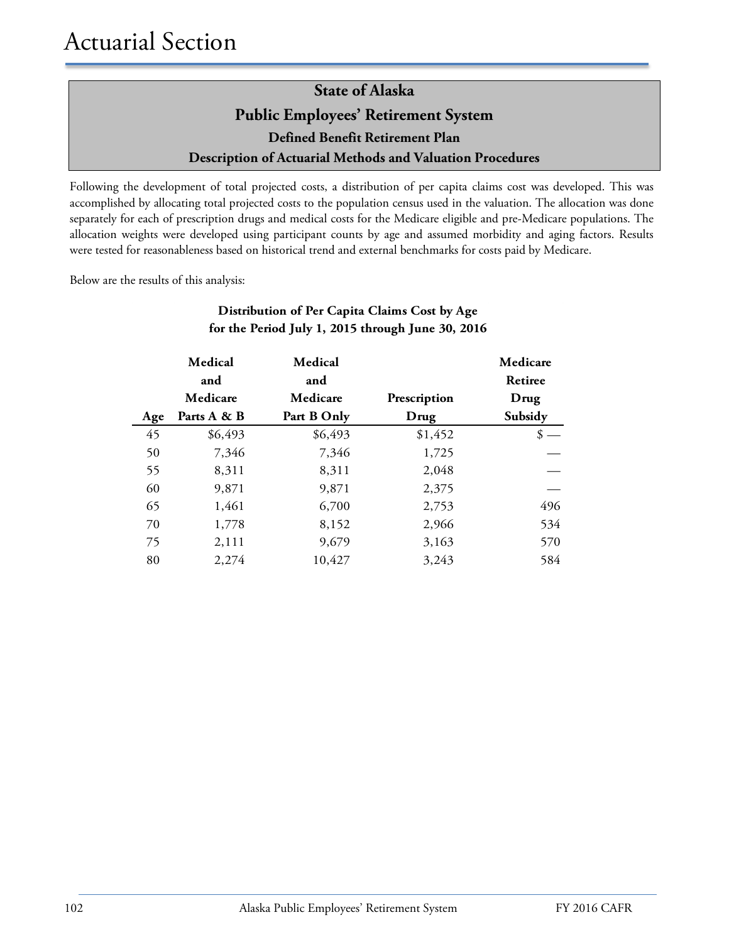Following the development of total projected costs, a distribution of per capita claims cost was developed. This was accomplished by allocating total projected costs to the population census used in the valuation. The allocation was done separately for each of prescription drugs and medical costs for the Medicare eligible and pre-Medicare populations. The allocation weights were developed using participant counts by age and assumed morbidity and aging factors. Results were tested for reasonableness based on historical trend and external benchmarks for costs paid by Medicare.

Below are the results of this analysis:

|     | Medical<br>and | Medical<br>and |              | Medicare<br>Retiree |
|-----|----------------|----------------|--------------|---------------------|
|     | Medicare       | Medicare       | Prescription | Drug                |
| Age | Parts A & B    | Part B Only    | Drug         | Subsidy             |
| 45  | \$6,493        | \$6,493        | \$1,452      | \$                  |
| 50  | 7,346          | 7,346          | 1,725        |                     |
| 55  | 8,311          | 8,311          | 2,048        |                     |
| 60  | 9,871          | 9,871          | 2,375        |                     |
| 65  | 1,461          | 6,700          | 2,753        | 496                 |
| 70  | 1,778          | 8,152          | 2,966        | 534                 |
| 75  | 2,111          | 9,679          | 3,163        | 570                 |
| 80  | 2,274          | 10,427         | 3,243        | 584                 |

### **Distribution of Per Capita Claims Cost by Age for the Period July 1, 2015 through June 30, 2016**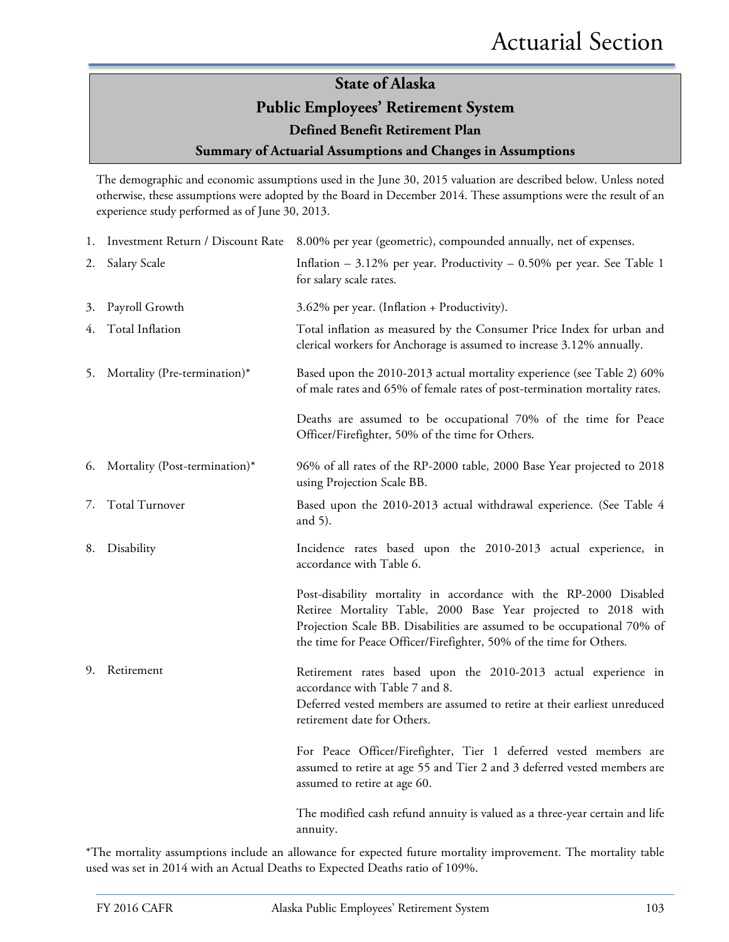# **State of Alaska Public Employees' Retirement System Defined Benefit Retirement Plan**

**Summary of Actuarial Assumptions and Changes in Assumptions**

The demographic and economic assumptions used in the June 30, 2015 valuation are described below. Unless noted otherwise, these assumptions were adopted by the Board in December 2014. These assumptions were the result of an experience study performed as of June 30, 2013.

|    |                               | 1. Investment Return / Discount Rate 8.00% per year (geometric), compounded annually, net of expenses.                                                                                                                                                                                |
|----|-------------------------------|---------------------------------------------------------------------------------------------------------------------------------------------------------------------------------------------------------------------------------------------------------------------------------------|
| 2. | Salary Scale                  | Inflation $-3.12\%$ per year. Productivity $-0.50\%$ per year. See Table 1<br>for salary scale rates.                                                                                                                                                                                 |
| 3. | Payroll Growth                | 3.62% per year. (Inflation + Productivity).                                                                                                                                                                                                                                           |
| 4. | Total Inflation               | Total inflation as measured by the Consumer Price Index for urban and<br>clerical workers for Anchorage is assumed to increase 3.12% annually.                                                                                                                                        |
| 5. | Mortality (Pre-termination)*  | Based upon the 2010-2013 actual mortality experience (see Table 2) 60%<br>of male rates and 65% of female rates of post-termination mortality rates.                                                                                                                                  |
|    |                               | Deaths are assumed to be occupational 70% of the time for Peace<br>Officer/Firefighter, 50% of the time for Others.                                                                                                                                                                   |
| 6. | Mortality (Post-termination)* | 96% of all rates of the RP-2000 table, 2000 Base Year projected to 2018<br>using Projection Scale BB.                                                                                                                                                                                 |
| 7. | Total Turnover                | Based upon the 2010-2013 actual withdrawal experience. (See Table 4<br>and $5$ ).                                                                                                                                                                                                     |
| 8. | Disability                    | Incidence rates based upon the 2010-2013 actual experience, in<br>accordance with Table 6.                                                                                                                                                                                            |
|    |                               | Post-disability mortality in accordance with the RP-2000 Disabled<br>Retiree Mortality Table, 2000 Base Year projected to 2018 with<br>Projection Scale BB. Disabilities are assumed to be occupational 70% of<br>the time for Peace Officer/Firefighter, 50% of the time for Others. |
| 9. | Retirement                    | Retirement rates based upon the 2010-2013 actual experience in<br>accordance with Table 7 and 8.<br>Deferred vested members are assumed to retire at their earliest unreduced<br>retirement date for Others.                                                                          |
|    |                               | For Peace Officer/Firefighter, Tier 1 deferred vested members are<br>assumed to retire at age 55 and Tier 2 and 3 deferred vested members are<br>assumed to retire at age 60.                                                                                                         |
|    |                               | The modified cash refund annuity is valued as a three-year certain and life<br>annuity.                                                                                                                                                                                               |

\*The mortality assumptions include an allowance for expected future mortality improvement. The mortality table used was set in 2014 with an Actual Deaths to Expected Deaths ratio of 109%.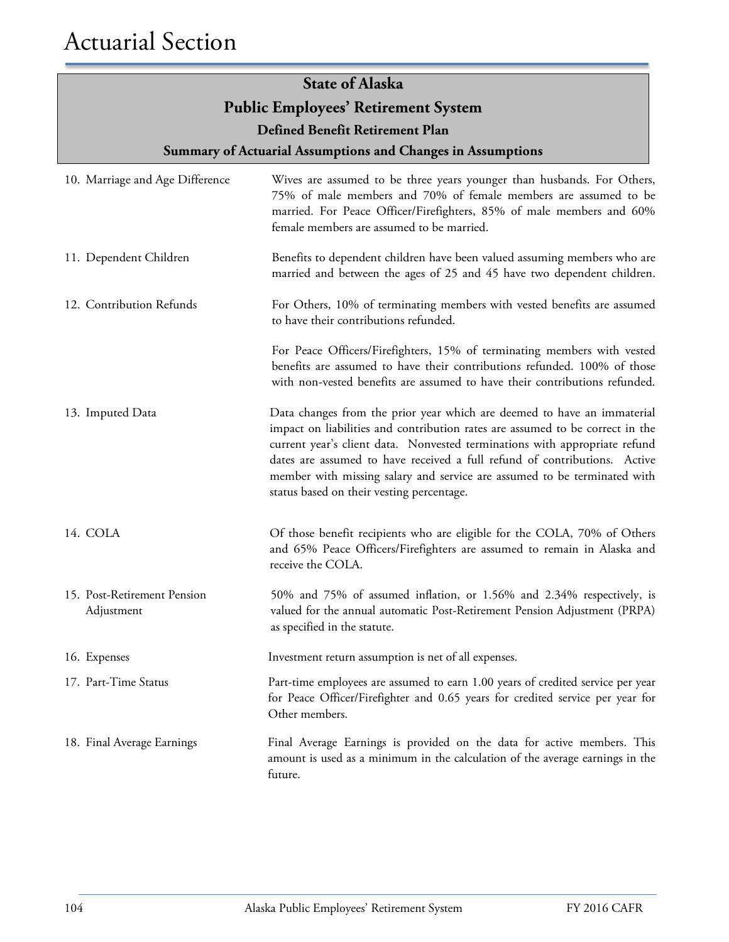| 10. Marriage and Age Difference           | Wives are assumed to be three years younger than husbands. For Others,<br>75% of male members and 70% of female members are assumed to be<br>married. For Peace Officer/Firefighters, 85% of male members and 60%<br>female members are assumed to be married.                                                                                                                                                                               |
|-------------------------------------------|----------------------------------------------------------------------------------------------------------------------------------------------------------------------------------------------------------------------------------------------------------------------------------------------------------------------------------------------------------------------------------------------------------------------------------------------|
| 11. Dependent Children                    | Benefits to dependent children have been valued assuming members who are<br>married and between the ages of 25 and 45 have two dependent children.                                                                                                                                                                                                                                                                                           |
| 12. Contribution Refunds                  | For Others, 10% of terminating members with vested benefits are assumed<br>to have their contributions refunded.                                                                                                                                                                                                                                                                                                                             |
|                                           | For Peace Officers/Firefighters, 15% of terminating members with vested<br>benefits are assumed to have their contributions refunded. 100% of those<br>with non-vested benefits are assumed to have their contributions refunded.                                                                                                                                                                                                            |
| 13. Imputed Data                          | Data changes from the prior year which are deemed to have an immaterial<br>impact on liabilities and contribution rates are assumed to be correct in the<br>current year's client data. Nonvested terminations with appropriate refund<br>dates are assumed to have received a full refund of contributions. Active<br>member with missing salary and service are assumed to be terminated with<br>status based on their vesting percentage. |
| 14. COLA                                  | Of those benefit recipients who are eligible for the COLA, 70% of Others<br>and 65% Peace Officers/Firefighters are assumed to remain in Alaska and<br>receive the COLA.                                                                                                                                                                                                                                                                     |
| 15. Post-Retirement Pension<br>Adjustment | 50% and 75% of assumed inflation, or 1.56% and 2.34% respectively, is<br>valued for the annual automatic Post-Retirement Pension Adjustment (PRPA)<br>as specified in the statute.                                                                                                                                                                                                                                                           |
| 16. Expenses                              | Investment return assumption is net of all expenses.                                                                                                                                                                                                                                                                                                                                                                                         |
| 17. Part-Time Status                      | Part-time employees are assumed to earn 1.00 years of credited service per year<br>for Peace Officer/Firefighter and 0.65 years for credited service per year for<br>Other members.                                                                                                                                                                                                                                                          |
| 18. Final Average Earnings                | Final Average Earnings is provided on the data for active members. This<br>amount is used as a minimum in the calculation of the average earnings in the<br>future.                                                                                                                                                                                                                                                                          |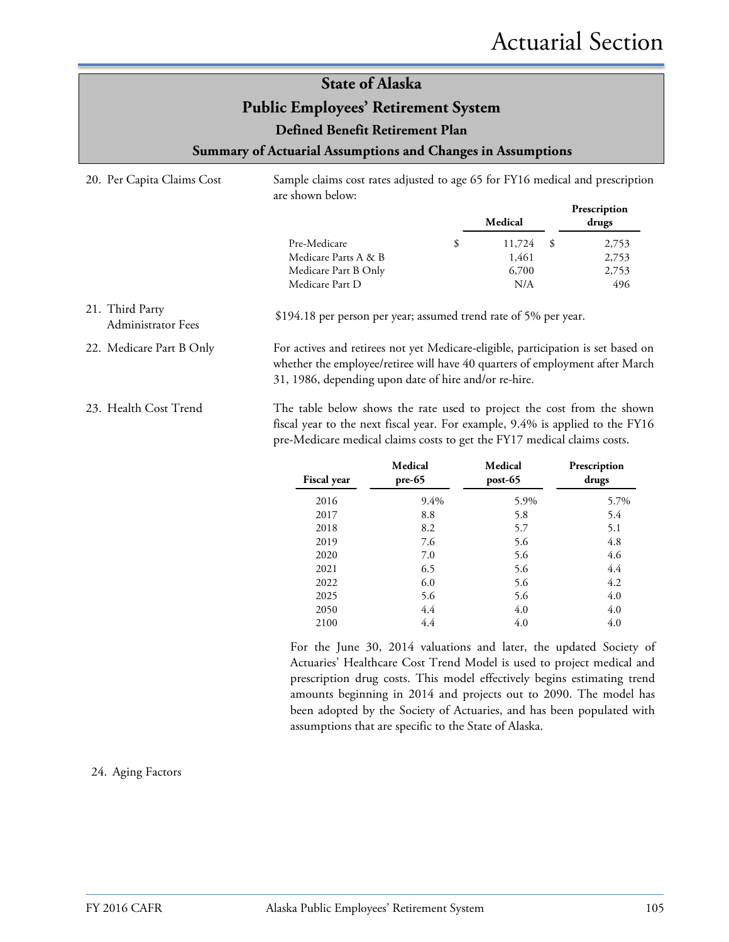| 20. Per Capita Claims Cost                   | are shown below:                                                                                                                                                                                                                   | Sample claims cost rates adjusted to age 65 for FY16 medical and prescription |                                         |                                |  |
|----------------------------------------------|------------------------------------------------------------------------------------------------------------------------------------------------------------------------------------------------------------------------------------|-------------------------------------------------------------------------------|-----------------------------------------|--------------------------------|--|
|                                              |                                                                                                                                                                                                                                    |                                                                               | Medical                                 | Prescription<br>drugs          |  |
|                                              | Pre-Medicare<br>Medicare Parts A & B<br>Medicare Part B Only<br>Medicare Part D                                                                                                                                                    | \$                                                                            | 11,724<br>- \$<br>1,461<br>6,700<br>N/A | 2,753<br>2,753<br>2,753<br>496 |  |
| 21. Third Party<br><b>Administrator Fees</b> | \$194.18 per person per year; assumed trend rate of 5% per year.                                                                                                                                                                   |                                                                               |                                         |                                |  |
| 22. Medicare Part B Only                     | For actives and retirees not yet Medicare-eligible, participation is set based on<br>whether the employee/retiree will have 40 quarters of employment after March<br>31, 1986, depending upon date of hire and/or re-hire.         |                                                                               |                                         |                                |  |
| 23. Health Cost Trend                        | The table below shows the rate used to project the cost from the shown<br>fiscal year to the next fiscal year. For example, 9.4% is applied to the FY16<br>pre-Medicare medical claims costs to get the FY17 medical claims costs. |                                                                               |                                         |                                |  |

L,

| <b>Fiscal year</b> | Medical<br>$pre-65$ | Medical<br>$post-65$ | Prescription<br>drugs |
|--------------------|---------------------|----------------------|-----------------------|
| 2016               | $9.4\%$             | 5.9%                 | 5.7%                  |
| 2017               | 8.8                 | 5.8                  | 5.4                   |
| 2018               | 8.2                 | 5.7                  | 5.1                   |
| 2019               | 7.6                 | 5.6                  | 4.8                   |
| 2020               | 7.0                 | 5.6                  | 4.6                   |
| 2021               | 6.5                 | 5.6                  | 4.4                   |
| 2022               | 6.0                 | 5.6                  | 4.2                   |
| 2025               | 5.6                 | 5.6                  | 4.0                   |
| 2050               | 4.4                 | 4.0                  | 4.0                   |
| 2100               | 4.4                 | 4.0                  | 4.0                   |

For the June 30, 2014 valuations and later, the updated Society of Actuaries' Healthcare Cost Trend Model is used to project medical and prescription drug costs. This model effectively begins estimating trend amounts beginning in 2014 and projects out to 2090. The model has been adopted by the Society of Actuaries, and has been populated with assumptions that are specific to the State of Alaska.

#### 24. Aging Factors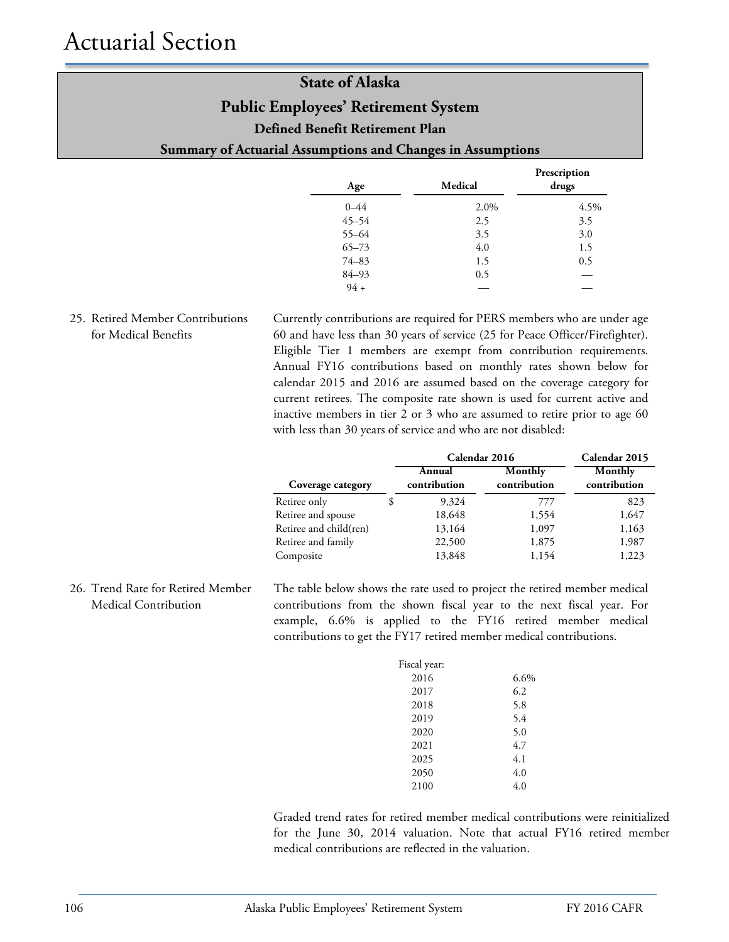| <b>State of Alaska</b>                                      |  |  |
|-------------------------------------------------------------|--|--|
| <b>Public Employees' Retirement System</b>                  |  |  |
| Defined Benefit Retirement Plan                             |  |  |
| Summary of Actuarial Assumptions and Changes in Assumptions |  |  |
|                                                             |  |  |

| Age       | Medical | Prescription<br>drugs |
|-----------|---------|-----------------------|
| $0 - 44$  | 2.0%    | 4.5%                  |
| $45 - 54$ | 2.5     | 3.5                   |
| $55 - 64$ | 3.5     | 3.0                   |
| $65 - 73$ | 4.0     | 1.5                   |
| $74 - 83$ | 1.5     | 0.5                   |
| $84 - 93$ | 0.5     | -                     |
| $94 +$    |         |                       |

### 25. Retired Member Contributions for Medical Benefits

Currently contributions are required for PERS members who are under age 60 and have less than 30 years of service (25 for Peace Officer/Firefighter). Eligible Tier 1 members are exempt from contribution requirements. Annual FY16 contributions based on monthly rates shown below for calendar 2015 and 2016 are assumed based on the coverage category for current retirees. The composite rate shown is used for current active and inactive members in tier 2 or 3 who are assumed to retire prior to age 60 with less than 30 years of service and who are not disabled:

|                        | Calendar 2016          | Calendar 2015           |                         |
|------------------------|------------------------|-------------------------|-------------------------|
| Coverage category      | Annual<br>contribution | Monthly<br>contribution | Monthly<br>contribution |
| Retiree only           | 9,324                  | 777                     | 823                     |
| Retiree and spouse     | 18,648                 | 1,554                   | 1,647                   |
| Retiree and child(ren) | 13,164                 | 1,097                   | 1,163                   |
| Retiree and family     | 22,500                 | 1,875                   | 1,987                   |
| Composite              | 13,848                 | 1,154                   | 1,223                   |

26. Trend Rate for Retired Member Medical Contribution

The table below shows the rate used to project the retired member medical contributions from the shown fiscal year to the next fiscal year. For example, 6.6% is applied to the FY16 retired member medical contributions to get the FY17 retired member medical contributions.

| 6.6% |
|------|
| 6.2  |
| 5.8  |
| 5.4  |
| 5.0  |
| 4.7  |
| 4.1  |
| 4.0  |
| 4.0  |
|      |

Graded trend rates for retired member medical contributions were reinitialized for the June 30, 2014 valuation. Note that actual FY16 retired member medical contributions are reflected in the valuation.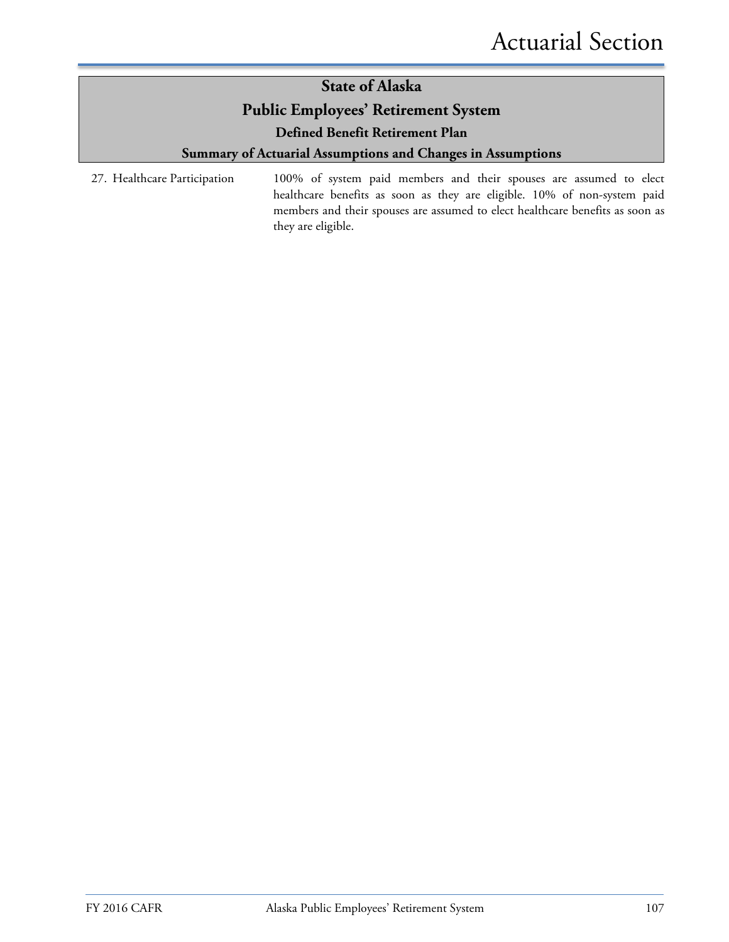# **State of Alaska Public Employees' Retirement System**

**Defined Benefit Retirement Plan**

### **Summary of Actuarial Assumptions and Changes in Assumptions**

27. Healthcare Participation 100% of system paid members and their spouses are assumed to elect healthcare benefits as soon as they are eligible. 10% of non-system paid members and their spouses are assumed to elect healthcare benefits as soon as they are eligible.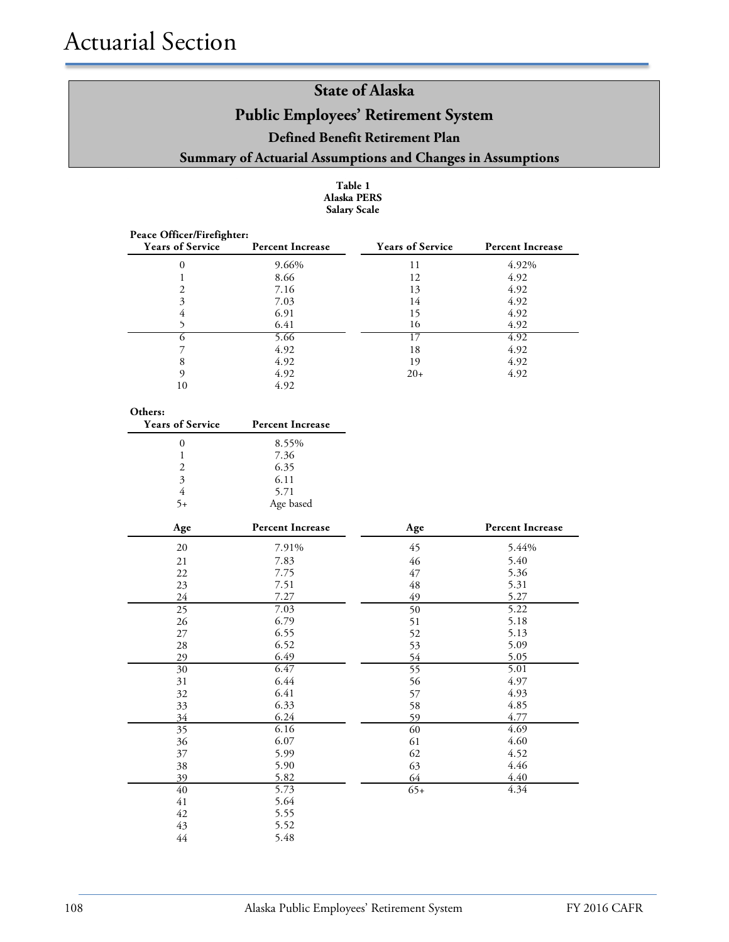#### **Table 1 Alaska PERS Salary Scale**

| Peace Officer/Firefighter: |                         |                         |                         |
|----------------------------|-------------------------|-------------------------|-------------------------|
| <b>Years of Service</b>    | <b>Percent Increase</b> | <b>Years of Service</b> | <b>Percent Increase</b> |
| 0                          | 9.66%                   | 11                      | 4.92%                   |
|                            | 8.66                    | 12                      | 4.92                    |
|                            | 7.16                    | 13                      | 4.92                    |
| 3                          | 7.03                    | 14                      | 4.92                    |
| 4                          | 6.91                    | 15                      | 4.92                    |
|                            | 6.41                    | 16                      | 4.92                    |
|                            | 5.66                    |                         | 4.92                    |
|                            | 4.92                    | 18                      | 4.92                    |
| 8                          | 4.92                    | 19                      | 4.92                    |
| Q                          | 4.92                    | $20+$                   | 4.92                    |
|                            | 4.92                    |                         |                         |

#### **Others:**

| <b>Years of Service</b>     | <b>Percent Increase</b> |
|-----------------------------|-------------------------|
|                             | 8.55%                   |
|                             | 7.36                    |
| $\mathcal{D}_{\mathcal{L}}$ | 6.35                    |
| 3                           | 6.11                    |
| 4                           | 5.71                    |
|                             | Age based               |

| $\mathbf{Age}$ | <b>Percent Increase</b> | Age             | <b>Percent Increase</b> |
|----------------|-------------------------|-----------------|-------------------------|
| 20             | 7.91%                   | 45              | 5.44%                   |
| 21             | 7.83                    | 46              | 5.40                    |
| 22             | 7.75                    | 47              | 5.36                    |
| 23             | 7.51                    | 48              | 5.31                    |
| 24             | 7.27                    | 49              | 5.27                    |
| 25             | 7.03                    | 50              | 5.22                    |
| 26             | 6.79                    | 51              | 5.18                    |
| 27             | 6.55                    | 52              | 5.13                    |
| 28             | 6.52                    | 53              | 5.09                    |
| 29             | 6.49                    | 54              | 5.05                    |
| 30             | 6.47                    | $\overline{55}$ | 5.01                    |
| 31             | 6.44                    | 56              | 4.97                    |
| 32             | 6.41                    | 57              | 4.93                    |
| 33             | 6.33                    | 58              | 4.85                    |
| 34             | 6.24                    | 59              | 4.77                    |
| 35             | 6.16                    | 60              | 4.69                    |
| 36             | 6.07                    | 61              | 4.60                    |
| 37             | 5.99                    | 62              | 4.52                    |
| 38             | 5.90                    | 63              | 4.46                    |
| 39             | 5.82                    | 64              | 4.40                    |
| 40             | 5.73                    | $65+$           | 4.34                    |
| 41             | 5.64                    |                 |                         |
| 42             | 5.55                    |                 |                         |
| 43             | 5.52                    |                 |                         |
| $44$           | 5.48                    |                 |                         |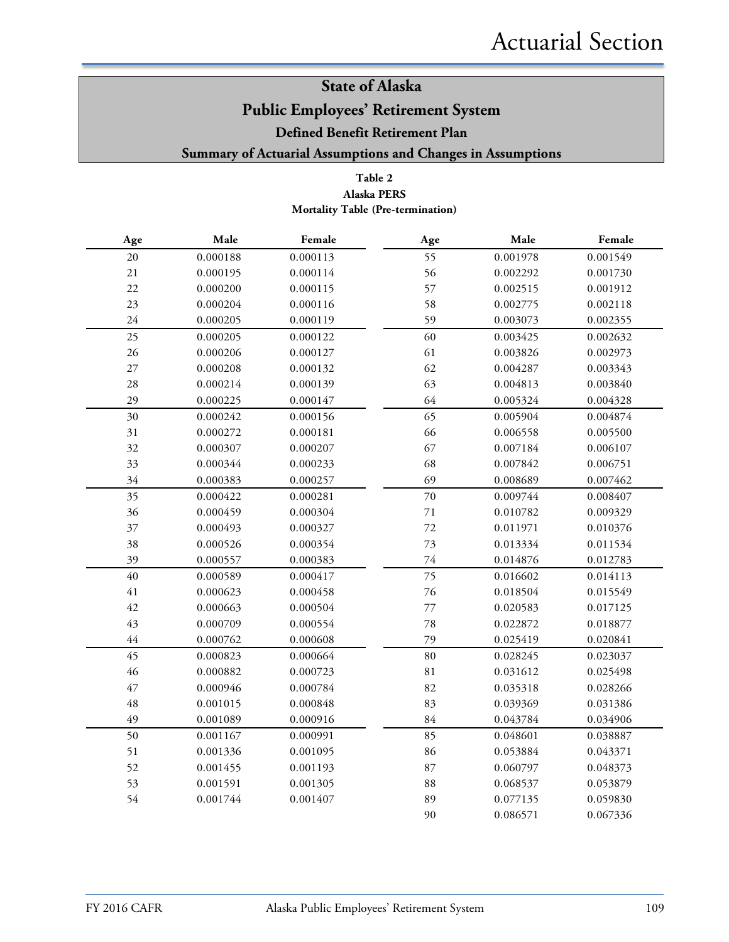# **State of Alaska Public Employees' Retirement System**

**Defined Benefit Retirement Plan**

**Summary of Actuarial Assumptions and Changes in Assumptions**

### **Table 2 Mortality Table (Pre-termination) Alaska PERS**

| Age         | $\bf Male$ | Female   | Age         | Male     | Female   |
|-------------|------------|----------|-------------|----------|----------|
| $20\,$      | 0.000188   | 0.000113 | 55          | 0.001978 | 0.001549 |
| 21          | 0.000195   | 0.000114 | 56          | 0.002292 | 0.001730 |
| 22          | 0.000200   | 0.000115 | 57          | 0.002515 | 0.001912 |
| 23          | 0.000204   | 0.000116 | 58          | 0.002775 | 0.002118 |
| 24          | 0.000205   | 0.000119 | 59          | 0.003073 | 0.002355 |
| 25          | 0.000205   | 0.000122 | 60          | 0.003425 | 0.002632 |
| 26          | 0.000206   | 0.000127 | 61          | 0.003826 | 0.002973 |
| $27\,$      | 0.000208   | 0.000132 | 62          | 0.004287 | 0.003343 |
| 28          | 0.000214   | 0.000139 | 63          | 0.004813 | 0.003840 |
| 29          | 0.000225   | 0.000147 | 64          | 0.005324 | 0.004328 |
| 30          | 0.000242   | 0.000156 | 65          | 0.005904 | 0.004874 |
| 31          | 0.000272   | 0.000181 | 66          | 0.006558 | 0.005500 |
| 32          | 0.000307   | 0.000207 | 67          | 0.007184 | 0.006107 |
| 33          | 0.000344   | 0.000233 | 68          | 0.007842 | 0.006751 |
| 34          | 0.000383   | 0.000257 | 69          | 0.008689 | 0.007462 |
| 35          | 0.000422   | 0.000281 | 70          | 0.009744 | 0.008407 |
| 36          | 0.000459   | 0.000304 | $71\,$      | 0.010782 | 0.009329 |
| 37          | 0.000493   | 0.000327 | 72          | 0.011971 | 0.010376 |
| 38          | 0.000526   | 0.000354 | 73          | 0.013334 | 0.011534 |
| 39          | 0.000557   | 0.000383 | 74          | 0.014876 | 0.012783 |
| 40          | 0.000589   | 0.000417 | 75          | 0.016602 | 0.014113 |
| 41          | 0.000623   | 0.000458 | 76          | 0.018504 | 0.015549 |
| 42          | 0.000663   | 0.000504 | $77\,$      | 0.020583 | 0.017125 |
| 43          | 0.000709   | 0.000554 | 78          | 0.022872 | 0.018877 |
| $44$        | 0.000762   | 0.000608 | 79          | 0.025419 | 0.020841 |
| 45          | 0.000823   | 0.000664 | 80          | 0.028245 | 0.023037 |
| 46          | 0.000882   | 0.000723 | $8\sqrt{1}$ | 0.031612 | 0.025498 |
| 47          | 0.000946   | 0.000784 | 82          | 0.035318 | 0.028266 |
| $\sqrt{48}$ | 0.001015   | 0.000848 | 83          | 0.039369 | 0.031386 |
| 49          | 0.001089   | 0.000916 | 84          | 0.043784 | 0.034906 |
| 50          | 0.001167   | 0.000991 | 85          | 0.048601 | 0.038887 |
| 51          | 0.001336   | 0.001095 | 86          | 0.053884 | 0.043371 |
| 52          | 0.001455   | 0.001193 | 87          | 0.060797 | 0.048373 |
| 53          | 0.001591   | 0.001305 | 88          | 0.068537 | 0.053879 |
| 54          | 0.001744   | 0.001407 | 89          | 0.077135 | 0.059830 |
|             |            |          | 90          | 0.086571 | 0.067336 |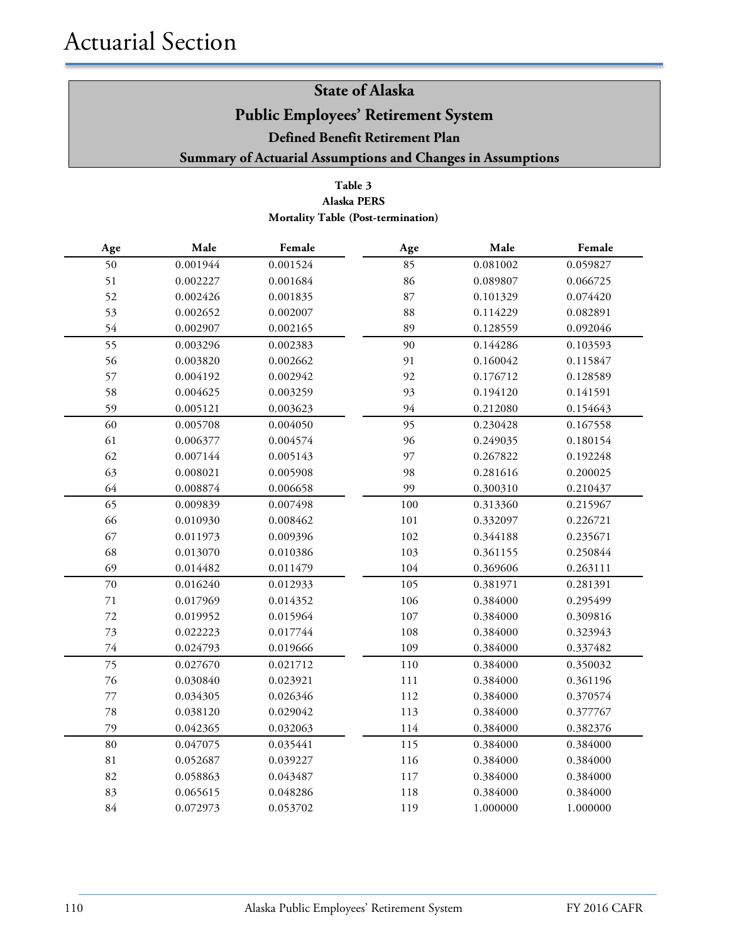### **Table 3 Alaska PERS Mortality Table (Post-termination)**

| Age         | Male     | Female   | Age     | Male     | Female   |
|-------------|----------|----------|---------|----------|----------|
| 50          | 0.001944 | 0.001524 | 85      | 0.081002 | 0.059827 |
| 51          | 0.002227 | 0.001684 | 86      | 0.089807 | 0.066725 |
| 52          | 0.002426 | 0.001835 | 87      | 0.101329 | 0.074420 |
| 53          | 0.002652 | 0.002007 | 88      | 0.114229 | 0.082891 |
| 54          | 0.002907 | 0.002165 | 89      | 0.128559 | 0.092046 |
| 55          | 0.003296 | 0.002383 | 90      | 0.144286 | 0.103593 |
| 56          | 0.003820 | 0.002662 | 91      | 0.160042 | 0.115847 |
| 57          | 0.004192 | 0.002942 | 92      | 0.176712 | 0.128589 |
| 58          | 0.004625 | 0.003259 | 93      | 0.194120 | 0.141591 |
| 59          | 0.005121 | 0.003623 | 94      | 0.212080 | 0.154643 |
| 60          | 0.005708 | 0.004050 | 95      | 0.230428 | 0.167558 |
| 61          | 0.006377 | 0.004574 | 96      | 0.249035 | 0.180154 |
| 62          | 0.007144 | 0.005143 | 97      | 0.267822 | 0.192248 |
| 63          | 0.008021 | 0.005908 | 98      | 0.281616 | 0.200025 |
| 64          | 0.008874 | 0.006658 | 99      | 0.300310 | 0.210437 |
| 65          | 0.009839 | 0.007498 | 100     | 0.313360 | 0.215967 |
| 66          | 0.010930 | 0.008462 | 101     | 0.332097 | 0.226721 |
| 67          | 0.011973 | 0.009396 | 102     | 0.344188 | 0.235671 |
| 68          | 0.013070 | 0.010386 | 103     | 0.361155 | 0.250844 |
| 69          | 0.014482 | 0.011479 | 104     | 0.369606 | 0.263111 |
| $70\,$      | 0.016240 | 0.012933 | 105     | 0.381971 | 0.281391 |
| 71          | 0.017969 | 0.014352 | 106     | 0.384000 | 0.295499 |
| $72\,$      | 0.019952 | 0.015964 | $107\,$ | 0.384000 | 0.309816 |
| 73          | 0.022223 | 0.017744 | 108     | 0.384000 | 0.323943 |
| $74\,$      | 0.024793 | 0.019666 | 109     | 0.384000 | 0.337482 |
| 75          | 0.027670 | 0.021712 | 110     | 0.384000 | 0.350032 |
| $76\,$      | 0.030840 | 0.023921 | $111\,$ | 0.384000 | 0.361196 |
| $77 \,$     | 0.034305 | 0.026346 | 112     | 0.384000 | 0.370574 |
| $78\,$      | 0.038120 | 0.029042 | 113     | 0.384000 | 0.377767 |
| 79          | 0.042365 | 0.032063 | 114     | 0.384000 | 0.382376 |
| 80          | 0.047075 | 0.035441 | 115     | 0.384000 | 0.384000 |
| $8\sqrt{1}$ | 0.052687 | 0.039227 | 116     | 0.384000 | 0.384000 |
| 82          | 0.058863 | 0.043487 | 117     | 0.384000 | 0.384000 |
| 83          | 0.065615 | 0.048286 | 118     | 0.384000 | 0.384000 |
| 84          | 0.072973 | 0.053702 | 119     | 1.000000 | 1.000000 |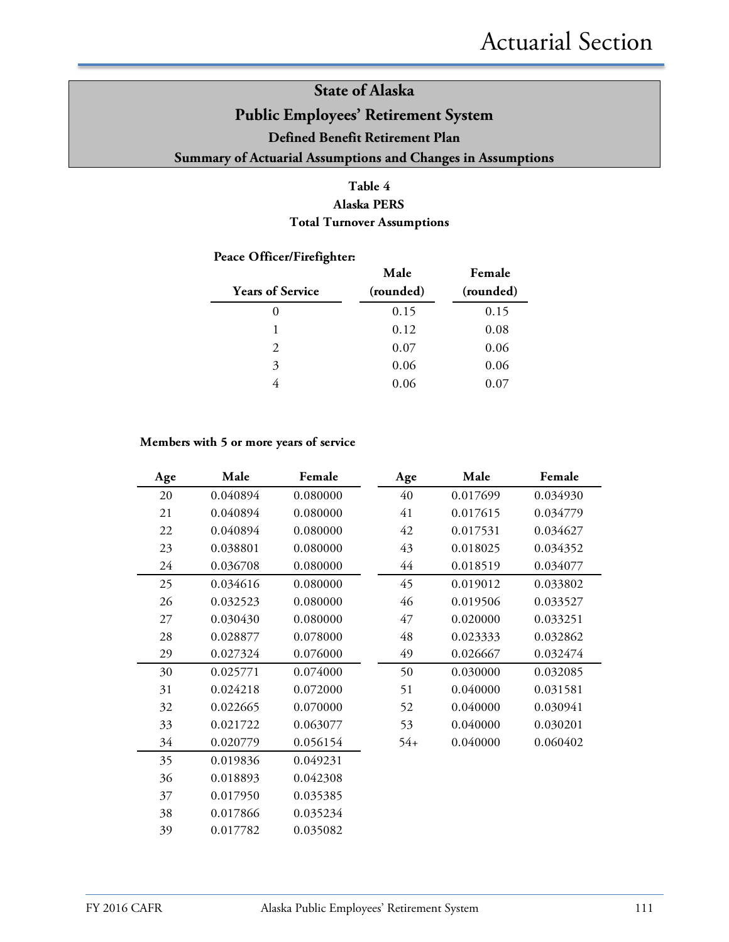### **Table 4 Alaska PERS Total Turnover Assumptions**

### **Peace Officer/Firefighter:**

| <b>Years of Service</b> | Male<br>(rounded) | Female<br>(rounded) |
|-------------------------|-------------------|---------------------|
|                         | 0.15              | 0.15                |
|                         | 0.12              | 0.08                |
| $\mathcal{D}_{\cdot}$   | 0.07              | 0.06                |
| 3                       | 0.06              | 0.06                |
|                         | 0.06              | 0.07                |

#### **Members with 5 or more years of service**

| Age | Male     | Female   | Age   | Male     | Female   |
|-----|----------|----------|-------|----------|----------|
| 20  | 0.040894 | 0.080000 | 40    | 0.017699 | 0.034930 |
| 21  | 0.040894 | 0.080000 | 41    | 0.017615 | 0.034779 |
| 22  | 0.040894 | 0.080000 | 42    | 0.017531 | 0.034627 |
| 23  | 0.038801 | 0.080000 | 43    | 0.018025 | 0.034352 |
| 24  | 0.036708 | 0.080000 | 44    | 0.018519 | 0.034077 |
| 25  | 0.034616 | 0.080000 | 45    | 0.019012 | 0.033802 |
| 26  | 0.032523 | 0.080000 | 46    | 0.019506 | 0.033527 |
| 27  | 0.030430 | 0.080000 | 47    | 0.020000 | 0.033251 |
| 28  | 0.028877 | 0.078000 | 48    | 0.023333 | 0.032862 |
| 29  | 0.027324 | 0.076000 | 49    | 0.026667 | 0.032474 |
| 30  | 0.025771 | 0.074000 | 50    | 0.030000 | 0.032085 |
| 31  | 0.024218 | 0.072000 | 51    | 0.040000 | 0.031581 |
| 32  | 0.022665 | 0.070000 | 52    | 0.040000 | 0.030941 |
| 33  | 0.021722 | 0.063077 | 53    | 0.040000 | 0.030201 |
| 34  | 0.020779 | 0.056154 | $54+$ | 0.040000 | 0.060402 |
| 35  | 0.019836 | 0.049231 |       |          |          |
| 36  | 0.018893 | 0.042308 |       |          |          |
| 37  | 0.017950 | 0.035385 |       |          |          |
| 38  | 0.017866 | 0.035234 |       |          |          |
| 39  | 0.017782 | 0.035082 |       |          |          |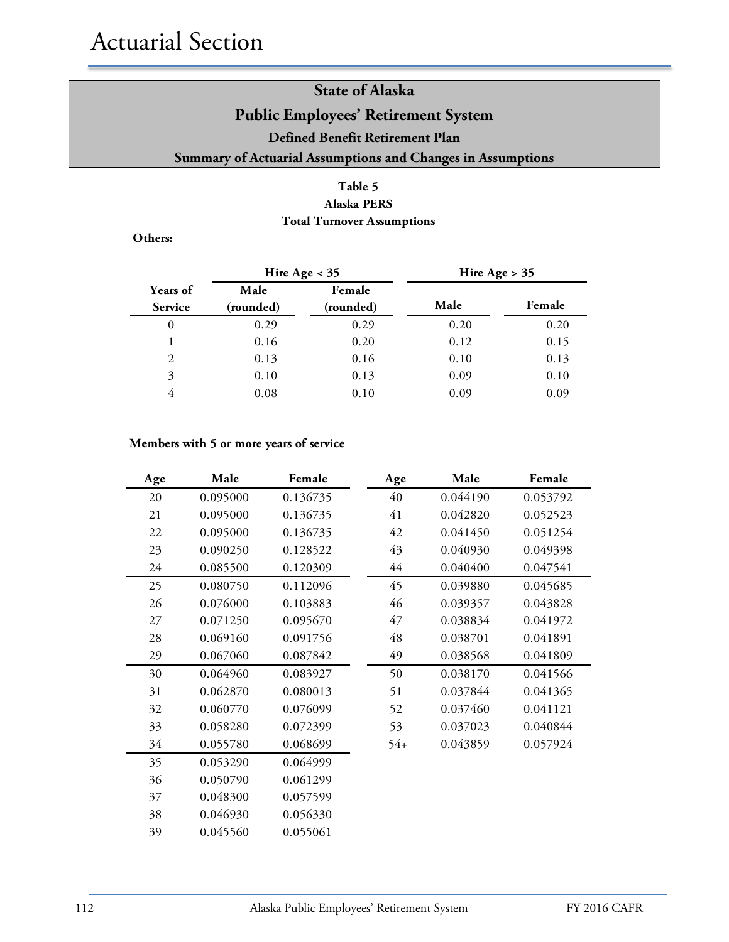### **Table 5 Alaska PERS**

**Total Turnover Assumptions**

**Others:**

|                                   | Hire Age $<$ 35   |                     | Hire Age $> 35$ |        |
|-----------------------------------|-------------------|---------------------|-----------------|--------|
| <b>Years of</b><br><b>Service</b> | Male<br>(rounded) | Female<br>(rounded) | Male            | Female |
| 0                                 | 0.29              | 0.29                | 0.20            | 0.20   |
|                                   | 0.16              | 0.20                | 0.12            | 0.15   |
| 2                                 | 0.13              | 0.16                | 0.10            | 0.13   |
| 3                                 | 0.10              | 0.13                | 0.09            | 0.10   |
| 4                                 | 0.08              | 0.10                | 0.09            | 0.09   |

### **Members with 5 or more years of service**

| Age | Male     | Female   | Age   | Male     | Female   |
|-----|----------|----------|-------|----------|----------|
| 20  | 0.095000 | 0.136735 | 40    | 0.044190 | 0.053792 |
| 21  | 0.095000 | 0.136735 | 41    | 0.042820 | 0.052523 |
| 22  | 0.095000 | 0.136735 | 42    | 0.041450 | 0.051254 |
| 23  | 0.090250 | 0.128522 | 43    | 0.040930 | 0.049398 |
| 24  | 0.085500 | 0.120309 | 44    | 0.040400 | 0.047541 |
| 25  | 0.080750 | 0.112096 | 45    | 0.039880 | 0.045685 |
| 26  | 0.076000 | 0.103883 | 46    | 0.039357 | 0.043828 |
| 27  | 0.071250 | 0.095670 | 47    | 0.038834 | 0.041972 |
| 28  | 0.069160 | 0.091756 | 48    | 0.038701 | 0.041891 |
| 29  | 0.067060 | 0.087842 | 49    | 0.038568 | 0.041809 |
| 30  | 0.064960 | 0.083927 | 50    | 0.038170 | 0.041566 |
| 31  | 0.062870 | 0.080013 | 51    | 0.037844 | 0.041365 |
| 32  | 0.060770 | 0.076099 | 52    | 0.037460 | 0.041121 |
| 33  | 0.058280 | 0.072399 | 53    | 0.037023 | 0.040844 |
| 34  | 0.055780 | 0.068699 | $54+$ | 0.043859 | 0.057924 |
| 35  | 0.053290 | 0.064999 |       |          |          |
| 36  | 0.050790 | 0.061299 |       |          |          |
| 37  | 0.048300 | 0.057599 |       |          |          |
| 38  | 0.046930 | 0.056330 |       |          |          |
| 39  | 0.045560 | 0.055061 |       |          |          |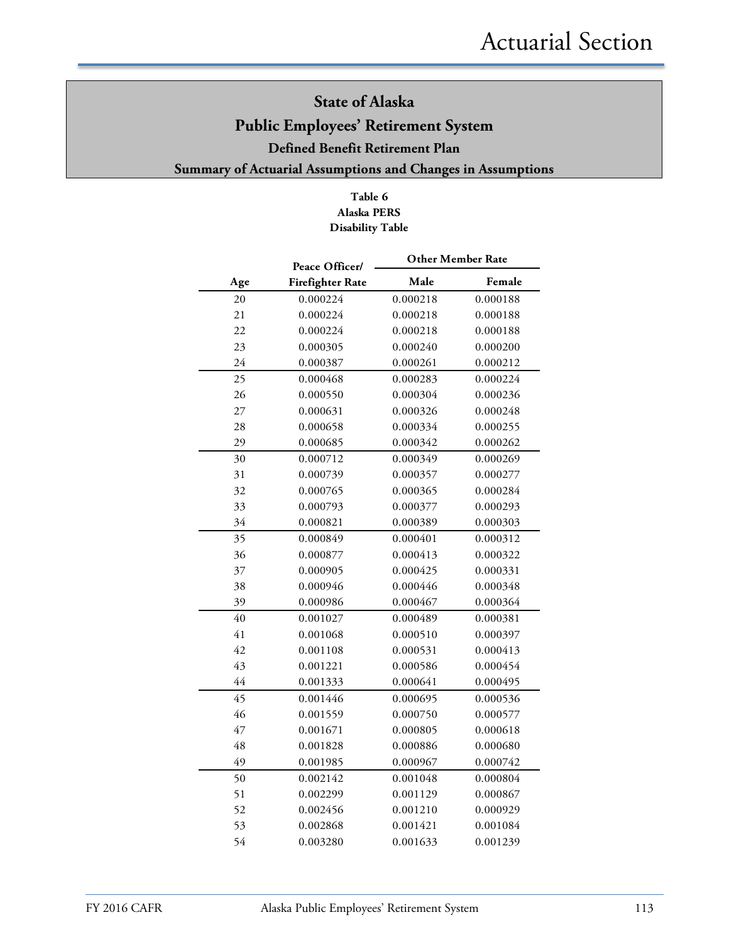### **Table 6 Alaska PERS Disability Table**

|     | Peace Officer/          | <b>Other Member Rate</b> |          |
|-----|-------------------------|--------------------------|----------|
| Age | <b>Firefighter Rate</b> | Male                     | Female   |
| 20  | 0.000224                | 0.000218                 | 0.000188 |
| 21  | 0.000224                | 0.000218                 | 0.000188 |
| 22  | 0.000224                | 0.000218                 | 0.000188 |
| 23  | 0.000305                | 0.000240                 | 0.000200 |
| 24  | 0.000387                | 0.000261                 | 0.000212 |
| 25  | 0.000468                | 0.000283                 | 0.000224 |
| 26  | 0.000550                | 0.000304                 | 0.000236 |
| 27  | 0.000631                | 0.000326                 | 0.000248 |
| 28  | 0.000658                | 0.000334                 | 0.000255 |
| 29  | 0.000685                | 0.000342                 | 0.000262 |
| 30  | 0.000712                | 0.000349                 | 0.000269 |
| 31  | 0.000739                | 0.000357                 | 0.000277 |
| 32  | 0.000765                | 0.000365                 | 0.000284 |
| 33  | 0.000793                | 0.000377                 | 0.000293 |
| 34  | 0.000821                | 0.000389                 | 0.000303 |
| 35  | 0.000849                | 0.000401                 | 0.000312 |
| 36  | 0.000877                | 0.000413                 | 0.000322 |
| 37  | 0.000905                | 0.000425                 | 0.000331 |
| 38  | 0.000946                | 0.000446                 | 0.000348 |
| 39  | 0.000986                | 0.000467                 | 0.000364 |
| 40  | 0.001027                | 0.000489                 | 0.000381 |
| 41  | 0.001068                | 0.000510                 | 0.000397 |
| 42  | 0.001108                | 0.000531                 | 0.000413 |
| 43  | 0.001221                | 0.000586                 | 0.000454 |
| 44  | 0.001333                | 0.000641                 | 0.000495 |
| 45  | 0.001446                | 0.000695                 | 0.000536 |
| 46  | 0.001559                | 0.000750                 | 0.000577 |
| 47  | 0.001671                | 0.000805                 | 0.000618 |
| 48  | 0.001828                | 0.000886                 | 0.000680 |
| 49  | 0.001985                | 0.000967                 | 0.000742 |
| 50  | 0.002142                | 0.001048                 | 0.000804 |
| 51  | 0.002299                | 0.001129                 | 0.000867 |
| 52  | 0.002456                | 0.001210                 | 0.000929 |
| 53  | 0.002868                | 0.001421                 | 0.001084 |
| 54  | 0.003280                | 0.001633                 | 0.001239 |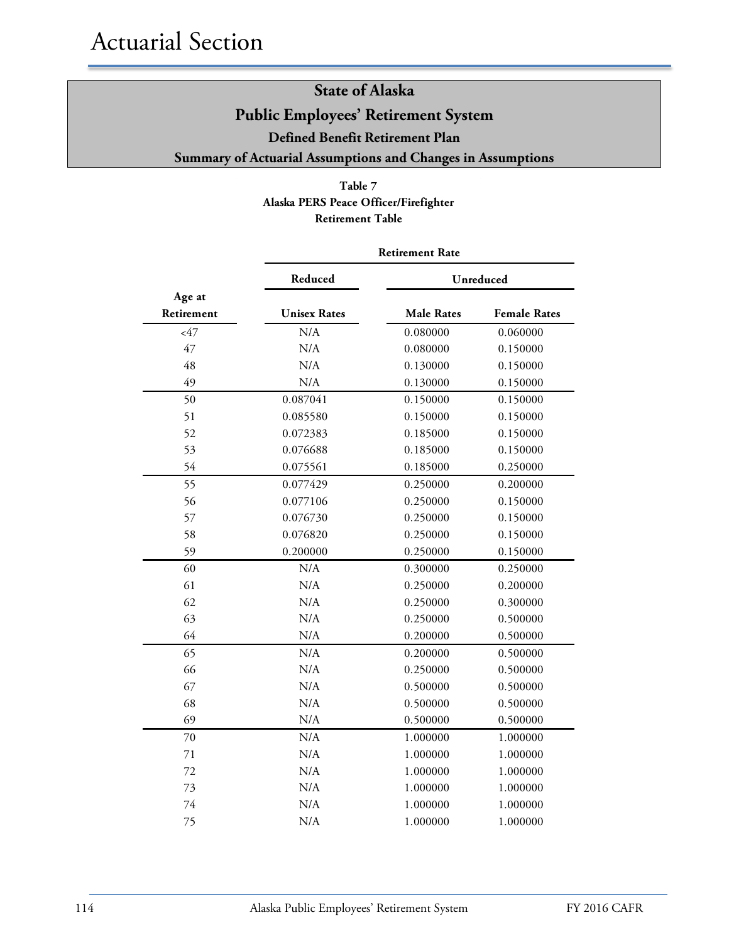### **Table 7 Alaska PERS Peace Officer/Firefighter Retirement Table**

|                      | <b>Retirement Rate</b> |                   |                     |  |  |  |
|----------------------|------------------------|-------------------|---------------------|--|--|--|
|                      | Reduced                |                   | Unreduced           |  |  |  |
| Age at<br>Retirement | <b>Unisex Rates</b>    | <b>Male Rates</b> | <b>Female Rates</b> |  |  |  |
| $<$ 47               | N/A                    | 0.080000          | 0.060000            |  |  |  |
| 47                   | N/A                    | 0.080000          | 0.150000            |  |  |  |
| 48                   | N/A                    | 0.130000          | 0.150000            |  |  |  |
| 49                   | N/A                    | 0.130000          | 0.150000            |  |  |  |
| 50                   | 0.087041               | 0.150000          | 0.150000            |  |  |  |
| 51                   | 0.085580               | 0.150000          | 0.150000            |  |  |  |
| 52                   | 0.072383               | 0.185000          | 0.150000            |  |  |  |
| 53                   | 0.076688               | 0.185000          | 0.150000            |  |  |  |
| 54                   | 0.075561               | 0.185000          | 0.250000            |  |  |  |
| 55                   | 0.077429               | 0.250000          | 0.200000            |  |  |  |
| 56                   | 0.077106               | 0.250000          | 0.150000            |  |  |  |
| 57                   | 0.076730               | 0.250000          | 0.150000            |  |  |  |
| 58                   | 0.076820               | 0.250000          | 0.150000            |  |  |  |
| 59                   | 0.200000               | 0.250000          | 0.150000            |  |  |  |
| 60                   | N/A                    | 0.300000          | 0.250000            |  |  |  |
| 61                   | N/A                    | 0.250000          | 0.200000            |  |  |  |
| 62                   | N/A                    | 0.250000          | 0.300000            |  |  |  |
| 63                   | N/A                    | 0.250000          | 0.500000            |  |  |  |
| 64                   | N/A                    | 0.200000          | 0.500000            |  |  |  |
| 65                   | N/A                    | 0.200000          | 0.500000            |  |  |  |
| 66                   | N/A                    | 0.250000          | 0.500000            |  |  |  |
| 67                   | N/A                    | 0.500000          | 0.500000            |  |  |  |
| 68                   | N/A                    | 0.500000          | 0.500000            |  |  |  |
| 69                   | N/A                    | 0.500000          | 0.500000            |  |  |  |
| 70                   | N/A                    | 1.000000          | 1.000000            |  |  |  |
| 71                   | N/A                    | 1.000000          | 1.000000            |  |  |  |
| 72                   | N/A                    | 1.000000          | 1.000000            |  |  |  |
| 73                   | N/A                    | 1.000000          | 1.000000            |  |  |  |
| 74                   | N/A                    | 1.000000          | 1.000000            |  |  |  |
| 75                   | N/A                    | 1.000000          | 1.000000            |  |  |  |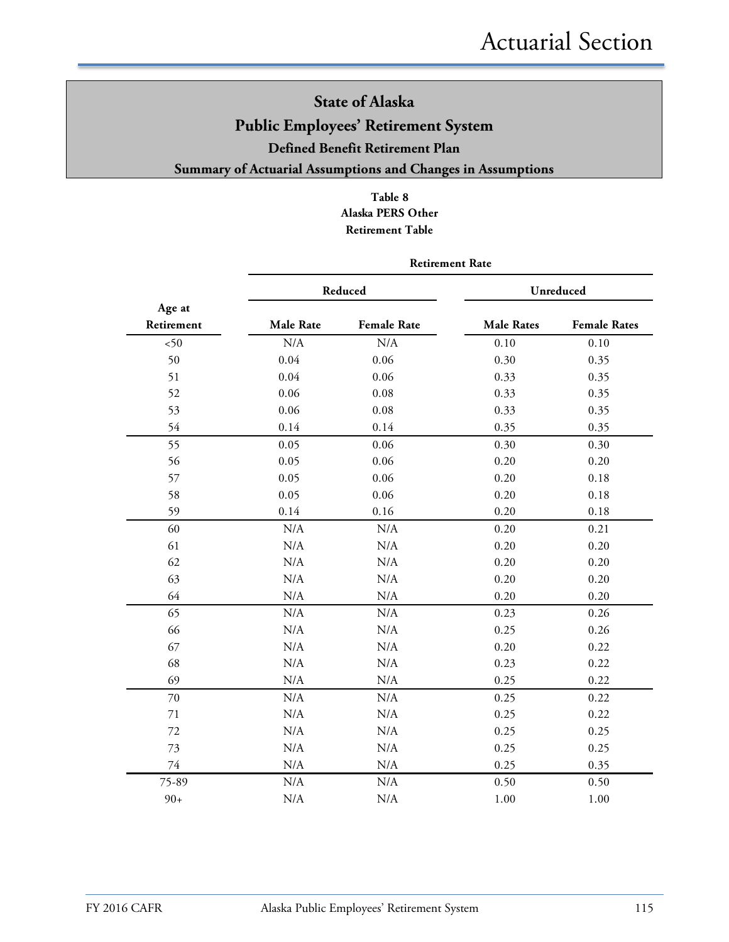### **Table 8 Alaska PERS Other Retirement Table**

|                      | <b>Retirement Rate</b> |                    |                   |                     |  |  |  |  |
|----------------------|------------------------|--------------------|-------------------|---------------------|--|--|--|--|
|                      |                        | Reduced            |                   | Unreduced           |  |  |  |  |
| Age at<br>Retirement | <b>Male Rate</b>       | <b>Female Rate</b> | <b>Male Rates</b> | <b>Female Rates</b> |  |  |  |  |
| $50$                 | N/A                    | N/A                | 0.10              | 0.10                |  |  |  |  |
| 50                   | 0.04                   | 0.06               | 0.30              | 0.35                |  |  |  |  |
| 51                   | 0.04                   | 0.06               | 0.33              | 0.35                |  |  |  |  |
| 52                   | 0.06                   | 0.08               | 0.33              | 0.35                |  |  |  |  |
| 53                   | 0.06                   | 0.08               | 0.33              | 0.35                |  |  |  |  |
| 54                   | 0.14                   | 0.14               | 0.35              | 0.35                |  |  |  |  |
| 55                   | 0.05                   | 0.06               | 0.30              | 0.30                |  |  |  |  |
| 56                   | 0.05                   | 0.06               | 0.20              | 0.20                |  |  |  |  |
| 57                   | 0.05                   | 0.06               | 0.20              | 0.18                |  |  |  |  |
| 58                   | 0.05                   | 0.06               | 0.20              | 0.18                |  |  |  |  |
| 59                   | 0.14                   | 0.16               | 0.20              | 0.18                |  |  |  |  |
| 60                   | N/A                    | N/A                | 0.20              | 0.21                |  |  |  |  |
| 61                   | N/A                    | N/A                | 0.20              | 0.20                |  |  |  |  |
| 62                   | N/A                    | N/A                | 0.20              | 0.20                |  |  |  |  |
| 63                   | N/A                    | N/A                | 0.20              | 0.20                |  |  |  |  |
| 64                   | N/A                    | N/A                | 0.20              | 0.20                |  |  |  |  |
| 65                   | N/A                    | N/A                | 0.23              | 0.26                |  |  |  |  |
| 66                   | N/A                    | N/A                | 0.25              | 0.26                |  |  |  |  |
| 67                   | N/A                    | N/A                | 0.20              | 0.22                |  |  |  |  |
| 68                   | N/A                    | N/A                | 0.23              | 0.22                |  |  |  |  |
| 69                   | N/A                    | N/A                | 0.25              | 0.22                |  |  |  |  |
| 70                   | N/A                    | N/A                | 0.25              | 0.22                |  |  |  |  |
| 71                   | N/A                    | $\rm N/A$          | 0.25              | 0.22                |  |  |  |  |
| 72                   | N/A                    | N/A                | 0.25              | 0.25                |  |  |  |  |
| 73                   | N/A                    | $\rm N/A$          | 0.25              | 0.25                |  |  |  |  |
| 74                   | N/A                    | $\rm N/A$          | 0.25              | 0.35                |  |  |  |  |
| 75-89                | N/A                    | N/A                | 0.50              | 0.50                |  |  |  |  |
| $90+$                | N/A                    | N/A                | 1.00              | 1.00                |  |  |  |  |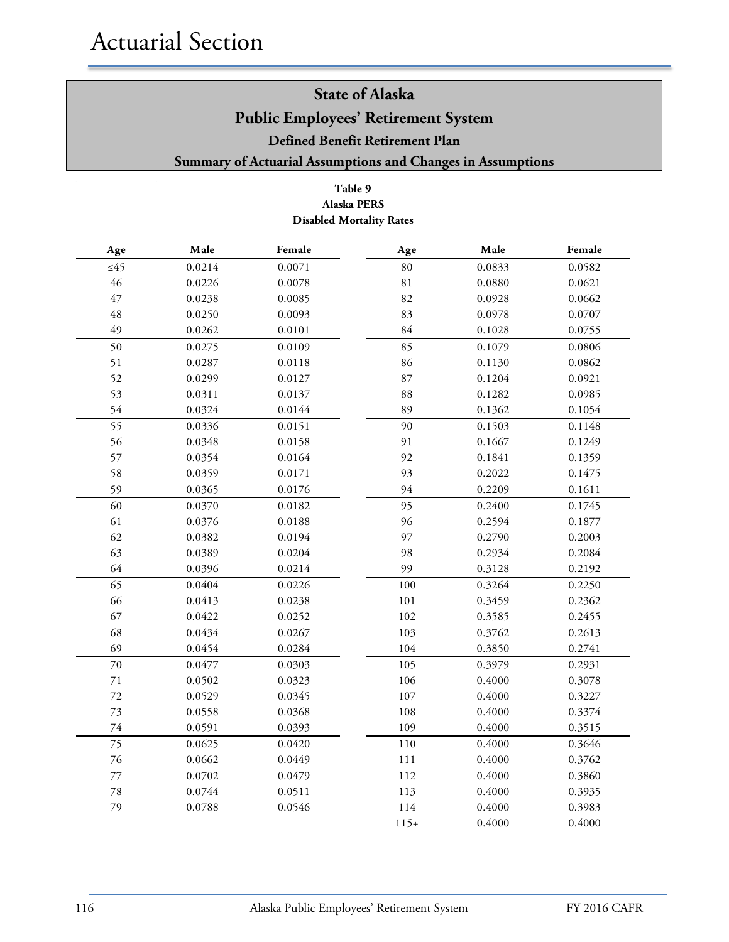### **Table 9 Alaska PERS Disabled Mortality Rates**

| Age       | Male   | Female | Age         | Male   | Female |
|-----------|--------|--------|-------------|--------|--------|
| $\leq 45$ | 0.0214 | 0.0071 | 80          | 0.0833 | 0.0582 |
| 46        | 0.0226 | 0.0078 | $8\sqrt{1}$ | 0.0880 | 0.0621 |
| 47        | 0.0238 | 0.0085 | 82          | 0.0928 | 0.0662 |
| 48        | 0.0250 | 0.0093 | 83          | 0.0978 | 0.0707 |
| 49        | 0.0262 | 0.0101 | 84          | 0.1028 | 0.0755 |
| 50        | 0.0275 | 0.0109 | 85          | 0.1079 | 0.0806 |
| 51        | 0.0287 | 0.0118 | 86          | 0.1130 | 0.0862 |
| 52        | 0.0299 | 0.0127 | 87          | 0.1204 | 0.0921 |
| 53        | 0.0311 | 0.0137 | 88          | 0.1282 | 0.0985 |
| 54        | 0.0324 | 0.0144 | 89          | 0.1362 | 0.1054 |
| 55        | 0.0336 | 0.0151 | 90          | 0.1503 | 0.1148 |
| 56        | 0.0348 | 0.0158 | 91          | 0.1667 | 0.1249 |
| 57        | 0.0354 | 0.0164 | 92          | 0.1841 | 0.1359 |
| 58        | 0.0359 | 0.0171 | 93          | 0.2022 | 0.1475 |
| 59        | 0.0365 | 0.0176 | 94          | 0.2209 | 0.1611 |
| 60        | 0.0370 | 0.0182 | 95          | 0.2400 | 0.1745 |
| 61        | 0.0376 | 0.0188 | 96          | 0.2594 | 0.1877 |
| 62        | 0.0382 | 0.0194 | 97          | 0.2790 | 0.2003 |
| 63        | 0.0389 | 0.0204 | 98          | 0.2934 | 0.2084 |
| 64        | 0.0396 | 0.0214 | 99          | 0.3128 | 0.2192 |
| 65        | 0.0404 | 0.0226 | 100         | 0.3264 | 0.2250 |
| 66        | 0.0413 | 0.0238 | 101         | 0.3459 | 0.2362 |
| 67        | 0.0422 | 0.0252 | 102         | 0.3585 | 0.2455 |
| 68        | 0.0434 | 0.0267 | 103         | 0.3762 | 0.2613 |
| 69        | 0.0454 | 0.0284 | 104         | 0.3850 | 0.2741 |
| 70        | 0.0477 | 0.0303 | 105         | 0.3979 | 0.2931 |
| $71\,$    | 0.0502 | 0.0323 | 106         | 0.4000 | 0.3078 |
| $72\,$    | 0.0529 | 0.0345 | 107         | 0.4000 | 0.3227 |
| 73        | 0.0558 | 0.0368 | 108         | 0.4000 | 0.3374 |
| 74        | 0.0591 | 0.0393 | 109         | 0.4000 | 0.3515 |
| 75        | 0.0625 | 0.0420 | 110         | 0.4000 | 0.3646 |
| 76        | 0.0662 | 0.0449 | 111         | 0.4000 | 0.3762 |
| $77\,$    | 0.0702 | 0.0479 | 112         | 0.4000 | 0.3860 |
| 78        | 0.0744 | 0.0511 | 113         | 0.4000 | 0.3935 |
| 79        | 0.0788 | 0.0546 | 114         | 0.4000 | 0.3983 |
|           |        |        | $115+$      | 0.4000 | 0.4000 |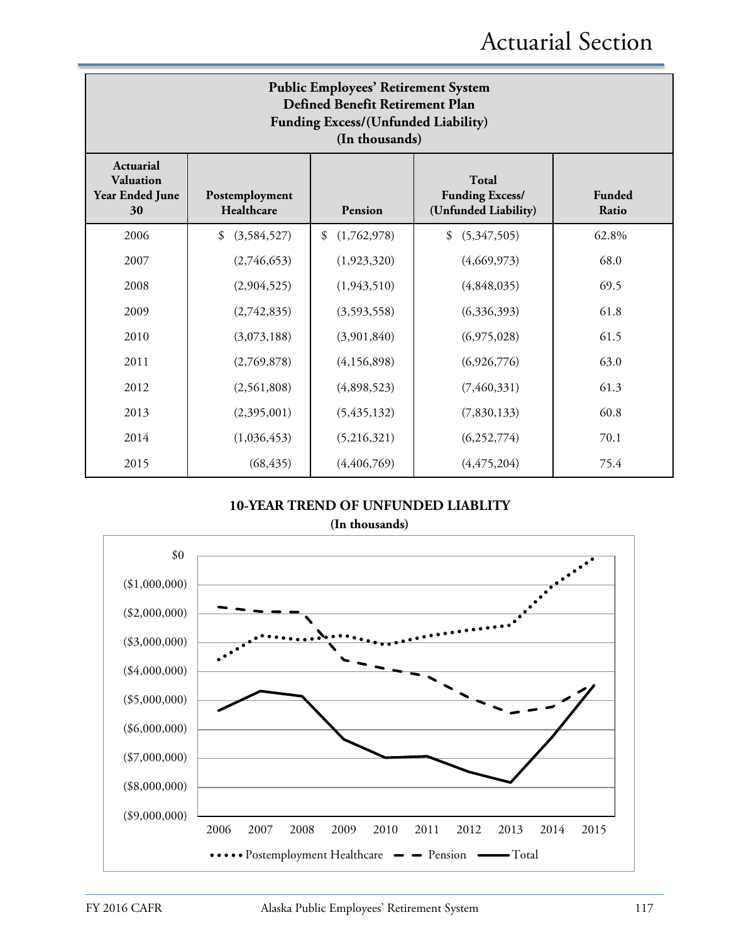| <b>Public Employees' Retirement System</b><br>Defined Benefit Retirement Plan<br><b>Funding Excess/(Unfunded Liability)</b><br>(In thousands)                                                 |                   |                   |                   |       |  |  |  |  |
|-----------------------------------------------------------------------------------------------------------------------------------------------------------------------------------------------|-------------------|-------------------|-------------------|-------|--|--|--|--|
| <b>Actuarial</b><br><b>Valuation</b><br>Total<br>Year Ended June<br><b>Funding Excess/</b><br>Funded<br>Postemployment<br>Healthcare<br>(Unfunded Liability)<br>Ratio<br><b>Pension</b><br>30 |                   |                   |                   |       |  |  |  |  |
| 2006                                                                                                                                                                                          | (3,584,527)<br>\$ | (1,762,978)<br>\$ | \$<br>(5,347,505) | 62.8% |  |  |  |  |
| 2007                                                                                                                                                                                          | (2,746,653)       | (1,923,320)       | (4,669,973)       | 68.0  |  |  |  |  |
| 2008                                                                                                                                                                                          | (2,904,525)       | (1,943,510)       | (4,848,035)       | 69.5  |  |  |  |  |
| 2009                                                                                                                                                                                          | (2,742,835)       | (3,593,558)       | (6,336,393)       | 61.8  |  |  |  |  |
| 2010                                                                                                                                                                                          | (3,073,188)       | (3,901,840)       | (6,975,028)       | 61.5  |  |  |  |  |
| 2011                                                                                                                                                                                          | (2,769,878)       | (4,156,898)       | (6,926,776)       | 63.0  |  |  |  |  |
| 2012                                                                                                                                                                                          | (2,561,808)       | (4,898,523)       | (7, 460, 331)     | 61.3  |  |  |  |  |
| 2013                                                                                                                                                                                          | (2,395,001)       | (5,435,132)       | (7,830,133)       | 60.8  |  |  |  |  |
| 2014                                                                                                                                                                                          | (1,036,453)       | (5,216,321)       | (6,252,774)       | 70.1  |  |  |  |  |
| 2015                                                                                                                                                                                          | (68, 435)         | (4, 406, 769)     | (4, 475, 204)     | 75.4  |  |  |  |  |

### **10-YEAR TREND OF UNFUNDED LIABLITY**



**(In thousands)**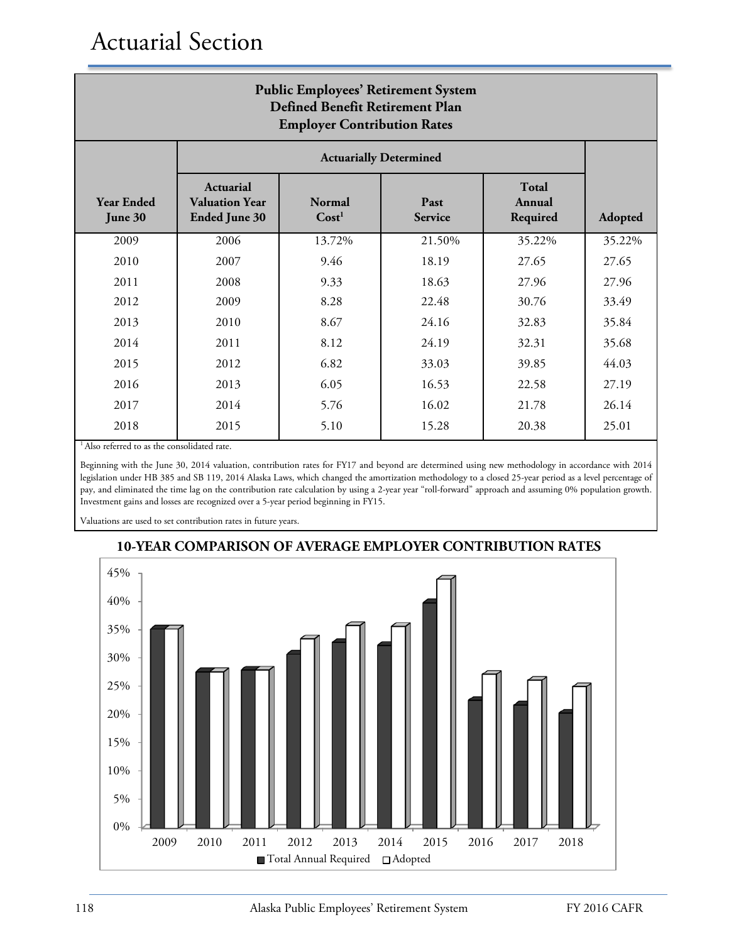| <b>Public Employees' Retirement System</b><br>Defined Benefit Retirement Plan<br><b>Employer Contribution Rates</b> |                                                                                                                                                                  |                        |                               |        |        |  |  |  |  |
|---------------------------------------------------------------------------------------------------------------------|------------------------------------------------------------------------------------------------------------------------------------------------------------------|------------------------|-------------------------------|--------|--------|--|--|--|--|
|                                                                                                                     |                                                                                                                                                                  |                        | <b>Actuarially Determined</b> |        |        |  |  |  |  |
| <b>Year Ended</b><br>June 30                                                                                        | <b>Total</b><br>Actuarial<br><b>Normal</b><br>Annual<br><b>Valuation Year</b><br>Past<br>Cost <sup>1</sup><br><b>Ended June 30</b><br><b>Service</b><br>Required |                        |                               |        |        |  |  |  |  |
| 2009                                                                                                                | 2006                                                                                                                                                             | 13.72%                 | 21.50%                        | 35.22% | 35.22% |  |  |  |  |
| 2010                                                                                                                | 2007                                                                                                                                                             | 9.46                   | 18.19                         | 27.65  | 27.65  |  |  |  |  |
| 2011                                                                                                                | 2008                                                                                                                                                             | 9.33                   | 18.63                         | 27.96  | 27.96  |  |  |  |  |
| 2012                                                                                                                | 2009                                                                                                                                                             | 8.28                   | 22.48                         | 30.76  | 33.49  |  |  |  |  |
| 2013                                                                                                                | 2010                                                                                                                                                             | 8.67                   | 24.16                         | 32.83  | 35.84  |  |  |  |  |
| 2014                                                                                                                | 2011                                                                                                                                                             | 8.12                   | 24.19                         | 32.31  | 35.68  |  |  |  |  |
| 2015                                                                                                                | 2012                                                                                                                                                             | 6.82                   | 33.03                         | 39.85  | 44.03  |  |  |  |  |
| 2016                                                                                                                | 2013                                                                                                                                                             | 6.05<br>16.53<br>22.58 |                               |        |        |  |  |  |  |
| 2017                                                                                                                | 2014                                                                                                                                                             | 5.76<br>16.02<br>21.78 |                               |        |        |  |  |  |  |
| 2018                                                                                                                | 2015                                                                                                                                                             | 5.10                   | 15.28                         | 20.38  | 25.01  |  |  |  |  |

<sup>1</sup> Also referred to as the consolidated rate.

Beginning with the June 30, 2014 valuation, contribution rates for FY17 and beyond are determined using new methodology in accordance with 2014 legislation under HB 385 and SB 119, 2014 Alaska Laws, which changed the amortization methodology to a closed 25-year period as a level percentage of pay, and eliminated the time lag on the contribution rate calculation by using a 2-year year "roll-forward" approach and assuming 0% population growth. Investment gains and losses are recognized over a 5-year period beginning in FY15.

Valuations are used to set contribution rates in future years.



### **10-YEAR COMPARISON OF AVERAGE EMPLOYER CONTRIBUTION RATES**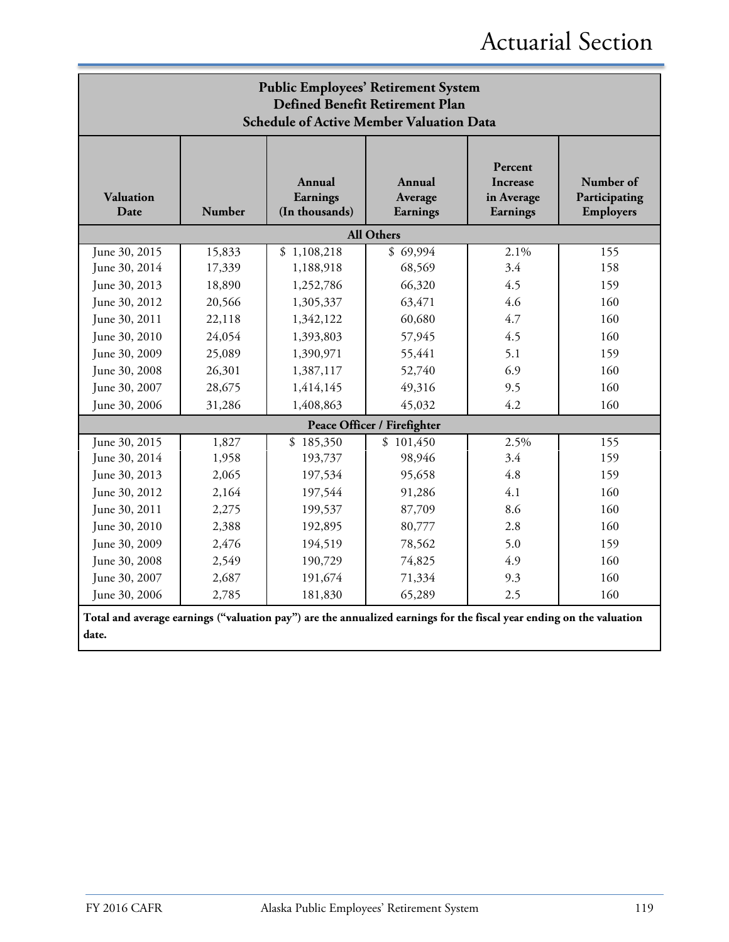| <b>Public Employees' Retirement System</b><br>Defined Benefit Retirement Plan<br><b>Schedule of Active Member Valuation Data</b> |        |                                                                                                                      |                               |                                                      |                                         |  |  |  |
|----------------------------------------------------------------------------------------------------------------------------------|--------|----------------------------------------------------------------------------------------------------------------------|-------------------------------|------------------------------------------------------|-----------------------------------------|--|--|--|
| <b>Valuation</b><br>Date                                                                                                         | Number | Annual<br>Earnings<br>(In thousands)                                                                                 | Annual<br>Average<br>Earnings | Percent<br><b>Increase</b><br>in Average<br>Earnings | Number of<br>Participating<br>Employers |  |  |  |
|                                                                                                                                  |        |                                                                                                                      | <b>All Others</b>             |                                                      |                                         |  |  |  |
| June 30, 2015                                                                                                                    | 15,833 | \$1,108,218                                                                                                          | \$69,994                      | 2.1%                                                 | 155                                     |  |  |  |
| June 30, 2014                                                                                                                    | 17,339 | 1,188,918                                                                                                            | 68,569                        | 3.4                                                  | 158                                     |  |  |  |
| June 30, 2013                                                                                                                    | 18,890 | 1,252,786                                                                                                            | 66,320                        | 4.5                                                  | 159                                     |  |  |  |
| June 30, 2012                                                                                                                    | 20,566 | 1,305,337                                                                                                            | 63,471                        | 4.6                                                  | 160                                     |  |  |  |
| June 30, 2011                                                                                                                    | 22,118 | 1,342,122                                                                                                            | 60,680                        | 4.7                                                  | 160                                     |  |  |  |
| June 30, 2010                                                                                                                    | 24,054 | 1,393,803                                                                                                            | 57,945                        | 4.5                                                  | 160                                     |  |  |  |
| June 30, 2009                                                                                                                    | 25,089 | 1,390,971                                                                                                            | 55,441                        | 5.1                                                  | 159                                     |  |  |  |
| June 30, 2008                                                                                                                    | 26,301 | 1,387,117                                                                                                            | 52,740                        | 6.9                                                  | 160                                     |  |  |  |
| June 30, 2007                                                                                                                    | 28,675 | 1,414,145                                                                                                            | 49,316                        | 9.5                                                  | 160                                     |  |  |  |
| June 30, 2006                                                                                                                    | 31,286 | 1,408,863                                                                                                            | 45,032                        | 4.2                                                  | 160                                     |  |  |  |
|                                                                                                                                  |        |                                                                                                                      | Peace Officer / Firefighter   |                                                      |                                         |  |  |  |
| June 30, 2015                                                                                                                    | 1,827  | \$185,350                                                                                                            | \$101,450                     | 2.5%                                                 | 155                                     |  |  |  |
| June 30, 2014                                                                                                                    | 1,958  | 193,737                                                                                                              | 98,946                        | 3.4                                                  | 159                                     |  |  |  |
| June 30, 2013                                                                                                                    | 2,065  | 197,534                                                                                                              | 95,658                        | 4.8                                                  | 159                                     |  |  |  |
| June 30, 2012                                                                                                                    | 2,164  | 197,544                                                                                                              | 91,286                        | 4.1                                                  | 160                                     |  |  |  |
| June 30, 2011                                                                                                                    | 2,275  | 199,537                                                                                                              | 87,709                        | 8.6                                                  | 160                                     |  |  |  |
| June 30, 2010                                                                                                                    | 2,388  | 192,895                                                                                                              | 80,777                        | 2.8                                                  | 160                                     |  |  |  |
| June 30, 2009                                                                                                                    | 2,476  | 194,519                                                                                                              | 78,562                        | 5.0                                                  | 159                                     |  |  |  |
| June 30, 2008                                                                                                                    | 2,549  | 190,729                                                                                                              | 74,825                        | 4.9                                                  | 160                                     |  |  |  |
| June 30, 2007                                                                                                                    | 2,687  | 191,674                                                                                                              | 71,334                        | 9.3                                                  | 160                                     |  |  |  |
| June 30, 2006                                                                                                                    | 2,785  | 181,830                                                                                                              | 65,289                        | 2.5                                                  | 160                                     |  |  |  |
|                                                                                                                                  |        | Total and average earnings ("valuation pay") are the annualized earnings for the fiscal year ending on the valuation |                               |                                                      |                                         |  |  |  |
| date.                                                                                                                            |        |                                                                                                                      |                               |                                                      |                                         |  |  |  |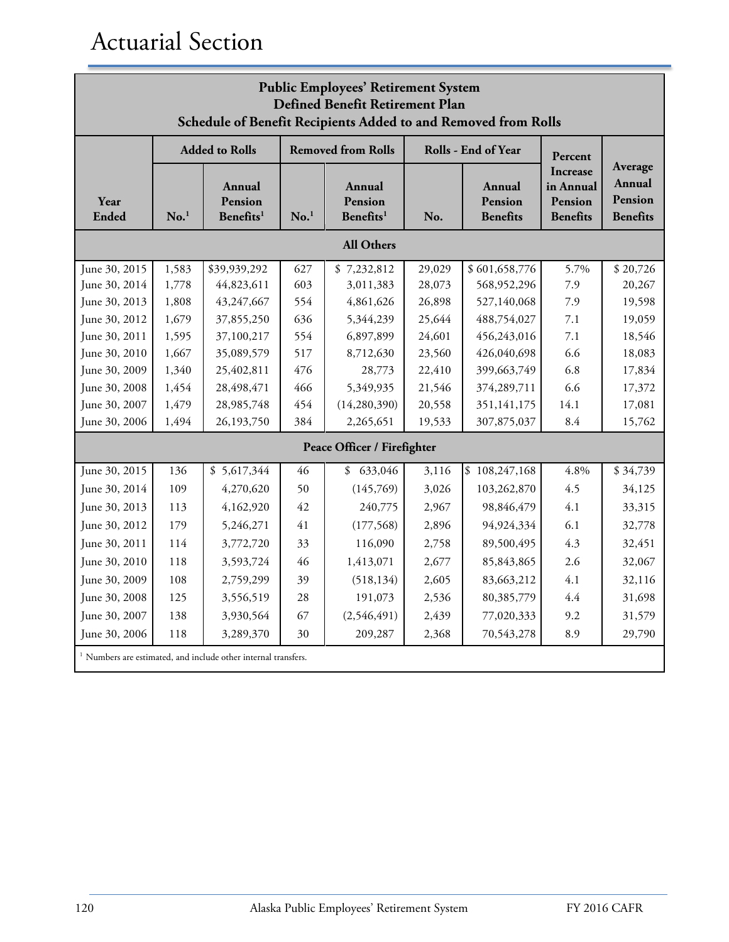| <b>Public Employees' Retirement System</b><br>Defined Benefit Retirement Plan<br>Schedule of Benefit Recipients Added to and Removed from Rolls |                  |                                                                           |                  |                                            |                                             |                     |                                                     |                                                 |  |
|-------------------------------------------------------------------------------------------------------------------------------------------------|------------------|---------------------------------------------------------------------------|------------------|--------------------------------------------|---------------------------------------------|---------------------|-----------------------------------------------------|-------------------------------------------------|--|
|                                                                                                                                                 |                  | <b>Added to Rolls</b>                                                     |                  | <b>Removed from Rolls</b>                  |                                             | Rolls - End of Year | Percent                                             |                                                 |  |
| Year<br><b>Ended</b>                                                                                                                            | No. <sup>1</sup> | Annual<br>Pension<br>Benefits <sup>1</sup>                                | No. <sup>1</sup> | Annual<br>Pension<br>Benefits <sup>1</sup> | Annual<br>Pension<br><b>Benefits</b><br>No. |                     | Increase<br>in Annual<br>Pension<br><b>Benefits</b> | Average<br>Annual<br>Pension<br><b>Benefits</b> |  |
|                                                                                                                                                 |                  |                                                                           |                  | <b>All Others</b>                          |                                             |                     |                                                     |                                                 |  |
| June 30, 2015                                                                                                                                   | 1,583            | \$39,939,292                                                              | 627              | \$7,232,812                                | 29,029                                      | \$601,658,776       | 5.7%                                                | \$20,726                                        |  |
| June 30, 2014                                                                                                                                   | 1,778            | 44,823,611                                                                | 603              | 3,011,383                                  | 28,073                                      | 568,952,296         | 7.9                                                 | 20,267                                          |  |
| June 30, 2013                                                                                                                                   | 1,808            | 43,247,667                                                                | 554              | 4,861,626                                  | 26,898                                      | 527,140,068         | 7.9                                                 | 19,598                                          |  |
| June 30, 2012                                                                                                                                   | 1,679            | 37,855,250                                                                | 636              | 5,344,239                                  | 25,644                                      | 488,754,027         | 7.1                                                 | 19,059                                          |  |
| June 30, 2011                                                                                                                                   | 1,595            | 37,100,217                                                                | 554              | 6,897,899                                  | 24,601                                      | 456,243,016         | 7.1                                                 | 18,546                                          |  |
| June 30, 2010                                                                                                                                   | 1,667            | 35,089,579                                                                | 517              | 8,712,630                                  | 23,560                                      | 426,040,698         | 6.6                                                 | 18,083                                          |  |
| June 30, 2009                                                                                                                                   | 1,340            | 25,402,811                                                                | 476              | 28,773                                     | 22,410                                      | 399,663,749         | 6.8                                                 | 17,834                                          |  |
| June 30, 2008                                                                                                                                   | 1,454            | 28,498,471                                                                | 466              | 5,349,935                                  | 21,546                                      | 374,289,711         | 6.6                                                 | 17,372                                          |  |
| June 30, 2007                                                                                                                                   | 1,479            | 28,985,748                                                                | 454              | (14, 280, 390)                             | 20,558                                      | 351,141,175         | 14.1                                                | 17,081                                          |  |
| June 30, 2006                                                                                                                                   | 1,494            | 26,193,750                                                                | 384              | 2,265,651                                  | 19,533                                      | 307,875,037         | 8.4                                                 | 15,762                                          |  |
|                                                                                                                                                 |                  |                                                                           |                  | Peace Officer / Firefighter                |                                             |                     |                                                     |                                                 |  |
| June 30, 2015                                                                                                                                   | 136              | \$5,617,344                                                               | 46               | \$633,046                                  | 3,116                                       | \$108,247,168       | 4.8%                                                | \$34,739                                        |  |
| June 30, 2014                                                                                                                                   | 109              | 4,270,620                                                                 | 50               | (145,769)                                  | 3,026                                       | 103,262,870         | 4.5                                                 | 34,125                                          |  |
| June 30, 2013                                                                                                                                   | 113              | 4,162,920                                                                 | 42               | 240,775                                    | 2,967                                       | 98,846,479          | 4.1                                                 | 33,315                                          |  |
| June 30, 2012                                                                                                                                   | 179              | 5,246,271                                                                 | 41               | (177, 568)                                 | 2,896                                       | 94,924,334          | 6.1                                                 | 32,778                                          |  |
| June 30, 2011                                                                                                                                   | 114              | 3,772,720                                                                 | 33               | 116,090                                    | 2,758                                       | 89,500,495          | 4.3                                                 | 32,451                                          |  |
| June 30, 2010                                                                                                                                   | 118              | 3,593,724                                                                 | 46               | 1,413,071                                  | 2,677                                       | 85,843,865          | 2.6                                                 | 32,067                                          |  |
| June 30, 2009                                                                                                                                   | 108              | 2,759,299                                                                 | 39               | (518, 134)                                 | 2,605                                       | 83,663,212          | 4.1                                                 | 32,116                                          |  |
| June 30, 2008                                                                                                                                   | 125              | 3,556,519                                                                 | 28               | 191,073                                    | 2,536                                       | 80,385,779          | 4.4                                                 | 31,698                                          |  |
| June 30, 2007                                                                                                                                   | 138              | 3,930,564                                                                 | 67               | (2,546,491)                                | 2,439                                       | 77,020,333          | 9.2                                                 | 31,579                                          |  |
| June 30, 2006                                                                                                                                   | 118              | 3,289,370                                                                 | 30               | 209,287                                    | 2,368                                       | 70,543,278          | 8.9                                                 | 29,790                                          |  |
|                                                                                                                                                 |                  | <sup>1</sup> Numbers are estimated, and include other internal transfers. |                  |                                            |                                             |                     |                                                     |                                                 |  |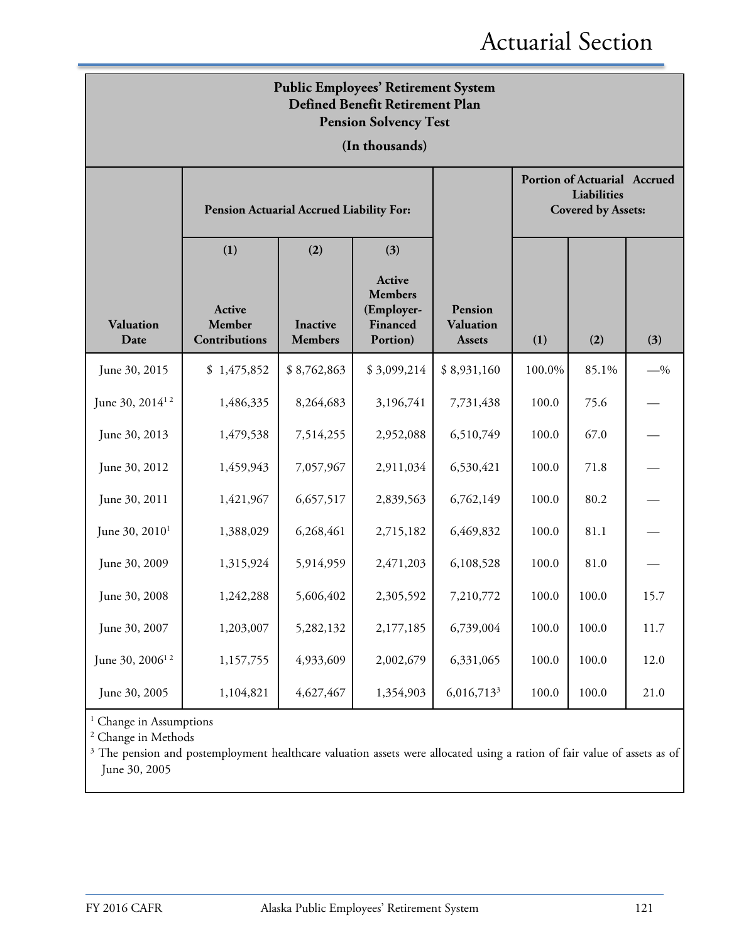| <b>Public Employees' Retirement System</b><br>Defined Benefit Retirement Plan<br><b>Pension Solvency Test</b> |                                   |                                          |                                                                |                                       |        |                                                                                 |       |  |  |
|---------------------------------------------------------------------------------------------------------------|-----------------------------------|------------------------------------------|----------------------------------------------------------------|---------------------------------------|--------|---------------------------------------------------------------------------------|-------|--|--|
|                                                                                                               |                                   |                                          | (In thousands)                                                 |                                       |        |                                                                                 |       |  |  |
|                                                                                                               |                                   | Pension Actuarial Accrued Liability For: |                                                                |                                       |        | <b>Portion of Actuarial Accrued</b><br>Liabilities<br><b>Covered by Assets:</b> |       |  |  |
|                                                                                                               | (1)                               | (2)                                      | (3)                                                            |                                       |        |                                                                                 |       |  |  |
| <b>Valuation</b><br>Date                                                                                      | Active<br>Member<br>Contributions | <b>Inactive</b><br><b>Members</b>        | Active<br><b>Members</b><br>(Employer-<br>Financed<br>Portion) | Pension<br>Valuation<br><b>Assets</b> | (1)    | (2)                                                                             | (3)   |  |  |
| June 30, 2015                                                                                                 | \$1,475,852                       | \$8,762,863                              | \$3,099,214                                                    | \$8,931,160                           | 100.0% | 85.1%                                                                           | $-$ % |  |  |
| June 30, 2014 <sup>12</sup>                                                                                   | 1,486,335                         | 8,264,683                                | 3,196,741                                                      | 7,731,438                             | 100.0  | 75.6                                                                            |       |  |  |
| June 30, 2013                                                                                                 | 1,479,538                         | 7,514,255                                | 2,952,088                                                      | 6,510,749                             | 100.0  | 67.0                                                                            |       |  |  |
| June 30, 2012                                                                                                 | 1,459,943                         | 7,057,967                                | 2,911,034                                                      | 6,530,421                             | 100.0  | 71.8                                                                            |       |  |  |
| June 30, 2011                                                                                                 | 1,421,967                         | 6,657,517                                | 2,839,563                                                      | 6,762,149                             | 100.0  | 80.2                                                                            |       |  |  |
| June 30, 2010 <sup>1</sup>                                                                                    | 1,388,029                         | 6,268,461                                | 2,715,182                                                      | 6,469,832                             | 100.0  | 81.1                                                                            |       |  |  |
| June 30, 2009                                                                                                 | 1,315,924                         | 5,914,959                                | 2,471,203                                                      | 6,108,528                             | 100.0  | 81.0                                                                            |       |  |  |
| June 30, 2008                                                                                                 | 1,242,288                         | 5,606,402                                | 2,305,592                                                      | 7,210,772                             | 100.0  | 100.0                                                                           | 15.7  |  |  |
| June 30, 2007                                                                                                 | 1,203,007                         | 5,282,132                                | 2,177,185                                                      | 6,739,004                             | 100.0  | 100.0                                                                           | 11.7  |  |  |
| June 30, 2006 <sup>12</sup>                                                                                   | 1,157,755                         | 4,933,609                                | 2,002,679                                                      | 6,331,065                             | 100.0  | 100.0                                                                           | 12.0  |  |  |
| June 30, 2005                                                                                                 | 1,104,821                         | 4,627,467                                | 1,354,903                                                      | 6,016,713 <sup>3</sup>                | 100.0  | 100.0                                                                           | 21.0  |  |  |

 $^{\rm 1}$  Change in Assumptions

<sup>2</sup> Change in Methods

<sup>3</sup> The pension and postemployment healthcare valuation assets were allocated using a ration of fair value of assets as of June 30, 2005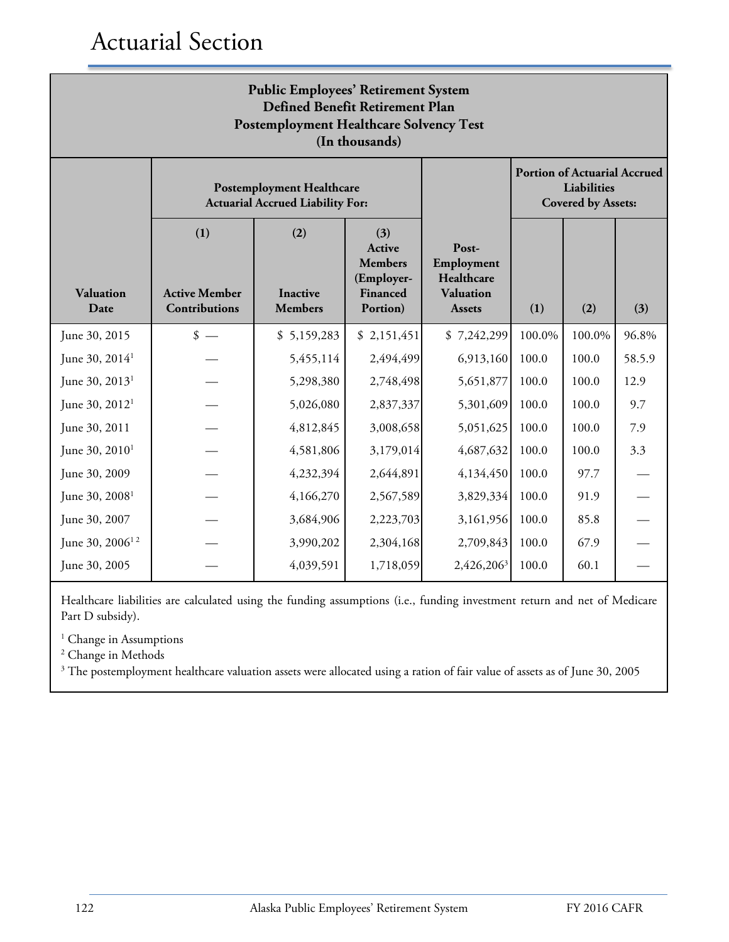| <b>Public Employees' Retirement System</b><br>Defined Benefit Retirement Plan<br><b>Postemployment Healthcare Solvency Test</b><br>(In thousands) |                                                                             |                                          |                                                                              |                                                                        |        |                                                                                 |        |  |  |
|---------------------------------------------------------------------------------------------------------------------------------------------------|-----------------------------------------------------------------------------|------------------------------------------|------------------------------------------------------------------------------|------------------------------------------------------------------------|--------|---------------------------------------------------------------------------------|--------|--|--|
|                                                                                                                                                   | <b>Postemployment Healthcare</b><br><b>Actuarial Accrued Liability For:</b> |                                          |                                                                              |                                                                        |        | <b>Portion of Actuarial Accrued</b><br>Liabilities<br><b>Covered by Assets:</b> |        |  |  |
| Valuation<br>Date                                                                                                                                 | (1)<br><b>Active Member</b><br>Contributions                                | (2)<br><b>Inactive</b><br><b>Members</b> | (3)<br>Active<br><b>Members</b><br>(Employer-<br><b>Financed</b><br>Portion) | Post-<br>Employment<br>Healthcare<br><b>Valuation</b><br><b>Assets</b> | (1)    | (2)                                                                             | (3)    |  |  |
| June 30, 2015                                                                                                                                     | $\frac{\text{I}}{\text{I}}$                                                 | \$5,159,283                              | \$2,151,451                                                                  | \$7,242,299                                                            | 100.0% | 100.0%                                                                          | 96.8%  |  |  |
| June 30, 2014 <sup>1</sup>                                                                                                                        |                                                                             | 5,455,114                                | 2,494,499                                                                    | 6,913,160                                                              | 100.0  | 100.0                                                                           | 58.5.9 |  |  |
| June 30, 2013 <sup>1</sup>                                                                                                                        |                                                                             | 5,298,380                                | 2,748,498                                                                    | 5,651,877                                                              | 100.0  | 100.0                                                                           | 12.9   |  |  |
| June 30, 2012 <sup>1</sup>                                                                                                                        |                                                                             | 5,026,080                                | 2,837,337                                                                    | 5,301,609                                                              | 100.0  | 100.0                                                                           | 9.7    |  |  |
| June 30, 2011                                                                                                                                     |                                                                             | 4,812,845                                | 3,008,658                                                                    | 5,051,625                                                              | 100.0  | 100.0                                                                           | 7.9    |  |  |
| June 30, $2010^1$                                                                                                                                 |                                                                             | 4,581,806                                | 3,179,014                                                                    | 4,687,632                                                              | 100.0  | 100.0                                                                           | 3.3    |  |  |
| June 30, 2009                                                                                                                                     |                                                                             | 4,232,394                                | 2,644,891                                                                    | 4,134,450                                                              | 100.0  | 97.7                                                                            |        |  |  |
| June $30, 20081$                                                                                                                                  |                                                                             | 4,166,270                                | 2,567,589                                                                    | 3,829,334                                                              | 100.0  | 91.9                                                                            |        |  |  |
| June 30, 2007                                                                                                                                     |                                                                             | 3,684,906                                | 2,223,703                                                                    | 3,161,956                                                              | 100.0  | 85.8                                                                            |        |  |  |
| June 30, 2006 <sup>12</sup>                                                                                                                       |                                                                             | 3,990,202                                | 2,304,168                                                                    | 2,709,843                                                              | 100.0  | 67.9                                                                            |        |  |  |
| June 30, 2005                                                                                                                                     |                                                                             | 4,039,591                                | 1,718,059                                                                    | 2,426,206 <sup>3</sup>                                                 | 100.0  | 60.1                                                                            |        |  |  |

Healthcare liabilities are calculated using the funding assumptions (i.e., funding investment return and net of Medicare Part D subsidy).

<sup>1</sup> Change in Assumptions

<sup>2</sup> Change in Methods

<sup>3</sup> The postemployment healthcare valuation assets were allocated using a ration of fair value of assets as of June 30, 2005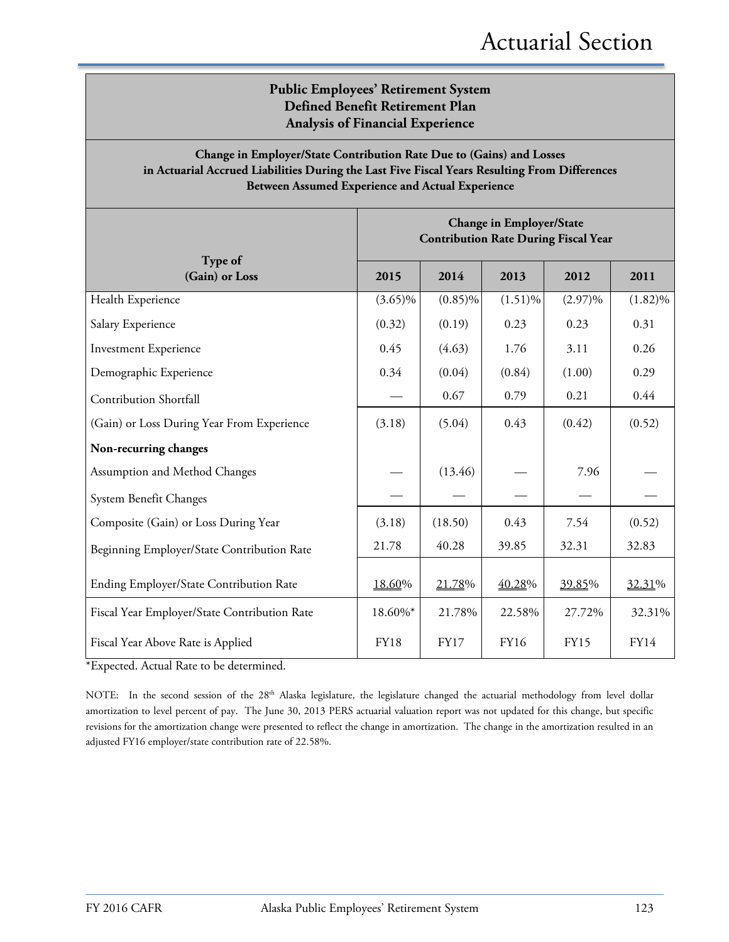### **Public Employees' Retirement System Defined Benefit Retirement Plan Analysis of Financial Experience**

### **Change in Employer/State Contribution Rate Due to (Gains) and Losses in Actuarial Accrued Liabilities During the Last Five Fiscal Years Resulting From Differences Between Assumed Experience and Actual Experience**

|                                              | <b>Change in Employer/State</b><br><b>Contribution Rate During Fiscal Year</b> |             |             |             |             |  |
|----------------------------------------------|--------------------------------------------------------------------------------|-------------|-------------|-------------|-------------|--|
| Type of<br>(Gain) or Loss                    | 2015                                                                           | 2014        | 2013        | 2012        | 2011        |  |
| Health Experience                            | $(3.65)\%$                                                                     | $(0.85)\%$  | $(1.51)\%$  | $(2.97)\%$  | $(1.82)\%$  |  |
| Salary Experience                            | (0.32)                                                                         | (0.19)      | 0.23        | 0.23        | 0.31        |  |
| <b>Investment Experience</b>                 | 0.45                                                                           | (4.63)      | 1.76        | 3.11        | 0.26        |  |
| Demographic Experience                       | 0.34                                                                           | (0.04)      | (0.84)      | (1.00)      | 0.29        |  |
| Contribution Shortfall                       |                                                                                | 0.67        | 0.79        | 0.21        | 0.44        |  |
| (Gain) or Loss During Year From Experience   | (3.18)                                                                         | (5.04)      | 0.43        | (0.42)      | (0.52)      |  |
| Non-recurring changes                        |                                                                                |             |             |             |             |  |
| Assumption and Method Changes                |                                                                                | (13.46)     |             | 7.96        |             |  |
| System Benefit Changes                       |                                                                                |             |             |             |             |  |
| Composite (Gain) or Loss During Year         | (3.18)                                                                         | (18.50)     | 0.43        | 7.54        | (0.52)      |  |
| Beginning Employer/State Contribution Rate   | 21.78                                                                          | 40.28       | 39.85       | 32.31       | 32.83       |  |
| Ending Employer/State Contribution Rate      | 18.60%                                                                         | 21.78%      | 40.28%      | 39.85%      | 32.31%      |  |
| Fiscal Year Employer/State Contribution Rate | 18.60%*                                                                        | 21.78%      | 22.58%      | 27.72%      | 32.31%      |  |
| Fiscal Year Above Rate is Applied            | <b>FY18</b>                                                                    | <b>FY17</b> | <b>FY16</b> | <b>FY15</b> | <b>FY14</b> |  |

\*Expected. Actual Rate to be determined.

NOTE: In the second session of the 28<sup>th</sup> Alaska legislature, the legislature changed the actuarial methodology from level dollar amortization to level percent of pay. The June 30, 2013 PERS actuarial valuation report was not updated for this change, but specific revisions for the amortization change were presented to reflect the change in amortization. The change in the amortization resulted in an adjusted FY16 employer/state contribution rate of 22.58%.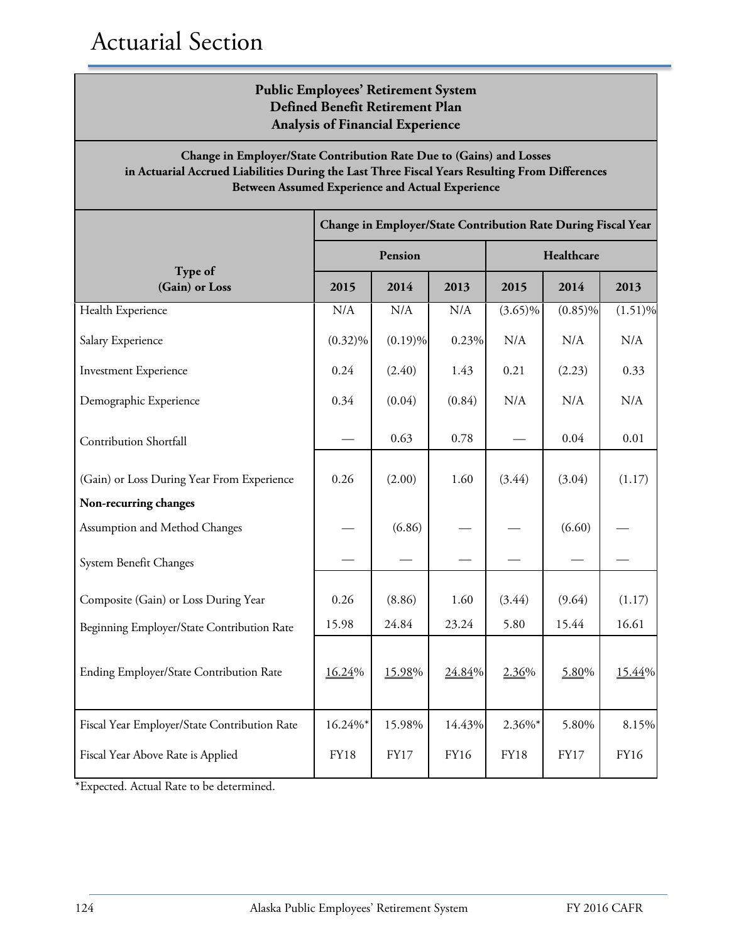### **Public Employees' Retirement System Defined Benefit Retirement Plan Analysis of Financial Experience**

### **Change in Employer/State Contribution Rate Due to (Gains) and Losses in Actuarial Accrued Liabilities During the Last Three Fiscal Years Resulting From Differences Between Assumed Experience and Actual Experience**

|                                              | Change in Employer/State Contribution Rate During Fiscal Year |             |             |             |             |             |  |
|----------------------------------------------|---------------------------------------------------------------|-------------|-------------|-------------|-------------|-------------|--|
|                                              |                                                               | Pension     |             | Healthcare  |             |             |  |
| Type of<br>(Gain) or Loss                    | 2015                                                          | 2014        | 2013        | 2015        | 2014        | 2013        |  |
| Health Experience                            | N/A                                                           | N/A         | N/A         | $(3.65)\%$  | $(0.85)\%$  | $(1.51)\%$  |  |
| Salary Experience                            | $(0.32)\%$                                                    | $(0.19)\%$  | 0.23%       | N/A         | N/A         | N/A         |  |
| <b>Investment Experience</b>                 | 0.24                                                          | (2.40)      | 1.43        | 0.21        | (2.23)      | 0.33        |  |
| Demographic Experience                       | 0.34                                                          | (0.04)      | (0.84)      | N/A         | N/A         | N/A         |  |
| <b>Contribution Shortfall</b>                |                                                               | 0.63        | 0.78        |             | 0.04        | 0.01        |  |
| (Gain) or Loss During Year From Experience   | 0.26                                                          | (2.00)      | 1.60        | (3.44)      | (3.04)      | (1.17)      |  |
| Non-recurring changes                        |                                                               |             |             |             |             |             |  |
| Assumption and Method Changes                |                                                               | (6.86)      |             |             | (6.60)      |             |  |
| System Benefit Changes                       |                                                               |             |             |             |             |             |  |
| Composite (Gain) or Loss During Year         | 0.26                                                          | (8.86)      | 1.60        | (3.44)      | (9.64)      | (1.17)      |  |
| Beginning Employer/State Contribution Rate   | 15.98                                                         | 24.84       | 23.24       | 5.80        | 15.44       | 16.61       |  |
| Ending Employer/State Contribution Rate      | 16.24%                                                        | 15.98%      | 24.84%      | 2.36%       | 5.80%       | 15.44%      |  |
| Fiscal Year Employer/State Contribution Rate | 16.24%*                                                       | 15.98%      | 14.43%      | 2.36%*      | 5.80%       | 8.15%       |  |
| Fiscal Year Above Rate is Applied            | <b>FY18</b>                                                   | <b>FY17</b> | <b>FY16</b> | <b>FY18</b> | <b>FY17</b> | <b>FY16</b> |  |

\*Expected. Actual Rate to be determined.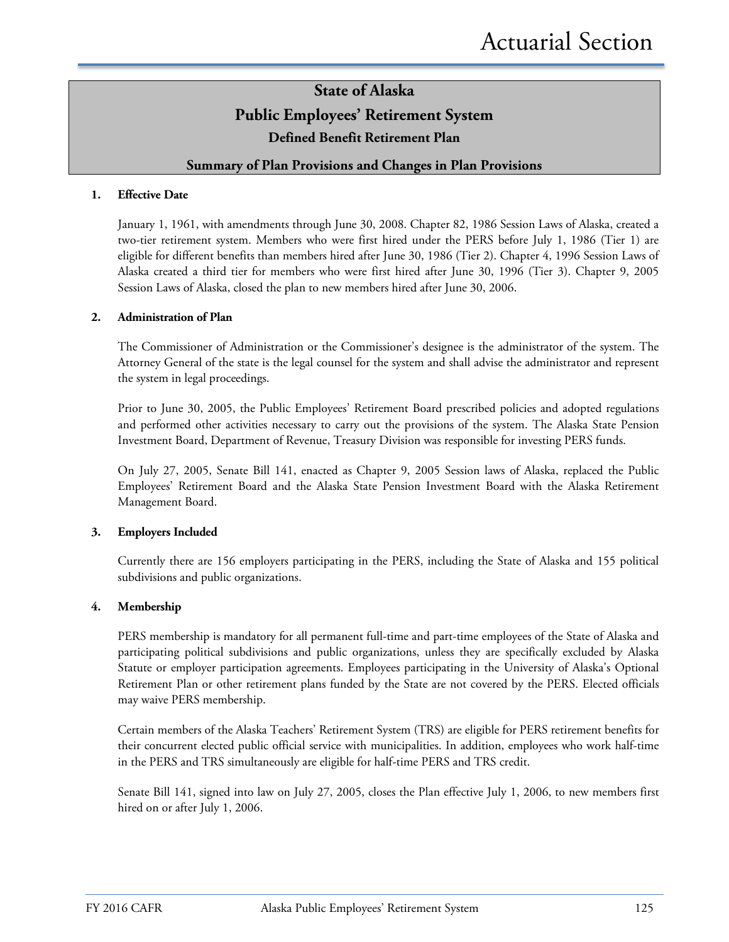### **State of Alaska Public Employees' Retirement System Defined Benefit Retirement Plan**

### **Summary of Plan Provisions and Changes in Plan Provisions**

#### **1. Effective Date**

January 1, 1961, with amendments through June 30, 2008. Chapter 82, 1986 Session Laws of Alaska, created a two-tier retirement system. Members who were first hired under the PERS before July 1, 1986 (Tier 1) are eligible for different benefits than members hired after June 30, 1986 (Tier 2). Chapter 4, 1996 Session Laws of Alaska created a third tier for members who were first hired after June 30, 1996 (Tier 3). Chapter 9, 2005 Session Laws of Alaska, closed the plan to new members hired after June 30, 2006.

#### **2. Administration of Plan**

The Commissioner of Administration or the Commissioner's designee is the administrator of the system. The Attorney General of the state is the legal counsel for the system and shall advise the administrator and represent the system in legal proceedings.

Prior to June 30, 2005, the Public Employees' Retirement Board prescribed policies and adopted regulations and performed other activities necessary to carry out the provisions of the system. The Alaska State Pension Investment Board, Department of Revenue, Treasury Division was responsible for investing PERS funds.

On July 27, 2005, Senate Bill 141, enacted as Chapter 9, 2005 Session laws of Alaska, replaced the Public Employees' Retirement Board and the Alaska State Pension Investment Board with the Alaska Retirement Management Board.

#### **3. Employers Included**

Currently there are 156 employers participating in the PERS, including the State of Alaska and 155 political subdivisions and public organizations.

#### **4. Membership**

PERS membership is mandatory for all permanent full-time and part-time employees of the State of Alaska and participating political subdivisions and public organizations, unless they are specifically excluded by Alaska Statute or employer participation agreements. Employees participating in the University of Alaska's Optional Retirement Plan or other retirement plans funded by the State are not covered by the PERS. Elected officials may waive PERS membership.

Certain members of the Alaska Teachers' Retirement System (TRS) are eligible for PERS retirement benefits for their concurrent elected public official service with municipalities. In addition, employees who work half-time in the PERS and TRS simultaneously are eligible for half-time PERS and TRS credit.

Senate Bill 141, signed into law on July 27, 2005, closes the Plan effective July 1, 2006, to new members first hired on or after July 1, 2006.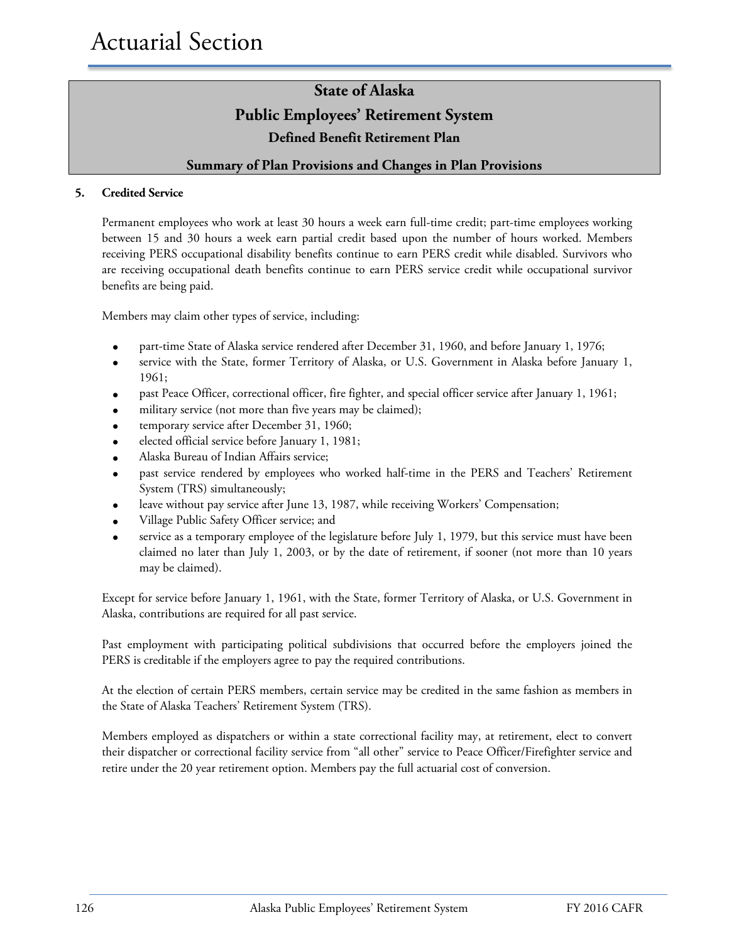### **State of Alaska Public Employees' Retirement System Defined Benefit Retirement Plan**

### **Summary of Plan Provisions and Changes in Plan Provisions**

### **5. Credited Service**

Permanent employees who work at least 30 hours a week earn full-time credit; part-time employees working between 15 and 30 hours a week earn partial credit based upon the number of hours worked. Members receiving PERS occupational disability benefits continue to earn PERS credit while disabled. Survivors who are receiving occupational death benefits continue to earn PERS service credit while occupational survivor benefits are being paid.

Members may claim other types of service, including:

- part-time State of Alaska service rendered after December 31, 1960, and before January 1, 1976;
- service with the State, former Territory of Alaska, or U.S. Government in Alaska before January 1, 1961;
- past Peace Officer, correctional officer, fire fighter, and special officer service after January 1, 1961;
- military service (not more than five years may be claimed);
- temporary service after December 31, 1960;
- elected official service before January 1, 1981;
- Alaska Bureau of Indian Affairs service;
- past service rendered by employees who worked half-time in the PERS and Teachers' Retirement System (TRS) simultaneously;
- leave without pay service after June 13, 1987, while receiving Workers' Compensation;
- Village Public Safety Officer service; and
- service as a temporary employee of the legislature before July 1, 1979, but this service must have been claimed no later than July 1, 2003, or by the date of retirement, if sooner (not more than 10 years may be claimed).

Except for service before January 1, 1961, with the State, former Territory of Alaska, or U.S. Government in Alaska, contributions are required for all past service.

Past employment with participating political subdivisions that occurred before the employers joined the PERS is creditable if the employers agree to pay the required contributions.

At the election of certain PERS members, certain service may be credited in the same fashion as members in the State of Alaska Teachers' Retirement System (TRS).

Members employed as dispatchers or within a state correctional facility may, at retirement, elect to convert their dispatcher or correctional facility service from "all other" service to Peace Officer/Firefighter service and retire under the 20 year retirement option. Members pay the full actuarial cost of conversion.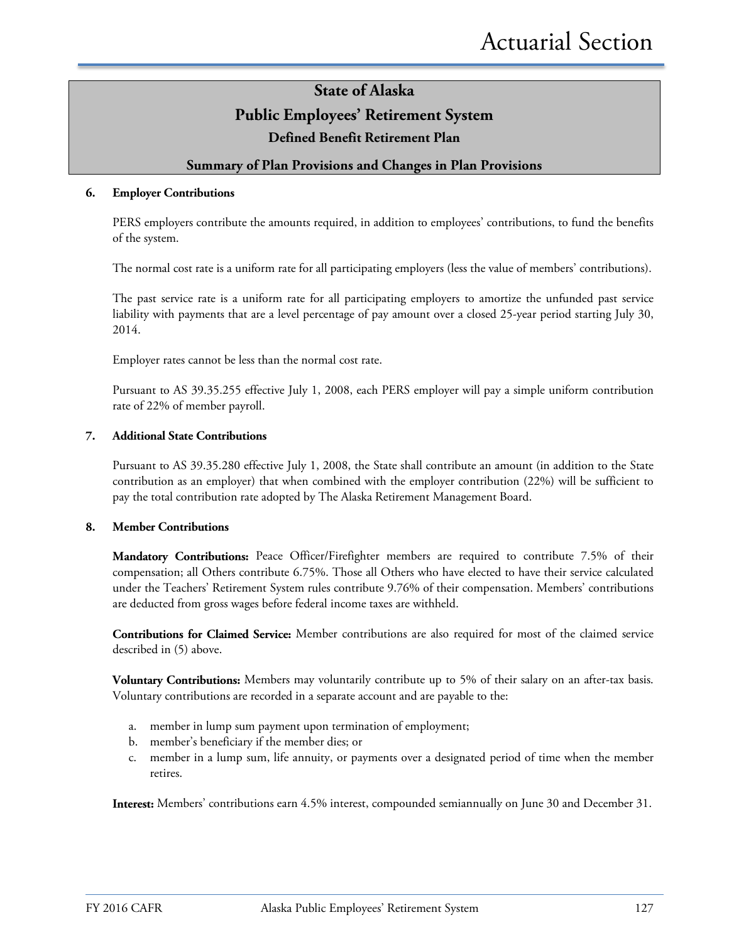### **State of Alaska Public Employees' Retirement System**

**Defined Benefit Retirement Plan**

### **Summary of Plan Provisions and Changes in Plan Provisions**

#### **6. Employer Contributions**

PERS employers contribute the amounts required, in addition to employees' contributions, to fund the benefits of the system.

The normal cost rate is a uniform rate for all participating employers (less the value of members' contributions).

The past service rate is a uniform rate for all participating employers to amortize the unfunded past service liability with payments that are a level percentage of pay amount over a closed 25-year period starting July 30, 2014.

Employer rates cannot be less than the normal cost rate.

Pursuant to AS 39.35.255 effective July 1, 2008, each PERS employer will pay a simple uniform contribution rate of 22% of member payroll.

#### **7. Additional State Contributions**

Pursuant to AS 39.35.280 effective July 1, 2008, the State shall contribute an amount (in addition to the State contribution as an employer) that when combined with the employer contribution (22%) will be sufficient to pay the total contribution rate adopted by The Alaska Retirement Management Board.

#### **8. Member Contributions**

**Mandatory Contributions:** Peace Officer/Firefighter members are required to contribute 7.5% of their compensation; all Others contribute 6.75%. Those all Others who have elected to have their service calculated under the Teachers' Retirement System rules contribute 9.76% of their compensation. Members' contributions are deducted from gross wages before federal income taxes are withheld.

**Contributions for Claimed Service:** Member contributions are also required for most of the claimed service described in (5) above.

**Voluntary Contributions:** Members may voluntarily contribute up to 5% of their salary on an after-tax basis. Voluntary contributions are recorded in a separate account and are payable to the:

- a. member in lump sum payment upon termination of employment;
- b. member's beneficiary if the member dies; or
- c. member in a lump sum, life annuity, or payments over a designated period of time when the member retires.

**Interest:** Members' contributions earn 4.5% interest, compounded semiannually on June 30 and December 31.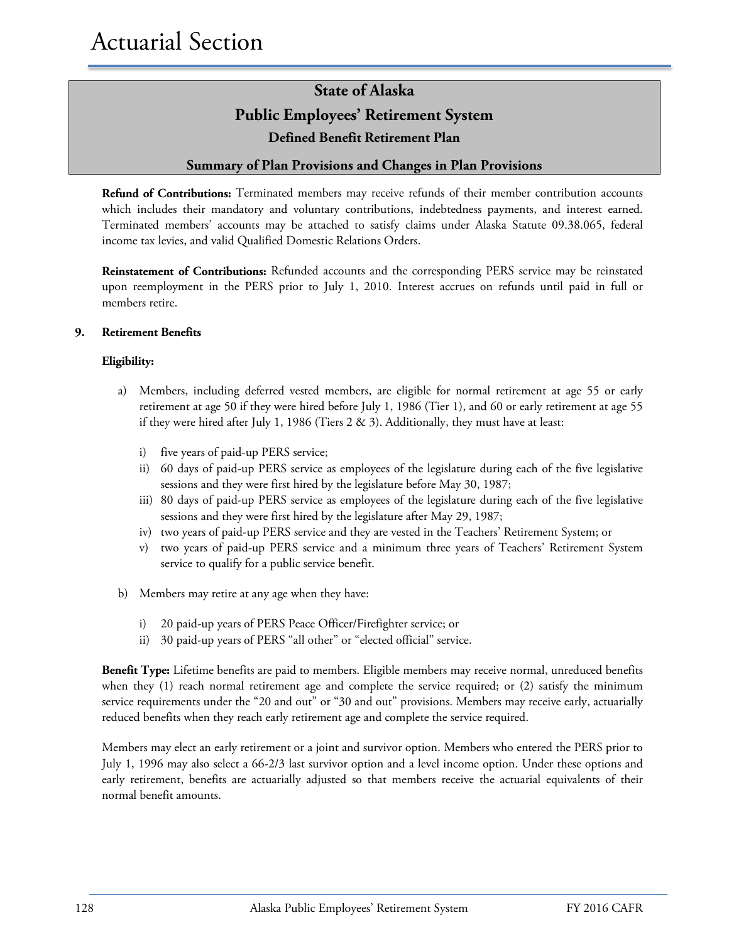## **State of Alaska Public Employees' Retirement System Defined Benefit Retirement Plan**

### **Summary of Plan Provisions and Changes in Plan Provisions**

**Refund of Contributions:** Terminated members may receive refunds of their member contribution accounts which includes their mandatory and voluntary contributions, indebtedness payments, and interest earned. Terminated members' accounts may be attached to satisfy claims under Alaska Statute 09.38.065, federal income tax levies, and valid Qualified Domestic Relations Orders.

**Reinstatement of Contributions:** Refunded accounts and the corresponding PERS service may be reinstated upon reemployment in the PERS prior to July 1, 2010. Interest accrues on refunds until paid in full or members retire.

#### **9. Retirement Benefits**

#### **Eligibility:**

- a) Members, including deferred vested members, are eligible for normal retirement at age 55 or early retirement at age 50 if they were hired before July 1, 1986 (Tier 1), and 60 or early retirement at age 55 if they were hired after July 1, 1986 (Tiers  $2 \& 3$ ). Additionally, they must have at least:
	- i) five years of paid-up PERS service;
	- ii) 60 days of paid-up PERS service as employees of the legislature during each of the five legislative sessions and they were first hired by the legislature before May 30, 1987;
	- iii) 80 days of paid-up PERS service as employees of the legislature during each of the five legislative sessions and they were first hired by the legislature after May 29, 1987;
	- iv) two years of paid-up PERS service and they are vested in the Teachers' Retirement System; or
	- v) two years of paid-up PERS service and a minimum three years of Teachers' Retirement System service to qualify for a public service benefit.
- b) Members may retire at any age when they have:
	- i) 20 paid-up years of PERS Peace Officer/Firefighter service; or
	- ii) 30 paid-up years of PERS "all other" or "elected official" service.

**Benefit Type:** Lifetime benefits are paid to members. Eligible members may receive normal, unreduced benefits when they (1) reach normal retirement age and complete the service required; or (2) satisfy the minimum service requirements under the "20 and out" or "30 and out" provisions. Members may receive early, actuarially reduced benefits when they reach early retirement age and complete the service required.

Members may elect an early retirement or a joint and survivor option. Members who entered the PERS prior to July 1, 1996 may also select a 66-2/3 last survivor option and a level income option. Under these options and early retirement, benefits are actuarially adjusted so that members receive the actuarial equivalents of their normal benefit amounts.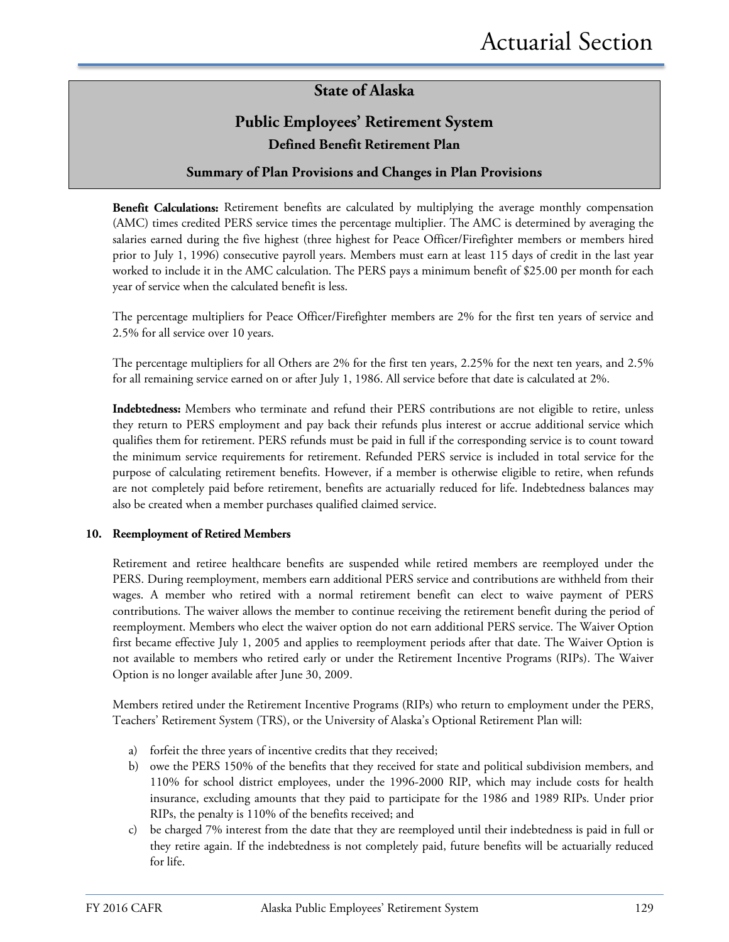### **State of Alaska**

### **Public Employees' Retirement System Defined Benefit Retirement Plan**

### **Summary of Plan Provisions and Changes in Plan Provisions**

**Benefit Calculations:** Retirement benefits are calculated by multiplying the average monthly compensation (AMC) times credited PERS service times the percentage multiplier. The AMC is determined by averaging the salaries earned during the five highest (three highest for Peace Officer/Firefighter members or members hired prior to July 1, 1996) consecutive payroll years. Members must earn at least 115 days of credit in the last year worked to include it in the AMC calculation. The PERS pays a minimum benefit of \$25.00 per month for each year of service when the calculated benefit is less.

The percentage multipliers for Peace Officer/Firefighter members are 2% for the first ten years of service and 2.5% for all service over 10 years.

The percentage multipliers for all Others are 2% for the first ten years, 2.25% for the next ten years, and 2.5% for all remaining service earned on or after July 1, 1986. All service before that date is calculated at 2%.

**Indebtedness:** Members who terminate and refund their PERS contributions are not eligible to retire, unless they return to PERS employment and pay back their refunds plus interest or accrue additional service which qualifies them for retirement. PERS refunds must be paid in full if the corresponding service is to count toward the minimum service requirements for retirement. Refunded PERS service is included in total service for the purpose of calculating retirement benefits. However, if a member is otherwise eligible to retire, when refunds are not completely paid before retirement, benefits are actuarially reduced for life. Indebtedness balances may also be created when a member purchases qualified claimed service.

#### **10. Reemployment of Retired Members**

Retirement and retiree healthcare benefits are suspended while retired members are reemployed under the PERS. During reemployment, members earn additional PERS service and contributions are withheld from their wages. A member who retired with a normal retirement benefit can elect to waive payment of PERS contributions. The waiver allows the member to continue receiving the retirement benefit during the period of reemployment. Members who elect the waiver option do not earn additional PERS service. The Waiver Option first became effective July 1, 2005 and applies to reemployment periods after that date. The Waiver Option is not available to members who retired early or under the Retirement Incentive Programs (RIPs). The Waiver Option is no longer available after June 30, 2009.

Members retired under the Retirement Incentive Programs (RIPs) who return to employment under the PERS, Teachers' Retirement System (TRS), or the University of Alaska's Optional Retirement Plan will:

- a) forfeit the three years of incentive credits that they received;
- b) owe the PERS 150% of the benefits that they received for state and political subdivision members, and 110% for school district employees, under the 1996-2000 RIP, which may include costs for health insurance, excluding amounts that they paid to participate for the 1986 and 1989 RIPs. Under prior RIPs, the penalty is 110% of the benefits received; and
- c) be charged 7% interest from the date that they are reemployed until their indebtedness is paid in full or they retire again. If the indebtedness is not completely paid, future benefits will be actuarially reduced for life.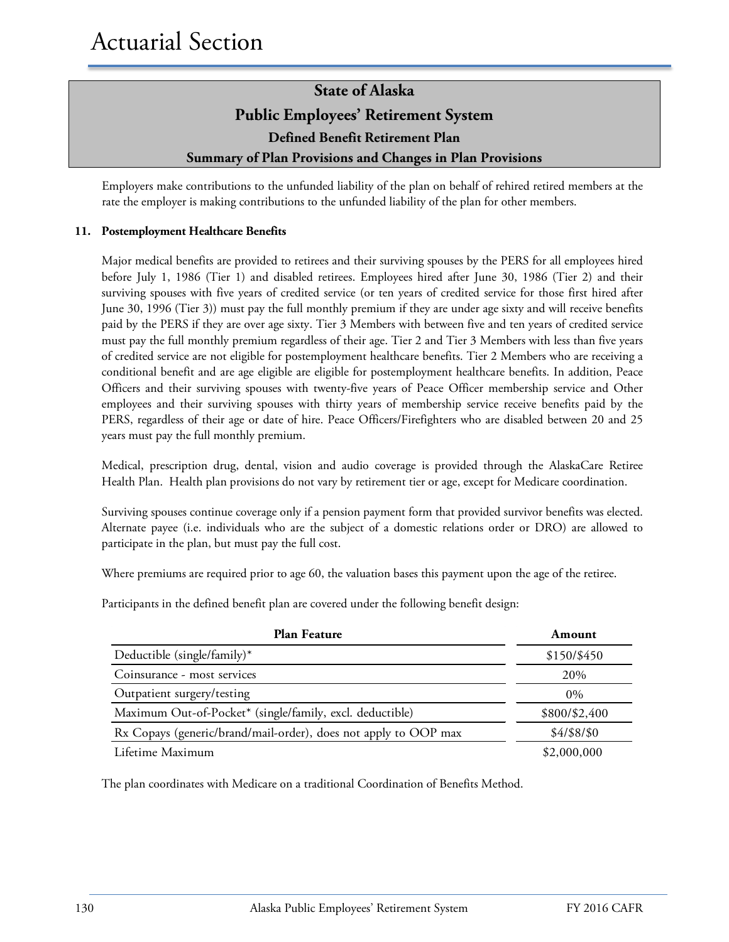### **State of Alaska Public Employees' Retirement System Defined Benefit Retirement Plan Summary of Plan Provisions and Changes in Plan Provisions**

Employers make contributions to the unfunded liability of the plan on behalf of rehired retired members at the rate the employer is making contributions to the unfunded liability of the plan for other members.

### **11. Postemployment Healthcare Benefits**

Major medical benefits are provided to retirees and their surviving spouses by the PERS for all employees hired before July 1, 1986 (Tier 1) and disabled retirees. Employees hired after June 30, 1986 (Tier 2) and their surviving spouses with five years of credited service (or ten years of credited service for those first hired after June 30, 1996 (Tier 3)) must pay the full monthly premium if they are under age sixty and will receive benefits paid by the PERS if they are over age sixty. Tier 3 Members with between five and ten years of credited service must pay the full monthly premium regardless of their age. Tier 2 and Tier 3 Members with less than five years of credited service are not eligible for postemployment healthcare benefits. Tier 2 Members who are receiving a conditional benefit and are age eligible are eligible for postemployment healthcare benefits. In addition, Peace Officers and their surviving spouses with twenty-five years of Peace Officer membership service and Other employees and their surviving spouses with thirty years of membership service receive benefits paid by the PERS, regardless of their age or date of hire. Peace Officers/Firefighters who are disabled between 20 and 25 years must pay the full monthly premium.

Medical, prescription drug, dental, vision and audio coverage is provided through the AlaskaCare Retiree Health Plan. Health plan provisions do not vary by retirement tier or age, except for Medicare coordination.

Surviving spouses continue coverage only if a pension payment form that provided survivor benefits was elected. Alternate payee (i.e. individuals who are the subject of a domestic relations order or DRO) are allowed to participate in the plan, but must pay the full cost.

Where premiums are required prior to age 60, the valuation bases this payment upon the age of the retiree.

Participants in the defined benefit plan are covered under the following benefit design:

| <b>Plan Feature</b>                                             | Amount        |
|-----------------------------------------------------------------|---------------|
| Deductible (single/family)*                                     | \$150/\$450   |
| Coinsurance - most services                                     | 20%           |
| Outpatient surgery/testing                                      | $0\%$         |
| Maximum Out-of-Pocket* (single/family, excl. deductible)        | \$800/\$2,400 |
| Rx Copays (generic/brand/mail-order), does not apply to OOP max | \$4/\$8/\$0   |
| Lifetime Maximum                                                | \$2,000,000   |

The plan coordinates with Medicare on a traditional Coordination of Benefits Method.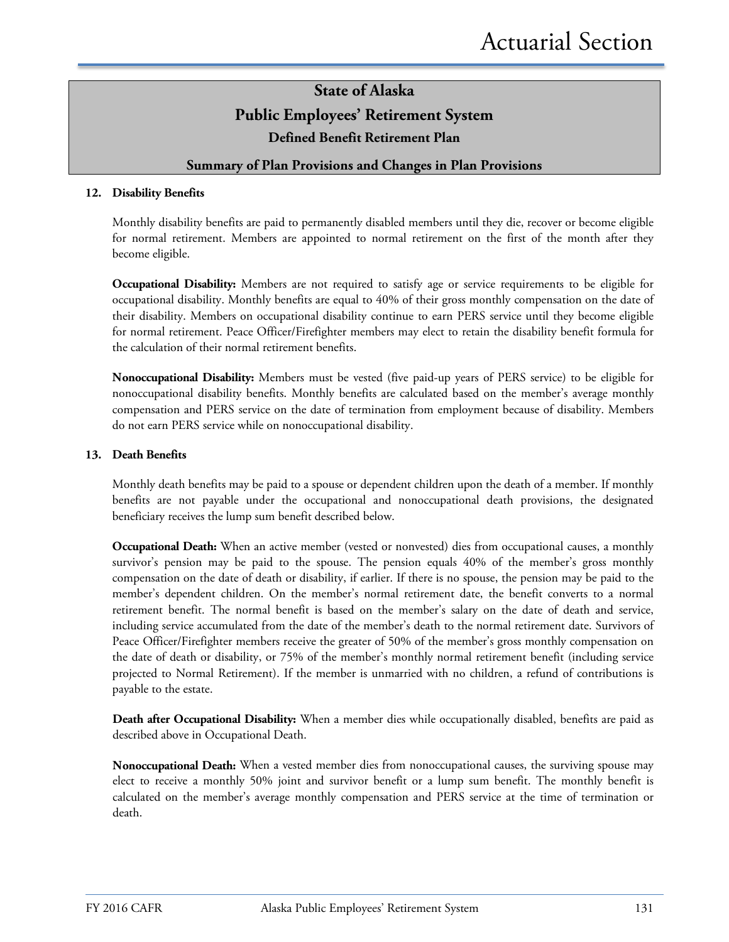### **State of Alaska Public Employees' Retirement System Defined Benefit Retirement Plan**

### **Summary of Plan Provisions and Changes in Plan Provisions**

#### **12. Disability Benefits**

Monthly disability benefits are paid to permanently disabled members until they die, recover or become eligible for normal retirement. Members are appointed to normal retirement on the first of the month after they become eligible.

**Occupational Disability:** Members are not required to satisfy age or service requirements to be eligible for occupational disability. Monthly benefits are equal to 40% of their gross monthly compensation on the date of their disability. Members on occupational disability continue to earn PERS service until they become eligible for normal retirement. Peace Officer/Firefighter members may elect to retain the disability benefit formula for the calculation of their normal retirement benefits.

**Nonoccupational Disability:** Members must be vested (five paid-up years of PERS service) to be eligible for nonoccupational disability benefits. Monthly benefits are calculated based on the member's average monthly compensation and PERS service on the date of termination from employment because of disability. Members do not earn PERS service while on nonoccupational disability.

#### **13. Death Benefits**

Monthly death benefits may be paid to a spouse or dependent children upon the death of a member. If monthly benefits are not payable under the occupational and nonoccupational death provisions, the designated beneficiary receives the lump sum benefit described below.

**Occupational Death:** When an active member (vested or nonvested) dies from occupational causes, a monthly survivor's pension may be paid to the spouse. The pension equals 40% of the member's gross monthly compensation on the date of death or disability, if earlier. If there is no spouse, the pension may be paid to the member's dependent children. On the member's normal retirement date, the benefit converts to a normal retirement benefit. The normal benefit is based on the member's salary on the date of death and service, including service accumulated from the date of the member's death to the normal retirement date. Survivors of Peace Officer/Firefighter members receive the greater of 50% of the member's gross monthly compensation on the date of death or disability, or 75% of the member's monthly normal retirement benefit (including service projected to Normal Retirement). If the member is unmarried with no children, a refund of contributions is payable to the estate.

**Death after Occupational Disability:** When a member dies while occupationally disabled, benefits are paid as described above in Occupational Death.

**Nonoccupational Death:** When a vested member dies from nonoccupational causes, the surviving spouse may elect to receive a monthly 50% joint and survivor benefit or a lump sum benefit. The monthly benefit is calculated on the member's average monthly compensation and PERS service at the time of termination or death.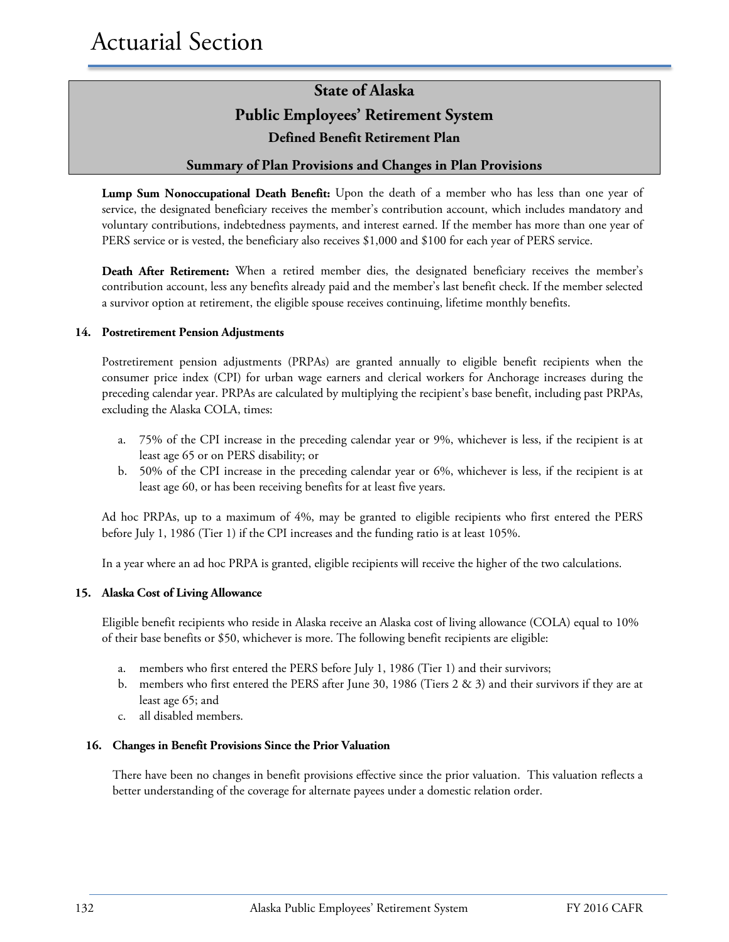## **State of Alaska Public Employees' Retirement System Defined Benefit Retirement Plan**

### **Summary of Plan Provisions and Changes in Plan Provisions**

**Lump Sum Nonoccupational Death Benefit:** Upon the death of a member who has less than one year of service, the designated beneficiary receives the member's contribution account, which includes mandatory and voluntary contributions, indebtedness payments, and interest earned. If the member has more than one year of PERS service or is vested, the beneficiary also receives \$1,000 and \$100 for each year of PERS service.

**Death After Retirement:** When a retired member dies, the designated beneficiary receives the member's contribution account, less any benefits already paid and the member's last benefit check. If the member selected a survivor option at retirement, the eligible spouse receives continuing, lifetime monthly benefits.

#### **14. Postretirement Pension Adjustments**

Postretirement pension adjustments (PRPAs) are granted annually to eligible benefit recipients when the consumer price index (CPI) for urban wage earners and clerical workers for Anchorage increases during the preceding calendar year. PRPAs are calculated by multiplying the recipient's base benefit, including past PRPAs, excluding the Alaska COLA, times:

- a. 75% of the CPI increase in the preceding calendar year or 9%, whichever is less, if the recipient is at least age 65 or on PERS disability; or
- b. 50% of the CPI increase in the preceding calendar year or 6%, whichever is less, if the recipient is at least age 60, or has been receiving benefits for at least five years.

Ad hoc PRPAs, up to a maximum of 4%, may be granted to eligible recipients who first entered the PERS before July 1, 1986 (Tier 1) if the CPI increases and the funding ratio is at least 105%.

In a year where an ad hoc PRPA is granted, eligible recipients will receive the higher of the two calculations.

#### **15. Alaska Cost of Living Allowance**

Eligible benefit recipients who reside in Alaska receive an Alaska cost of living allowance (COLA) equal to 10% of their base benefits or \$50, whichever is more. The following benefit recipients are eligible:

- a. members who first entered the PERS before July 1, 1986 (Tier 1) and their survivors;
- b. members who first entered the PERS after June 30, 1986 (Tiers 2 & 3) and their survivors if they are at least age 65; and
- c. all disabled members.

#### **16. Changes in Benefit Provisions Since the Prior Valuation**

There have been no changes in benefit provisions effective since the prior valuation. This valuation reflects a better understanding of the coverage for alternate payees under a domestic relation order.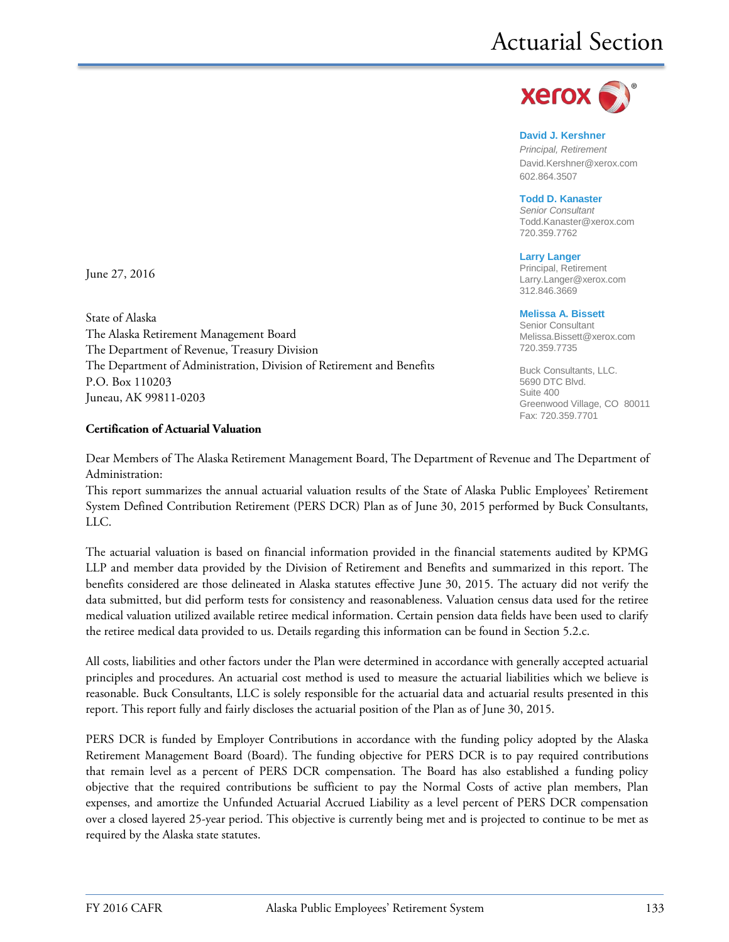

#### **David J. Kershner**

*Principal, Retirement* David.Kershner@xerox.com 602.864.3507

**Todd D. Kanaster**

*Senior Consultant* [Todd.Kanaster@xerox.com](mailto:Todd.Kanaster@xerox.com) 720.359.7762

**Larry Langer** Principal, Retirement Larry.Langer@xerox.com 312.846.3669

#### **Melissa A. Bissett**

Senior Consultant Melissa.Bissett@xerox.com 720.359.7735

Buck Consultants, LLC. 5690 DTC Blvd. Suite 400 Greenwood Village, CO 80011 Fax: 720.359.7701

June 27, 2016

State of Alaska The Alaska Retirement Management Board The Department of Revenue, Treasury Division The Department of Administration, Division of Retirement and Benefits P.O. Box 110203 Juneau, AK 99811-0203

#### **Certification of Actuarial Valuation**

Dear Members of The Alaska Retirement Management Board, The Department of Revenue and The Department of Administration:

This report summarizes the annual actuarial valuation results of the State of Alaska Public Employees' Retirement System Defined Contribution Retirement (PERS DCR) Plan as of June 30, 2015 performed by Buck Consultants, LLC.

The actuarial valuation is based on financial information provided in the financial statements audited by KPMG LLP and member data provided by the Division of Retirement and Benefits and summarized in this report. The benefits considered are those delineated in Alaska statutes effective June 30, 2015. The actuary did not verify the data submitted, but did perform tests for consistency and reasonableness. Valuation census data used for the retiree medical valuation utilized available retiree medical information. Certain pension data fields have been used to clarify the retiree medical data provided to us. Details regarding this information can be found in Section 5.2.c.

All costs, liabilities and other factors under the Plan were determined in accordance with generally accepted actuarial principles and procedures. An actuarial cost method is used to measure the actuarial liabilities which we believe is reasonable. Buck Consultants, LLC is solely responsible for the actuarial data and actuarial results presented in this report. This report fully and fairly discloses the actuarial position of the Plan as of June 30, 2015.

PERS DCR is funded by Employer Contributions in accordance with the funding policy adopted by the Alaska Retirement Management Board (Board). The funding objective for PERS DCR is to pay required contributions that remain level as a percent of PERS DCR compensation. The Board has also established a funding policy objective that the required contributions be sufficient to pay the Normal Costs of active plan members, Plan expenses, and amortize the Unfunded Actuarial Accrued Liability as a level percent of PERS DCR compensation over a closed layered 25-year period. This objective is currently being met and is projected to continue to be met as required by the Alaska state statutes.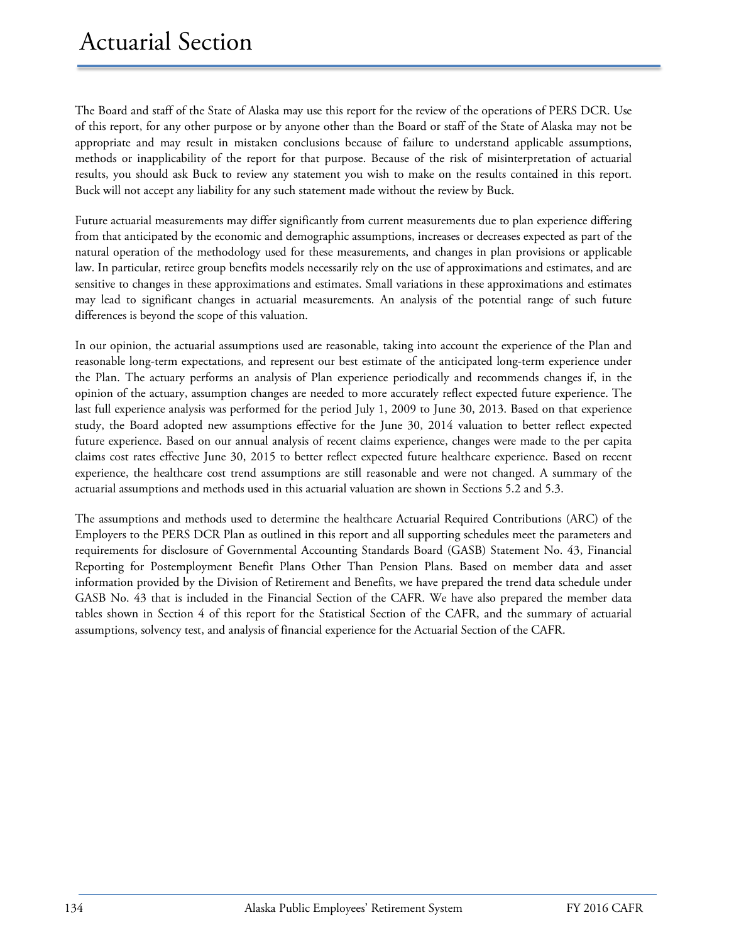The Board and staff of the State of Alaska may use this report for the review of the operations of PERS DCR. Use of this report, for any other purpose or by anyone other than the Board or staff of the State of Alaska may not be appropriate and may result in mistaken conclusions because of failure to understand applicable assumptions, methods or inapplicability of the report for that purpose. Because of the risk of misinterpretation of actuarial results, you should ask Buck to review any statement you wish to make on the results contained in this report. Buck will not accept any liability for any such statement made without the review by Buck.

Future actuarial measurements may differ significantly from current measurements due to plan experience differing from that anticipated by the economic and demographic assumptions, increases or decreases expected as part of the natural operation of the methodology used for these measurements, and changes in plan provisions or applicable law. In particular, retiree group benefits models necessarily rely on the use of approximations and estimates, and are sensitive to changes in these approximations and estimates. Small variations in these approximations and estimates may lead to significant changes in actuarial measurements. An analysis of the potential range of such future differences is beyond the scope of this valuation.

In our opinion, the actuarial assumptions used are reasonable, taking into account the experience of the Plan and reasonable long-term expectations, and represent our best estimate of the anticipated long-term experience under the Plan. The actuary performs an analysis of Plan experience periodically and recommends changes if, in the opinion of the actuary, assumption changes are needed to more accurately reflect expected future experience. The last full experience analysis was performed for the period July 1, 2009 to June 30, 2013. Based on that experience study, the Board adopted new assumptions effective for the June 30, 2014 valuation to better reflect expected future experience. Based on our annual analysis of recent claims experience, changes were made to the per capita claims cost rates effective June 30, 2015 to better reflect expected future healthcare experience. Based on recent experience, the healthcare cost trend assumptions are still reasonable and were not changed. A summary of the actuarial assumptions and methods used in this actuarial valuation are shown in Sections 5.2 and 5.3.

The assumptions and methods used to determine the healthcare Actuarial Required Contributions (ARC) of the Employers to the PERS DCR Plan as outlined in this report and all supporting schedules meet the parameters and requirements for disclosure of Governmental Accounting Standards Board (GASB) Statement No. 43, Financial Reporting for Postemployment Benefit Plans Other Than Pension Plans. Based on member data and asset information provided by the Division of Retirement and Benefits, we have prepared the trend data schedule under GASB No. 43 that is included in the Financial Section of the CAFR. We have also prepared the member data tables shown in Section 4 of this report for the Statistical Section of the CAFR, and the summary of actuarial assumptions, solvency test, and analysis of financial experience for the Actuarial Section of the CAFR.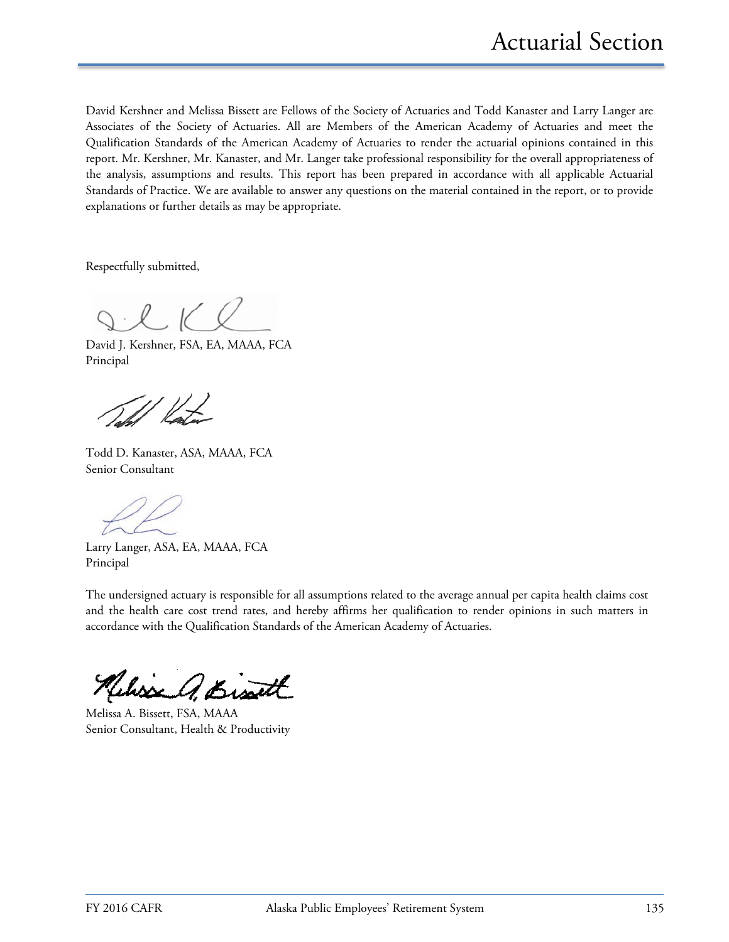David Kershner and Melissa Bissett are Fellows of the Society of Actuaries and Todd Kanaster and Larry Langer are Associates of the Society of Actuaries. All are Members of the American Academy of Actuaries and meet the Qualification Standards of the American Academy of Actuaries to render the actuarial opinions contained in this report. Mr. Kershner, Mr. Kanaster, and Mr. Langer take professional responsibility for the overall appropriateness of the analysis, assumptions and results. This report has been prepared in accordance with all applicable Actuarial Standards of Practice. We are available to answer any questions on the material contained in the report, or to provide explanations or further details as may be appropriate.

Respectfully submitted,

 $\frac{1}{2}$ 

David J. Kershner, FSA, EA, MAAA, FCA Principal

Todd D. Kanaster, ASA, MAAA, FCA Senior Consultant

Larry Langer, ASA, EA, MAAA, FCA Principal

The undersigned actuary is responsible for all assumptions related to the average annual per capita health claims cost and the health care cost trend rates, and hereby affirms her qualification to render opinions in such matters in accordance with the Qualification Standards of the American Academy of Actuaries.

Webser A. Bisatt

Melissa A. Bissett, FSA, MAAA Senior Consultant, Health & Productivity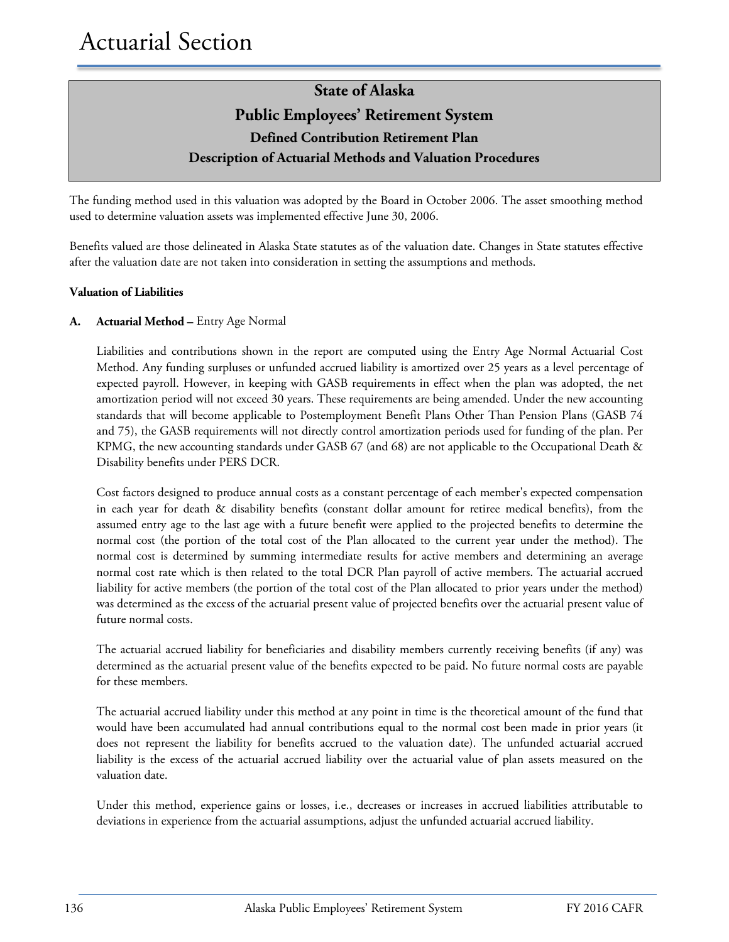The funding method used in this valuation was adopted by the Board in October 2006. The asset smoothing method used to determine valuation assets was implemented effective June 30, 2006.

Benefits valued are those delineated in Alaska State statutes as of the valuation date. Changes in State statutes effective after the valuation date are not taken into consideration in setting the assumptions and methods.

### **Valuation of Liabilities**

### **A. Actuarial Method –** Entry Age Normal

Liabilities and contributions shown in the report are computed using the Entry Age Normal Actuarial Cost Method. Any funding surpluses or unfunded accrued liability is amortized over 25 years as a level percentage of expected payroll. However, in keeping with GASB requirements in effect when the plan was adopted, the net amortization period will not exceed 30 years. These requirements are being amended. Under the new accounting standards that will become applicable to Postemployment Benefit Plans Other Than Pension Plans (GASB 74 and 75), the GASB requirements will not directly control amortization periods used for funding of the plan. Per KPMG, the new accounting standards under GASB 67 (and 68) are not applicable to the Occupational Death & Disability benefits under PERS DCR.

Cost factors designed to produce annual costs as a constant percentage of each member's expected compensation in each year for death & disability benefits (constant dollar amount for retiree medical benefits), from the assumed entry age to the last age with a future benefit were applied to the projected benefits to determine the normal cost (the portion of the total cost of the Plan allocated to the current year under the method). The normal cost is determined by summing intermediate results for active members and determining an average normal cost rate which is then related to the total DCR Plan payroll of active members. The actuarial accrued liability for active members (the portion of the total cost of the Plan allocated to prior years under the method) was determined as the excess of the actuarial present value of projected benefits over the actuarial present value of future normal costs.

The actuarial accrued liability for beneficiaries and disability members currently receiving benefits (if any) was determined as the actuarial present value of the benefits expected to be paid. No future normal costs are payable for these members.

The actuarial accrued liability under this method at any point in time is the theoretical amount of the fund that would have been accumulated had annual contributions equal to the normal cost been made in prior years (it does not represent the liability for benefits accrued to the valuation date). The unfunded actuarial accrued liability is the excess of the actuarial accrued liability over the actuarial value of plan assets measured on the valuation date.

Under this method, experience gains or losses, i.e., decreases or increases in accrued liabilities attributable to deviations in experience from the actuarial assumptions, adjust the unfunded actuarial accrued liability.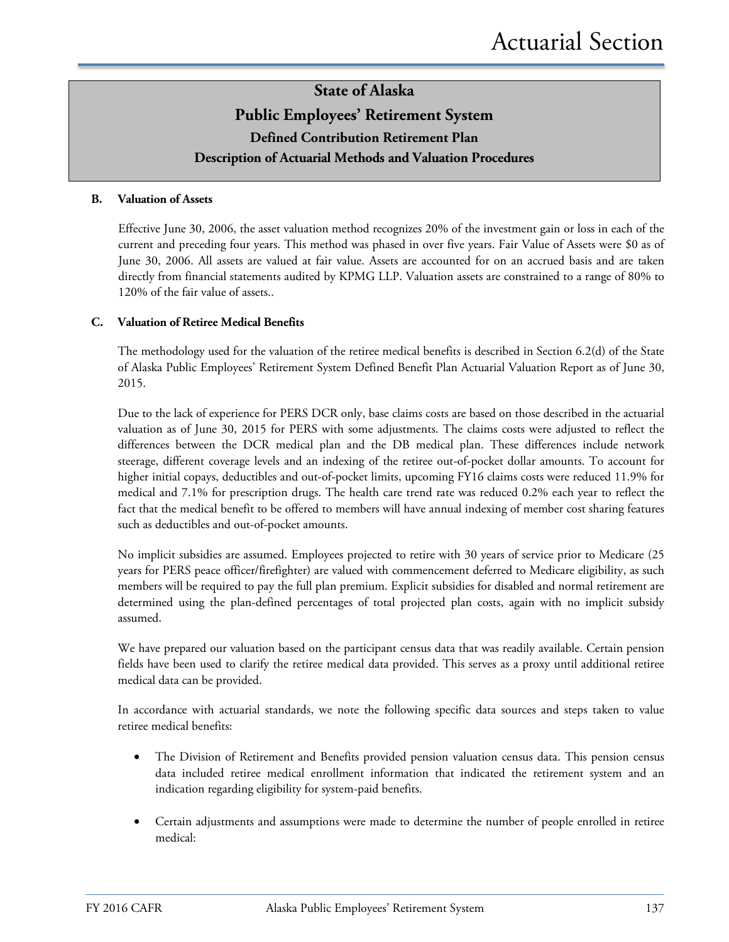#### **B. Valuation of Assets**

Effective June 30, 2006, the asset valuation method recognizes 20% of the investment gain or loss in each of the current and preceding four years. This method was phased in over five years. Fair Value of Assets were \$0 as of June 30, 2006. All assets are valued at fair value. Assets are accounted for on an accrued basis and are taken directly from financial statements audited by KPMG LLP. Valuation assets are constrained to a range of 80% to 120% of the fair value of assets..

#### **C. Valuation of Retiree Medical Benefits**

The methodology used for the valuation of the retiree medical benefits is described in Section 6.2(d) of the State of Alaska Public Employees' Retirement System Defined Benefit Plan Actuarial Valuation Report as of June 30, 2015.

Due to the lack of experience for PERS DCR only, base claims costs are based on those described in the actuarial valuation as of June 30, 2015 for PERS with some adjustments. The claims costs were adjusted to reflect the differences between the DCR medical plan and the DB medical plan. These differences include network steerage, different coverage levels and an indexing of the retiree out-of-pocket dollar amounts. To account for higher initial copays, deductibles and out-of-pocket limits, upcoming FY16 claims costs were reduced 11.9% for medical and 7.1% for prescription drugs. The health care trend rate was reduced 0.2% each year to reflect the fact that the medical benefit to be offered to members will have annual indexing of member cost sharing features such as deductibles and out-of-pocket amounts.

No implicit subsidies are assumed. Employees projected to retire with 30 years of service prior to Medicare (25 years for PERS peace officer/firefighter) are valued with commencement deferred to Medicare eligibility, as such members will be required to pay the full plan premium. Explicit subsidies for disabled and normal retirement are determined using the plan-defined percentages of total projected plan costs, again with no implicit subsidy assumed.

We have prepared our valuation based on the participant census data that was readily available. Certain pension fields have been used to clarify the retiree medical data provided. This serves as a proxy until additional retiree medical data can be provided.

In accordance with actuarial standards, we note the following specific data sources and steps taken to value retiree medical benefits:

- The Division of Retirement and Benefits provided pension valuation census data. This pension census data included retiree medical enrollment information that indicated the retirement system and an indication regarding eligibility for system-paid benefits.
- Certain adjustments and assumptions were made to determine the number of people enrolled in retiree medical: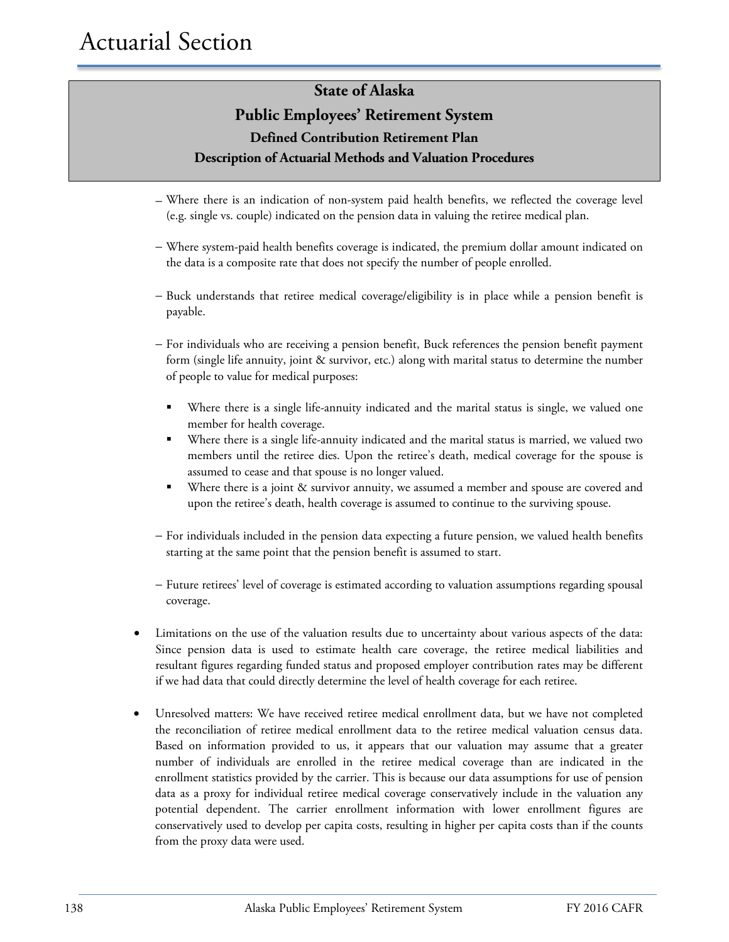### **State of Alaska**

### **Public Employees' Retirement System Defined Contribution Retirement Plan Description of Actuarial Methods and Valuation Procedures**

- − Where there is an indication of non-system paid health benefits, we reflected the coverage level (e.g. single vs. couple) indicated on the pension data in valuing the retiree medical plan.
- − Where system-paid health benefits coverage is indicated, the premium dollar amount indicated on the data is a composite rate that does not specify the number of people enrolled.
- − Buck understands that retiree medical coverage/eligibility is in place while a pension benefit is payable.
- − For individuals who are receiving a pension benefit, Buck references the pension benefit payment form (single life annuity, joint & survivor, etc.) along with marital status to determine the number of people to value for medical purposes:
	- Where there is a single life-annuity indicated and the marital status is single, we valued one member for health coverage.
	- Where there is a single life-annuity indicated and the marital status is married, we valued two members until the retiree dies. Upon the retiree's death, medical coverage for the spouse is assumed to cease and that spouse is no longer valued.
	- Where there is a joint & survivor annuity, we assumed a member and spouse are covered and upon the retiree's death, health coverage is assumed to continue to the surviving spouse.
- − For individuals included in the pension data expecting a future pension, we valued health benefits starting at the same point that the pension benefit is assumed to start.
- − Future retirees' level of coverage is estimated according to valuation assumptions regarding spousal coverage.
- Limitations on the use of the valuation results due to uncertainty about various aspects of the data: Since pension data is used to estimate health care coverage, the retiree medical liabilities and resultant figures regarding funded status and proposed employer contribution rates may be different if we had data that could directly determine the level of health coverage for each retiree.
- Unresolved matters: We have received retiree medical enrollment data, but we have not completed the reconciliation of retiree medical enrollment data to the retiree medical valuation census data. Based on information provided to us, it appears that our valuation may assume that a greater number of individuals are enrolled in the retiree medical coverage than are indicated in the enrollment statistics provided by the carrier. This is because our data assumptions for use of pension data as a proxy for individual retiree medical coverage conservatively include in the valuation any potential dependent. The carrier enrollment information with lower enrollment figures are conservatively used to develop per capita costs, resulting in higher per capita costs than if the counts from the proxy data were used.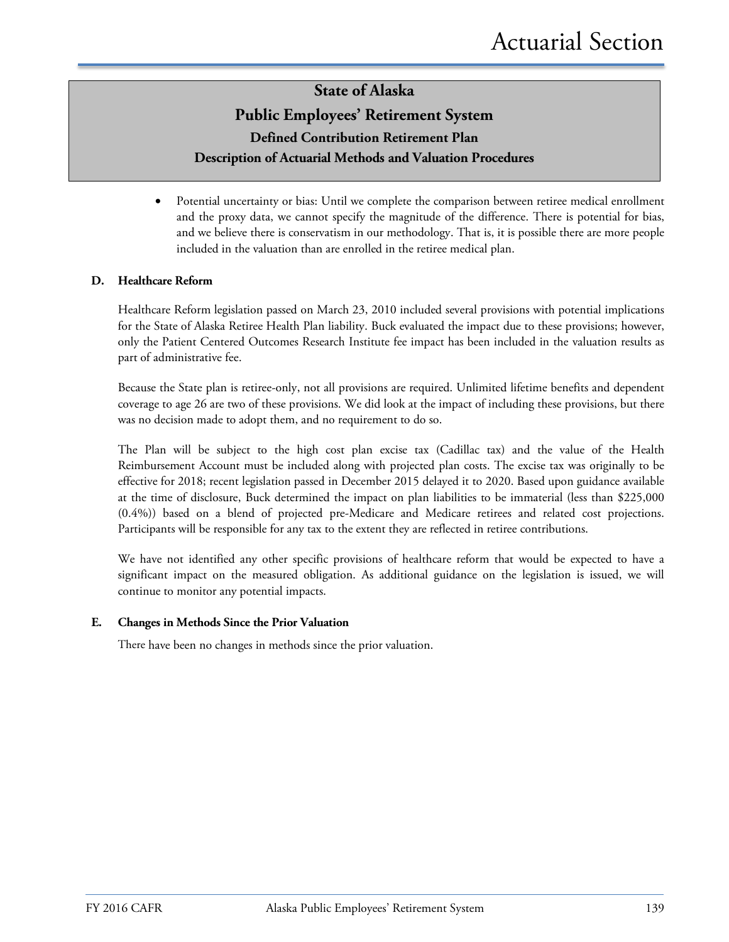• Potential uncertainty or bias: Until we complete the comparison between retiree medical enrollment and the proxy data, we cannot specify the magnitude of the difference. There is potential for bias, and we believe there is conservatism in our methodology. That is, it is possible there are more people included in the valuation than are enrolled in the retiree medical plan.

#### **D. Healthcare Reform**

Healthcare Reform legislation passed on March 23, 2010 included several provisions with potential implications for the State of Alaska Retiree Health Plan liability. Buck evaluated the impact due to these provisions; however, only the Patient Centered Outcomes Research Institute fee impact has been included in the valuation results as part of administrative fee.

Because the State plan is retiree-only, not all provisions are required. Unlimited lifetime benefits and dependent coverage to age 26 are two of these provisions. We did look at the impact of including these provisions, but there was no decision made to adopt them, and no requirement to do so.

The Plan will be subject to the high cost plan excise tax (Cadillac tax) and the value of the Health Reimbursement Account must be included along with projected plan costs. The excise tax was originally to be effective for 2018; recent legislation passed in December 2015 delayed it to 2020. Based upon guidance available at the time of disclosure, Buck determined the impact on plan liabilities to be immaterial (less than \$225,000 (0.4%)) based on a blend of projected pre-Medicare and Medicare retirees and related cost projections. Participants will be responsible for any tax to the extent they are reflected in retiree contributions.

We have not identified any other specific provisions of healthcare reform that would be expected to have a significant impact on the measured obligation. As additional guidance on the legislation is issued, we will continue to monitor any potential impacts.

#### **E. Changes in Methods Since the Prior Valuation**

There have been no changes in methods since the prior valuation.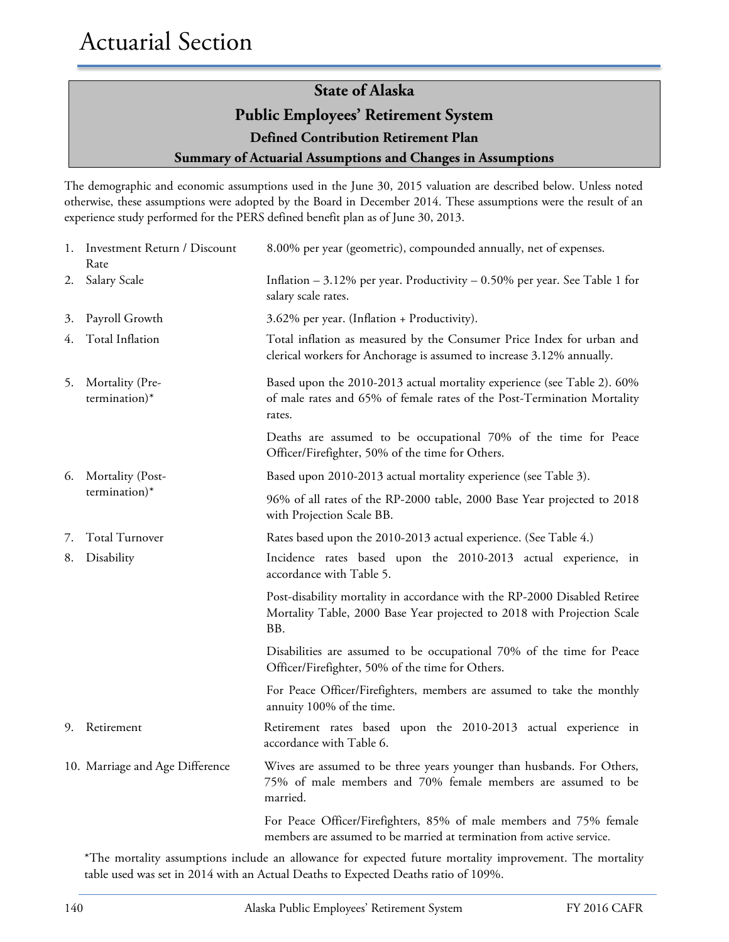# **State of Alaska**

### **Public Employees' Retirement System**

**Defined Contribution Retirement Plan**

### **Summary of Actuarial Assumptions and Changes in Assumptions**

The demographic and economic assumptions used in the June 30, 2015 valuation are described below. Unless noted otherwise, these assumptions were adopted by the Board in December 2014. These assumptions were the result of an experience study performed for the PERS defined benefit plan as of June 30, 2013.

|    | 1. Investment Return / Discount<br>Rate | 8.00% per year (geometric), compounded annually, net of expenses.                                                                                            |
|----|-----------------------------------------|--------------------------------------------------------------------------------------------------------------------------------------------------------------|
| 2. | Salary Scale                            | Inflation $-3.12\%$ per year. Productivity $-0.50\%$ per year. See Table 1 for<br>salary scale rates.                                                        |
| 3. | Payroll Growth                          | 3.62% per year. (Inflation + Productivity).                                                                                                                  |
| 4. | Total Inflation                         | Total inflation as measured by the Consumer Price Index for urban and<br>clerical workers for Anchorage is assumed to increase 3.12% annually.               |
| 5. | Mortality (Pre-<br>termination)*        | Based upon the 2010-2013 actual mortality experience (see Table 2). 60%<br>of male rates and 65% of female rates of the Post-Termination Mortality<br>rates. |
|    |                                         | Deaths are assumed to be occupational 70% of the time for Peace<br>Officer/Firefighter, 50% of the time for Others.                                          |
| 6. | Mortality (Post-                        | Based upon 2010-2013 actual mortality experience (see Table 3).                                                                                              |
|    | termination)*                           | 96% of all rates of the RP-2000 table, 2000 Base Year projected to 2018<br>with Projection Scale BB.                                                         |
| 7. | <b>Total Turnover</b>                   | Rates based upon the 2010-2013 actual experience. (See Table 4.)                                                                                             |
| 8. | Disability                              | Incidence rates based upon the 2010-2013 actual experience, in<br>accordance with Table 5.                                                                   |
|    |                                         | Post-disability mortality in accordance with the RP-2000 Disabled Retiree<br>Mortality Table, 2000 Base Year projected to 2018 with Projection Scale<br>BB.  |
|    |                                         | Disabilities are assumed to be occupational 70% of the time for Peace<br>Officer/Firefighter, 50% of the time for Others.                                    |
|    |                                         | For Peace Officer/Firefighters, members are assumed to take the monthly<br>annuity 100% of the time.                                                         |
| 9. | Retirement                              | Retirement rates based upon the 2010-2013 actual experience in<br>accordance with Table 6.                                                                   |
|    | 10. Marriage and Age Difference         | Wives are assumed to be three years younger than husbands. For Others,<br>75% of male members and 70% female members are assumed to be<br>married.           |
|    |                                         | For Peace Officer/Firefighters, 85% of male members and 75% female<br>members are assumed to be married at termination from active service.                  |

\*The mortality assumptions include an allowance for expected future mortality improvement. The mortality table used was set in 2014 with an Actual Deaths to Expected Deaths ratio of 109%.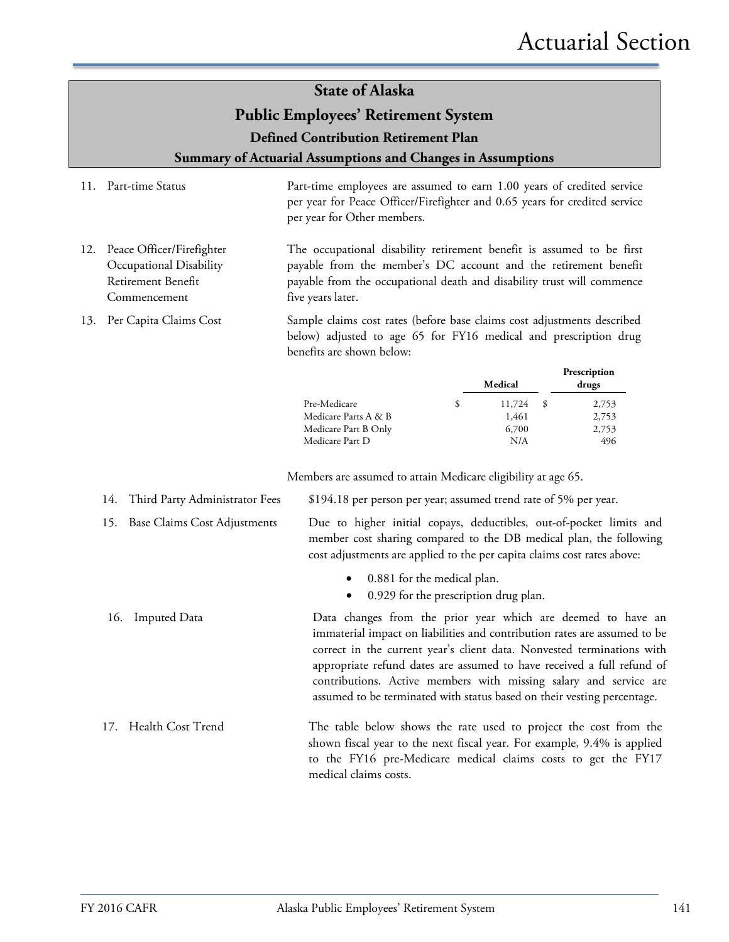### **State of Alaska**

### **Public Employees' Retirement System**

**Defined Contribution Retirement Plan**

**Summary of Actuarial Assumptions and Changes in Assumptions**

- 11. Part-time Status Part-time employees are assumed to earn 1.00 years of credited service per year for Peace Officer/Firefighter and 0.65 years for credited service per year for Other members.
- 12. Peace Officer/Firefighter Occupational Disability Retirement Benefit Commencement The occupational disability retirement benefit is assumed to be first payable from the member's DC account and the retirement benefit payable from the occupational death and disability trust will commence five years later.
- 13. Per Capita Claims Cost Sample claims cost rates (before base claims cost adjustments described below) adjusted to age 65 for FY16 medical and prescription drug benefits are shown below:

|                      | Medical | Prescription<br>drugs |
|----------------------|---------|-----------------------|
| Pre-Medicare         | 11,724  | 2,753                 |
| Medicare Parts A & B | 1,461   | 2,753                 |
| Medicare Part B Only | 6,700   | 2,753                 |
| Medicare Part D      | N/A     | 496                   |

Members are assumed to attain Medicare eligibility at age 65.

| 14. Third Party Administrator Fees | \$194.18 per person per year; assumed trend rate of 5% per year.                                                                                                                                                                                                                                                                                                                                                                              |
|------------------------------------|-----------------------------------------------------------------------------------------------------------------------------------------------------------------------------------------------------------------------------------------------------------------------------------------------------------------------------------------------------------------------------------------------------------------------------------------------|
| 15. Base Claims Cost Adjustments   | Due to higher initial copays, deductibles, out-of-pocket limits and<br>member cost sharing compared to the DB medical plan, the following<br>cost adjustments are applied to the per capita claims cost rates above:                                                                                                                                                                                                                          |
|                                    | 0.881 for the medical plan.<br>$\bullet$<br>0.929 for the prescription drug plan.<br>$\bullet$                                                                                                                                                                                                                                                                                                                                                |
| 16. Imputed Data                   | Data changes from the prior year which are deemed to have an<br>immaterial impact on liabilities and contribution rates are assumed to be<br>correct in the current year's client data. Nonvested terminations with<br>appropriate refund dates are assumed to have received a full refund of<br>contributions. Active members with missing salary and service are<br>assumed to be terminated with status based on their vesting percentage. |
| 17. Health Cost Trend              | The table below shows the rate used to project the cost from the<br>shown fiscal year to the next fiscal year. For example, 9.4% is applied<br>to the FY16 pre-Medicare medical claims costs to get the FY17<br>medical claims costs.                                                                                                                                                                                                         |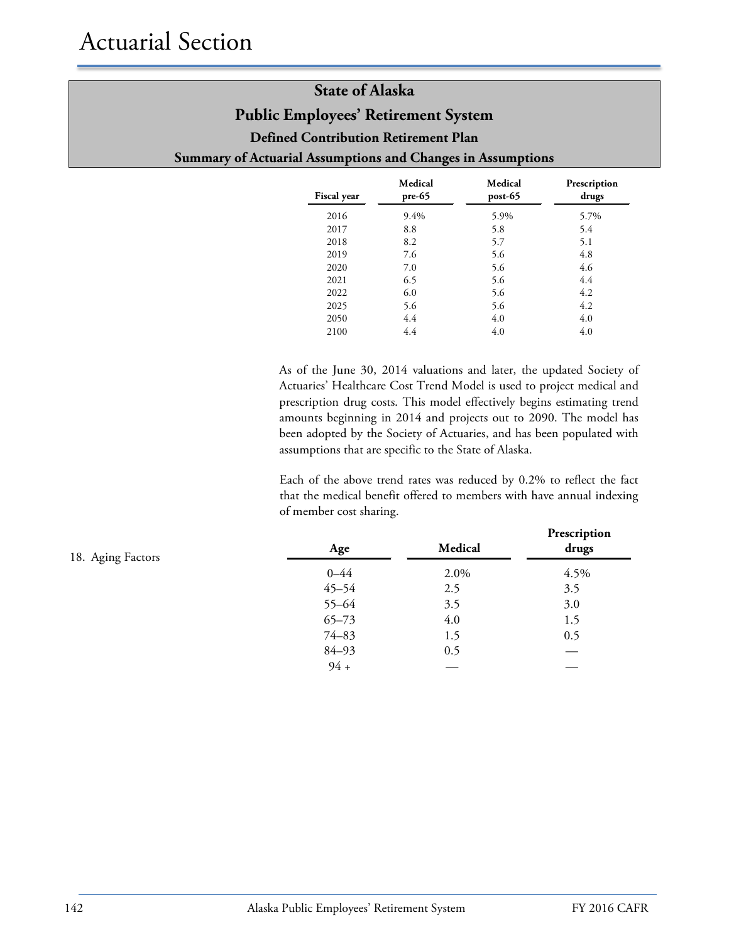| <b>Fiscal year</b> | Medical<br>$pre-65$ | Medical<br>$post-65$ | Prescription<br>drugs |
|--------------------|---------------------|----------------------|-----------------------|
| 2016               | 9.4%                | 5.9%                 | 5.7%                  |
| 2017               | 8.8                 | 5.8                  | 5.4                   |
| 2018               | 8.2                 | 5.7                  | 5.1                   |
| 2019               | 7.6                 | 5.6                  | 4.8                   |
| 2020               | 7.0                 | 5.6                  | 4.6                   |
| 2021               | 6.5                 | 5.6                  | 4.4                   |
| 2022               | 6.0                 | 5.6                  | 4.2                   |
| 2025               | 5.6                 | 5.6                  | 4.2                   |
| 2050               | 4.4                 | 4.0                  | 4.0                   |
| 2100               | 4.4                 | 4.0                  | 4.0                   |

As of the June 30, 2014 valuations and later, the updated Society of Actuaries' Healthcare Cost Trend Model is used to project medical and prescription drug costs. This model effectively begins estimating trend amounts beginning in 2014 and projects out to 2090. The model has been adopted by the Society of Actuaries, and has been populated with assumptions that are specific to the State of Alaska.

Each of the above trend rates was reduced by 0.2% to reflect the fact that the medical benefit offered to members with have annual indexing of member cost sharing.

| 18. Aging Factors | Age       | Medical | Prescription<br>drugs |
|-------------------|-----------|---------|-----------------------|
|                   | $0 - 44$  | 2.0%    | 4.5%                  |
|                   | $45 - 54$ | 2.5     | 3.5                   |
|                   | 55-64     | 3.5     | 3.0                   |
|                   | $65 - 73$ | 4.0     | 1.5                   |
|                   | $74 - 83$ | 1.5     | 0.5                   |
|                   | 84-93     | 0.5     |                       |
|                   | $94 +$    |         |                       |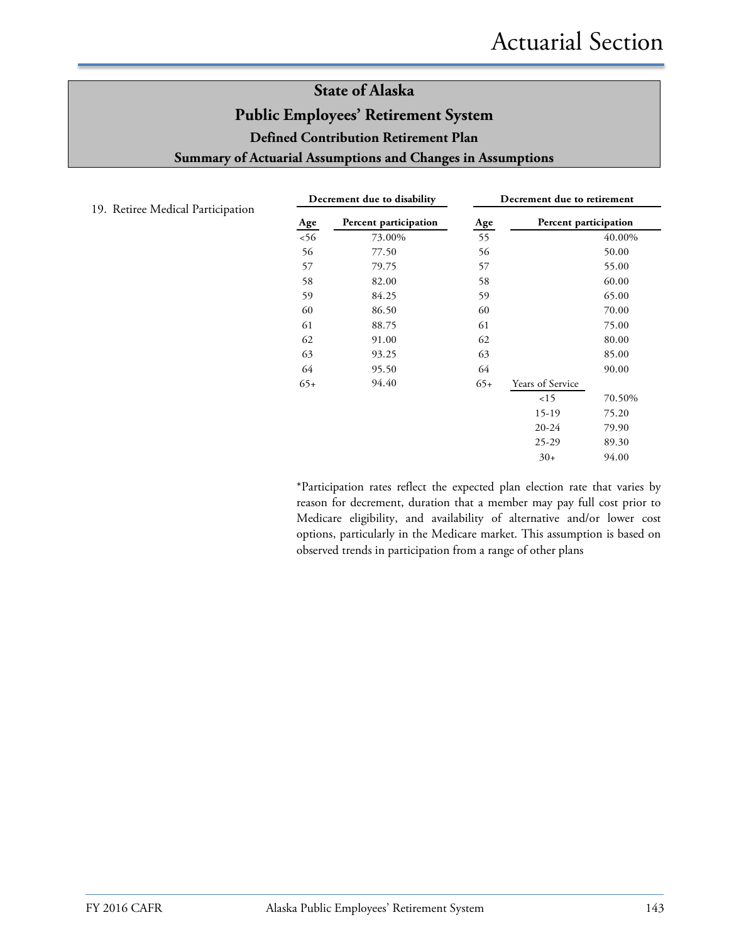| Decrement due to disability |                       | Decrement due to retirement |                       |        |
|-----------------------------|-----------------------|-----------------------------|-----------------------|--------|
| Age                         | Percent participation | Age                         | Percent participation |        |
| < 56                        | 73.00%                | 55                          |                       | 40.00% |
| 56                          | 77.50                 | 56                          |                       | 50.00  |
| 57                          | 79.75                 | 57                          |                       | 55.00  |
| 58                          | 82.00                 | 58                          |                       | 60.00  |
| 59                          | 84.25                 | 59                          |                       | 65.00  |
| 60                          | 86.50                 | 60                          |                       | 70.00  |
| 61                          | 88.75                 | 61                          |                       | 75.00  |
| 62                          | 91.00                 | 62                          |                       | 80.00  |
| 63                          | 93.25                 | 63                          |                       | 85.00  |
| 64                          | 95.50                 | 64                          |                       | 90.00  |
| $65+$                       | 94.40                 | $65+$                       | Years of Service      |        |
|                             |                       |                             | 15                    | 70.50% |
|                             |                       |                             | $15-19$               | 75.20  |
|                             |                       |                             | $20 - 24$             | 79.90  |
|                             |                       |                             | $25 - 29$             | 89.30  |
|                             |                       |                             | $30+$                 | 94.00  |
|                             |                       |                             |                       |        |

19. Retiree Medical Participation

\*Participation rates reflect the expected plan election rate that varies by reason for decrement, duration that a member may pay full cost prior to Medicare eligibility, and availability of alternative and/or lower cost options, particularly in the Medicare market. This assumption is based on observed trends in participation from a range of other plans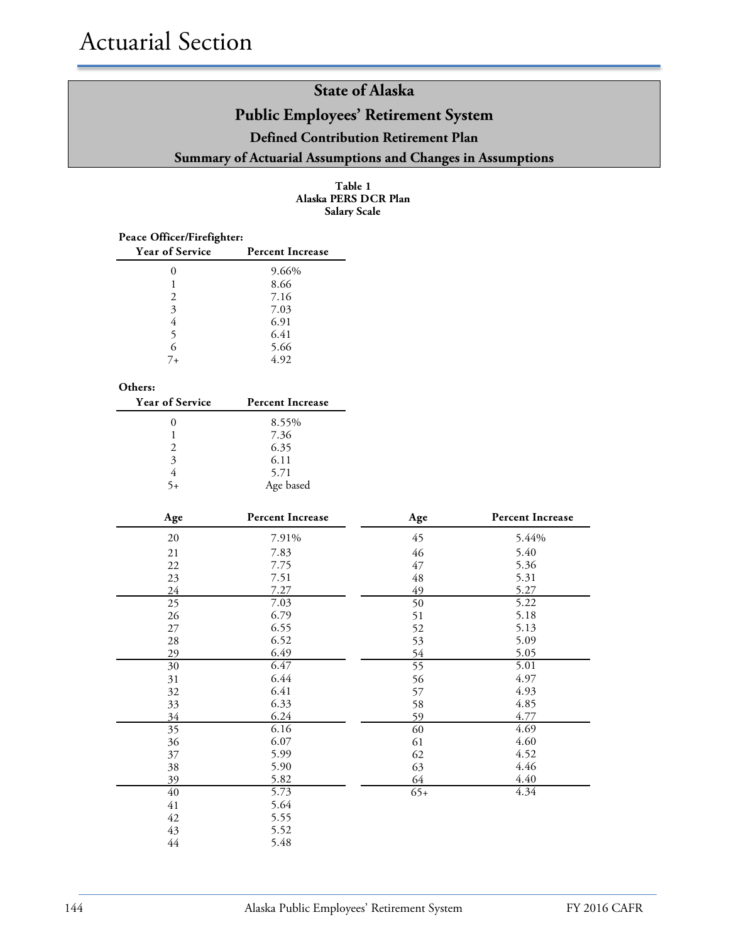**Table 1 Alaska PERS DCR Plan Salary Scale**

| Peace Officer/Firefighter: |                         |  |  |  |
|----------------------------|-------------------------|--|--|--|
| <b>Year of Service</b>     | <b>Percent Increase</b> |  |  |  |
|                            | 9.66%                   |  |  |  |
|                            | 8.66                    |  |  |  |
| 2                          | 7.16                    |  |  |  |
| 3                          | 7.03                    |  |  |  |
| 4                          | 6.91                    |  |  |  |
| 5                          | 6.41                    |  |  |  |
| 6                          | 5.66                    |  |  |  |
| $7_{+}$                    | 4.92                    |  |  |  |

#### **Others:**

| <b>Year of Service</b> | <b>Percent Increase</b> |
|------------------------|-------------------------|
|                        | 8.55%                   |
|                        | 7.36                    |
| $\mathcal{L}$          | 6.35                    |
| 3                      | 6.11                    |
|                        | 5.71                    |
|                        | Age based               |

| Age             | <b>Percent Increase</b> | Age             | <b>Percent Increase</b> |
|-----------------|-------------------------|-----------------|-------------------------|
| $20\,$          | 7.91%                   | 45              | 5.44%                   |
| 21              | 7.83                    | 46              | 5.40                    |
| 22              | 7.75                    | 47              | 5.36                    |
| 23              | 7.51                    | $\sqrt{48}$     | 5.31                    |
| 24              | 7.27                    | 49              | 5.27                    |
| 25              | 7.03                    | 50              | 5.22                    |
| 26              | 6.79                    | 51              | 5.18                    |
| 27              | 6.55                    | 52              | 5.13                    |
| 28              | 6.52                    | 53              | 5.09                    |
| 29              | 6.49                    | 54              | 5.05                    |
| 30              | 6.47                    | $\overline{55}$ | 5.01                    |
| 31              | 6.44                    | 56              | 4.97                    |
| 32              | 6.41                    | 57              | 4.93                    |
| 33              | 6.33                    | 58              | 4.85                    |
| 34              | 6.24                    | 59              | 4.77                    |
| 35              | 6.16                    | 60              | 4.69                    |
| 36              | 6.07                    | 61              | 4.60                    |
| 37              | 5.99                    | 62              | 4.52                    |
| 38              | 5.90                    | 63              | 4.46                    |
| 39              | 5.82                    | 64              | 4.40                    |
| $\overline{40}$ | 5.73                    | $65+$           | 4.34                    |
| 41              | 5.64                    |                 |                         |
| 42              | 5.55                    |                 |                         |
| 43              | 5.52                    |                 |                         |
| 44              | 5.48                    |                 |                         |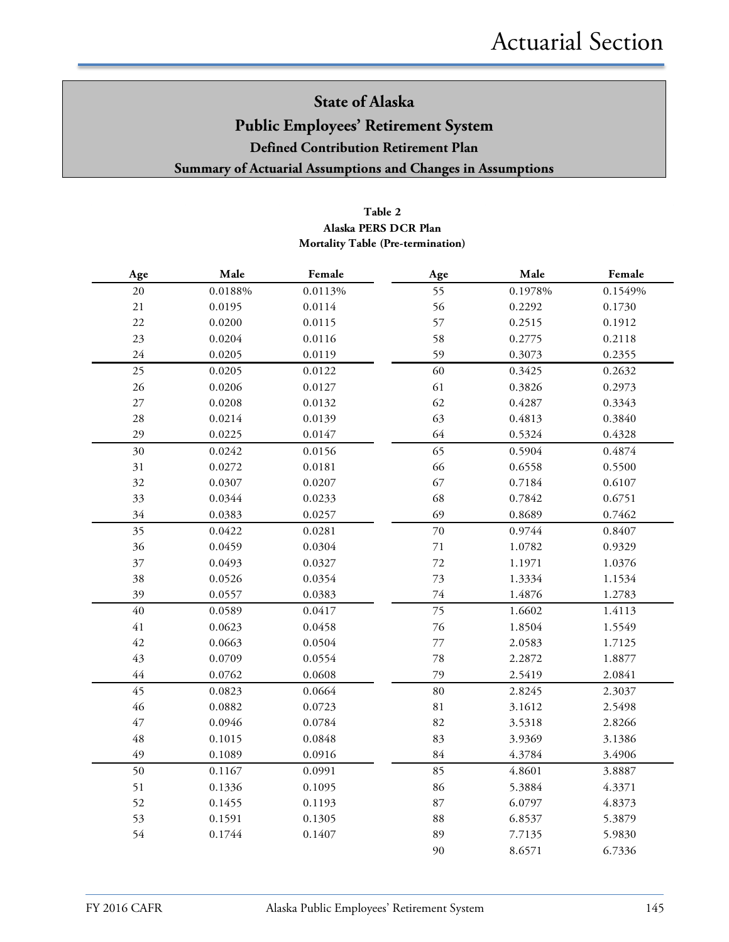### **Table 2 Mortality Table (Pre-termination) Alaska PERS DCR Plan**

| Age         | Male    | Female  | Age    | Male    | Female  |
|-------------|---------|---------|--------|---------|---------|
| 20          | 0.0188% | 0.0113% | 55     | 0.1978% | 0.1549% |
| 21          | 0.0195  | 0.0114  | 56     | 0.2292  | 0.1730  |
| 22          | 0.0200  | 0.0115  | 57     | 0.2515  | 0.1912  |
| 23          | 0.0204  | 0.0116  | 58     | 0.2775  | 0.2118  |
| 24          | 0.0205  | 0.0119  | 59     | 0.3073  | 0.2355  |
| 25          | 0.0205  | 0.0122  | 60     | 0.3425  | 0.2632  |
| 26          | 0.0206  | 0.0127  | 61     | 0.3826  | 0.2973  |
| $27\,$      | 0.0208  | 0.0132  | 62     | 0.4287  | 0.3343  |
| 28          | 0.0214  | 0.0139  | 63     | 0.4813  | 0.3840  |
| 29          | 0.0225  | 0.0147  | 64     | 0.5324  | 0.4328  |
| 30          | 0.0242  | 0.0156  | 65     | 0.5904  | 0.4874  |
| 31          | 0.0272  | 0.0181  | 66     | 0.6558  | 0.5500  |
| 32          | 0.0307  | 0.0207  | 67     | 0.7184  | 0.6107  |
| 33          | 0.0344  | 0.0233  | 68     | 0.7842  | 0.6751  |
| 34          | 0.0383  | 0.0257  | 69     | 0.8689  | 0.7462  |
| 35          | 0.0422  | 0.0281  | $70\,$ | 0.9744  | 0.8407  |
| 36          | 0.0459  | 0.0304  | $71\,$ | 1.0782  | 0.9329  |
| 37          | 0.0493  | 0.0327  | 72     | 1.1971  | 1.0376  |
| 38          | 0.0526  | 0.0354  | 73     | 1.3334  | 1.1534  |
| 39          | 0.0557  | 0.0383  | $74\,$ | 1.4876  | 1.2783  |
| $40\,$      | 0.0589  | 0.0417  | 75     | 1.6602  | 1.4113  |
| $41\,$      | 0.0623  | 0.0458  | $76\,$ | 1.8504  | 1.5549  |
| 42          | 0.0663  | 0.0504  | 77     | 2.0583  | 1.7125  |
| 43          | 0.0709  | 0.0554  | 78     | 2.2872  | 1.8877  |
| $44$        | 0.0762  | 0.0608  | 79     | 2.5419  | 2.0841  |
| 45          | 0.0823  | 0.0664  | 80     | 2.8245  | 2.3037  |
| 46          | 0.0882  | 0.0723  | 81     | 3.1612  | 2.5498  |
| $47\,$      | 0.0946  | 0.0784  | 82     | 3.5318  | 2.8266  |
| $\sqrt{48}$ | 0.1015  | 0.0848  | 83     | 3.9369  | 3.1386  |
| 49          | 0.1089  | 0.0916  | 84     | 4.3784  | 3.4906  |
| 50          | 0.1167  | 0.0991  | 85     | 4.8601  | 3.8887  |
| 51          | 0.1336  | 0.1095  | 86     | 5.3884  | 4.3371  |
| 52          | 0.1455  | 0.1193  | 87     | 6.0797  | 4.8373  |
| 53          | 0.1591  | 0.1305  | 88     | 6.8537  | 5.3879  |
| 54          | 0.1744  | 0.1407  | 89     | 7.7135  | 5.9830  |
|             |         |         | 90     | 8.6571  | 6.7336  |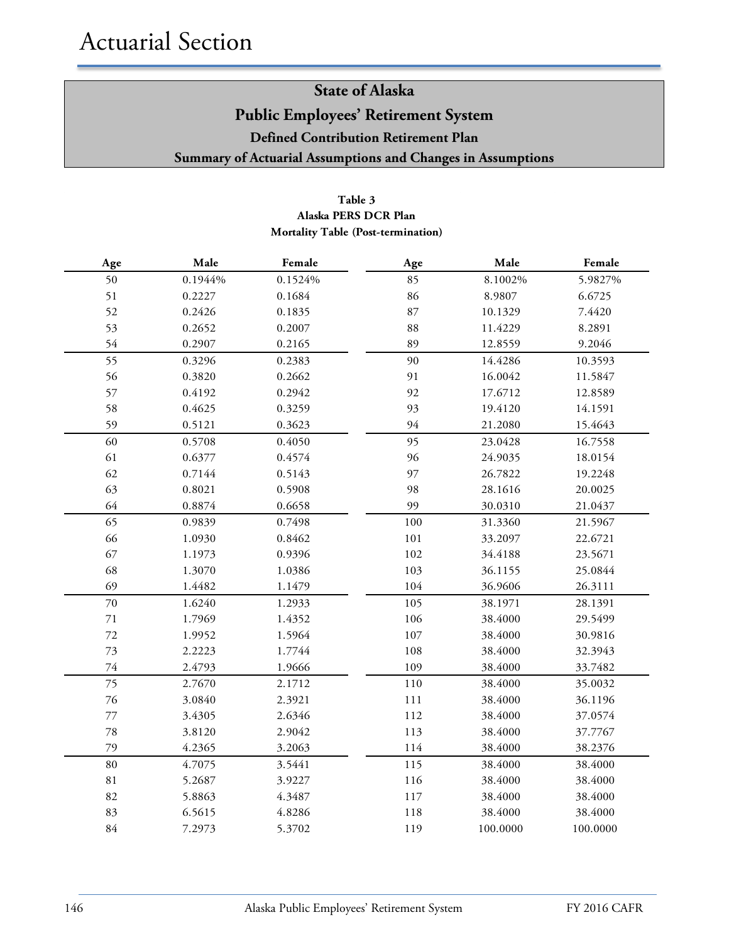### **Table 3 Alaska PERS DCR Plan Mortality Table (Post-termination)**

| $\rm Age$   | Male    | Female  | Age     | Male     | Female   |
|-------------|---------|---------|---------|----------|----------|
| 50          | 0.1944% | 0.1524% | 85      | 8.1002%  | 5.9827%  |
| 51          | 0.2227  | 0.1684  | 86      | 8.9807   | 6.6725   |
| 52          | 0.2426  | 0.1835  | 87      | 10.1329  | 7.4420   |
| 53          | 0.2652  | 0.2007  | 88      | 11.4229  | 8.2891   |
| 54          | 0.2907  | 0.2165  | 89      | 12.8559  | 9.2046   |
| 55          | 0.3296  | 0.2383  | 90      | 14.4286  | 10.3593  |
| 56          | 0.3820  | 0.2662  | 91      | 16.0042  | 11.5847  |
| 57          | 0.4192  | 0.2942  | 92      | 17.6712  | 12.8589  |
| 58          | 0.4625  | 0.3259  | 93      | 19.4120  | 14.1591  |
| 59          | 0.5121  | 0.3623  | 94      | 21.2080  | 15.4643  |
| 60          | 0.5708  | 0.4050  | 95      | 23.0428  | 16.7558  |
| 61          | 0.6377  | 0.4574  | 96      | 24.9035  | 18.0154  |
| 62          | 0.7144  | 0.5143  | 97      | 26.7822  | 19.2248  |
| 63          | 0.8021  | 0.5908  | 98      | 28.1616  | 20.0025  |
| 64          | 0.8874  | 0.6658  | 99      | 30.0310  | 21.0437  |
| 65          | 0.9839  | 0.7498  | 100     | 31.3360  | 21.5967  |
| 66          | 1.0930  | 0.8462  | 101     | 33.2097  | 22.6721  |
| 67          | 1.1973  | 0.9396  | 102     | 34.4188  | 23.5671  |
| 68          | 1.3070  | 1.0386  | 103     | 36.1155  | 25.0844  |
| 69          | 1.4482  | 1.1479  | 104     | 36.9606  | 26.3111  |
| 70          | 1.6240  | 1.2933  | 105     | 38.1971  | 28.1391  |
| 71          | 1.7969  | 1.4352  | 106     | 38.4000  | 29.5499  |
| 72          | 1.9952  | 1.5964  | 107     | 38.4000  | 30.9816  |
| 73          | 2.2223  | 1.7744  | 108     | 38.4000  | 32.3943  |
| $74\,$      | 2.4793  | 1.9666  | 109     | 38.4000  | 33.7482  |
| 75          | 2.7670  | 2.1712  | $110\,$ | 38.4000  | 35.0032  |
| 76          | 3.0840  | 2.3921  | 111     | 38.4000  | 36.1196  |
| 77          | 3.4305  | 2.6346  | 112     | 38.4000  | 37.0574  |
| 78          | 3.8120  | 2.9042  | 113     | 38.4000  | 37.7767  |
| 79          | 4.2365  | 3.2063  | 114     | 38.4000  | 38.2376  |
| 80          | 4.7075  | 3.5441  | 115     | 38.4000  | 38.4000  |
| $8\sqrt{1}$ | 5.2687  | 3.9227  | 116     | 38.4000  | 38.4000  |
| 82          | 5.8863  | 4.3487  | 117     | 38.4000  | 38.4000  |
| 83          | 6.5615  | 4.8286  | 118     | 38.4000  | 38.4000  |
| $84\,$      | 7.2973  | 5.3702  | 119     | 100.0000 | 100.0000 |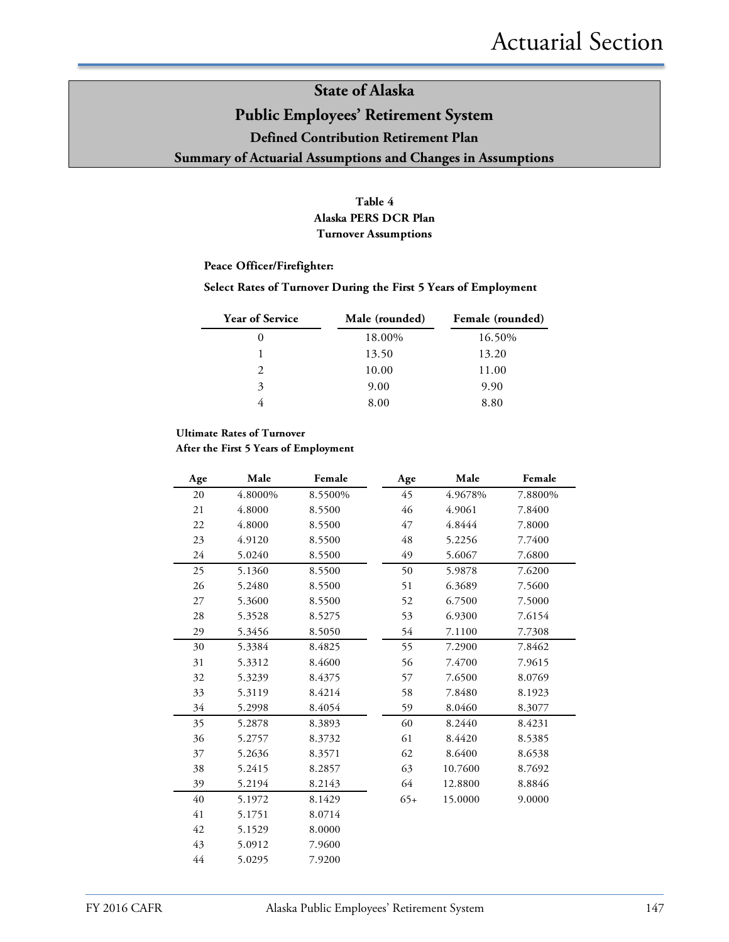### **Table 4 Alaska PERS DCR Plan Turnover Assumptions**

#### **Peace Officer/Firefighter:**

#### **Select Rates of Turnover During the First 5 Years of Employment**

| <b>Year of Service</b>      | Male (rounded) | Female (rounded) |
|-----------------------------|----------------|------------------|
| $\theta$                    | 18.00%         | 16.50%           |
|                             | 13.50          | 13.20            |
| $\mathcal{D}_{\mathcal{A}}$ | 10.00          | 11.00            |
| 3                           | 9.00           | 9.90             |
|                             | 8.00           | 8.80             |

#### **Ultimate Rates of Turnover**

**After the First 5 Years of Employment**

| Age | Male    | Female  | Age   | Male    | Female  |
|-----|---------|---------|-------|---------|---------|
| 20  | 4.8000% | 8.5500% | 45    | 4.9678% | 7.8800% |
| 21  | 4.8000  | 8.5500  | 46    | 4.9061  | 7.8400  |
| 22  | 4.8000  | 8.5500  | 47    | 4.8444  | 7.8000  |
| 23  | 4.9120  | 8.5500  | 48    | 5.2256  | 7.7400  |
| 24  | 5.0240  | 8.5500  | 49    | 5.6067  | 7.6800  |
| 25  | 5.1360  | 8.5500  | 50    | 5.9878  | 7.6200  |
| 26  | 5.2480  | 8.5500  | 51    | 6.3689  | 7.5600  |
| 27  | 5.3600  | 8.5500  | 52    | 6.7500  | 7.5000  |
| 28  | 5.3528  | 8.5275  | 53    | 6.9300  | 7.6154  |
| 29  | 5.3456  | 8.5050  | 54    | 7.1100  | 7.7308  |
| 30  | 5.3384  | 8.4825  | 55    | 7.2900  | 7.8462  |
| 31  | 5.3312  | 8.4600  | 56    | 7.4700  | 7.9615  |
| 32  | 5.3239  | 8.4375  | 57    | 7.6500  | 8.0769  |
| 33  | 5.3119  | 8.4214  | 58    | 7.8480  | 8.1923  |
| 34  | 5.2998  | 8.4054  | 59    | 8.0460  | 8.3077  |
| 35  | 5.2878  | 8.3893  | 60    | 8.2440  | 8.4231  |
| 36  | 5.2757  | 8.3732  | 61    | 8.4420  | 8.5385  |
| 37  | 5.2636  | 8.3571  | 62    | 8.6400  | 8.6538  |
| 38  | 5.2415  | 8.2857  | 63    | 10.7600 | 8.7692  |
| 39  | 5.2194  | 8.2143  | 64    | 12.8800 | 8.8846  |
| 40  | 5.1972  | 8.1429  | $65+$ | 15.0000 | 9.0000  |
| 41  | 5.1751  | 8.0714  |       |         |         |
| 42  | 5.1529  | 8.0000  |       |         |         |
| 43  | 5.0912  | 7.9600  |       |         |         |
| 44  | 5.0295  | 7.9200  |       |         |         |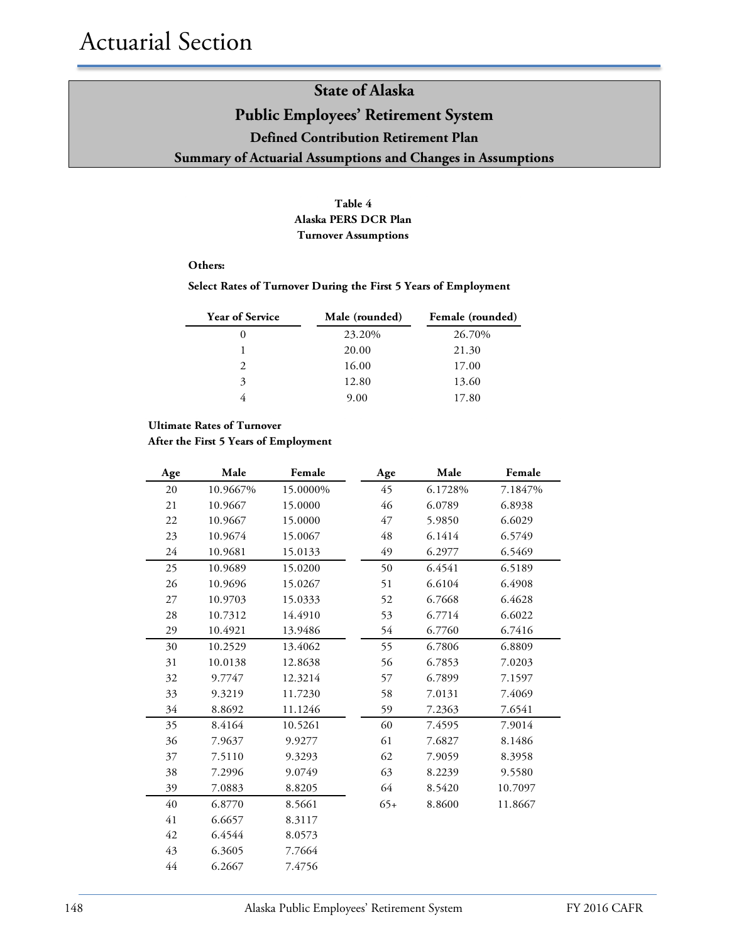### **Table 4 Alaska PERS DCR Plan Turnover Assumptions**

#### **Others:**

#### **Select Rates of Turnover During the First 5 Years of Employment**

| <b>Year of Service</b> | Male (rounded) | Female (rounded) |
|------------------------|----------------|------------------|
|                        | 23.20%         | 26.70%           |
|                        | 20.00          | 21.30            |
| $\mathcal{D}_{\cdot}$  | 16.00          | 17.00            |
| 3                      | 12.80          | 13.60            |
|                        | 9.00           | 17.80            |

#### **Ultimate Rates of Turnover**

**After the First 5 Years of Employment**

| Age | Male     | Female   | Age   | Male    | Female  |
|-----|----------|----------|-------|---------|---------|
| 20  | 10.9667% | 15.0000% | 45    | 6.1728% | 7.1847% |
| 21  | 10.9667  | 15.0000  | 46    | 6.0789  | 6.8938  |
| 22  | 10.9667  | 15.0000  | 47    | 5.9850  | 6.6029  |
| 23  | 10.9674  | 15.0067  | 48    | 6.1414  | 6.5749  |
| 24  | 10.9681  | 15.0133  | 49    | 6.2977  | 6.5469  |
| 25  | 10.9689  | 15.0200  | 50    | 6.4541  | 6.5189  |
| 26  | 10.9696  | 15.0267  | 51    | 6.6104  | 6.4908  |
| 27  | 10.9703  | 15.0333  | 52    | 6.7668  | 6.4628  |
| 28  | 10.7312  | 14.4910  | 53    | 6.7714  | 6.6022  |
| 29  | 10.4921  | 13.9486  | 54    | 6.7760  | 6.7416  |
| 30  | 10.2529  | 13.4062  | 55    | 6.7806  | 6.8809  |
| 31  | 10.0138  | 12.8638  | 56    | 6.7853  | 7.0203  |
| 32  | 9.7747   | 12.3214  | 57    | 6.7899  | 7.1597  |
| 33  | 9.3219   | 11.7230  | 58    | 7.0131  | 7.4069  |
| 34  | 8.8692   | 11.1246  | 59    | 7.2363  | 7.6541  |
| 35  | 8.4164   | 10.5261  | 60    | 7.4595  | 7.9014  |
| 36  | 7.9637   | 9.9277   | 61    | 7.6827  | 8.1486  |
| 37  | 7.5110   | 9.3293   | 62    | 7.9059  | 8.3958  |
| 38  | 7.2996   | 9.0749   | 63    | 8.2239  | 9.5580  |
| 39  | 7.0883   | 8.8205   | 64    | 8.5420  | 10.7097 |
| 40  | 6.8770   | 8.5661   | $65+$ | 8.8600  | 11.8667 |
| 41  | 6.6657   | 8.3117   |       |         |         |
| 42  | 6.4544   | 8.0573   |       |         |         |
| 43  | 6.3605   | 7.7664   |       |         |         |
| 44  | 6.2667   | 7.4756   |       |         |         |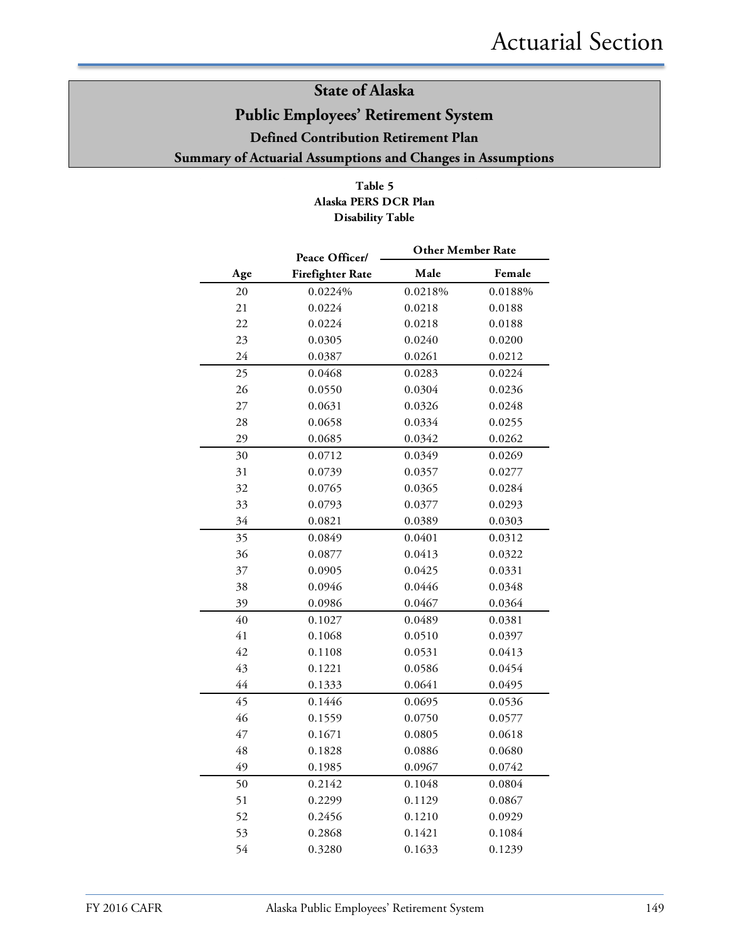### **Table 5 Alaska PERS DCR Plan Disability Table**

|     | Peace Officer/          | <b>Other Member Rate</b> |         |  |  |
|-----|-------------------------|--------------------------|---------|--|--|
| Age | <b>Firefighter Rate</b> | Male                     | Female  |  |  |
| 20  | 0.0224%                 | 0.0218%                  | 0.0188% |  |  |
| 21  | 0.0224                  | 0.0218                   | 0.0188  |  |  |
| 22  | 0.0224                  | 0.0218                   | 0.0188  |  |  |
| 23  | 0.0305                  | 0.0240                   | 0.0200  |  |  |
| 24  | 0.0387                  | 0.0261                   | 0.0212  |  |  |
| 25  | 0.0468                  | 0.0283                   | 0.0224  |  |  |
| 26  | 0.0550                  | 0.0304                   | 0.0236  |  |  |
| 27  | 0.0631                  | 0.0326                   | 0.0248  |  |  |
| 28  | 0.0658                  | 0.0334                   | 0.0255  |  |  |
| 29  | 0.0685                  | 0.0342                   | 0.0262  |  |  |
| 30  | 0.0712                  | 0.0349                   | 0.0269  |  |  |
| 31  | 0.0739                  | 0.0357                   | 0.0277  |  |  |
| 32  | 0.0765                  | 0.0365                   | 0.0284  |  |  |
| 33  | 0.0793                  | 0.0377                   | 0.0293  |  |  |
| 34  | 0.0821                  | 0.0389                   | 0.0303  |  |  |
| 35  | 0.0849                  | 0.0401                   | 0.0312  |  |  |
| 36  | 0.0877                  | 0.0413                   | 0.0322  |  |  |
| 37  | 0.0905                  | 0.0425                   | 0.0331  |  |  |
| 38  | 0.0946                  | 0.0446                   | 0.0348  |  |  |
| 39  | 0.0986                  | 0.0467                   | 0.0364  |  |  |
| 40  | 0.1027                  | 0.0489                   | 0.0381  |  |  |
| 41  | 0.1068                  | 0.0510                   | 0.0397  |  |  |
| 42  | 0.1108                  | 0.0531                   | 0.0413  |  |  |
| 43  | 0.1221                  | 0.0586                   | 0.0454  |  |  |
| 44  | 0.1333                  | 0.0641                   | 0.0495  |  |  |
| 45  | 0.1446                  | 0.0695                   | 0.0536  |  |  |
| 46  | 0.1559                  | 0.0750                   | 0.0577  |  |  |
| 47  | 0.1671                  | 0.0805                   | 0.0618  |  |  |
| 48  | 0.1828                  | 0.0886                   | 0.0680  |  |  |
| 49  | 0.1985                  | 0.0967                   | 0.0742  |  |  |
| 50  | 0.2142                  | 0.1048                   | 0.0804  |  |  |
| 51  | 0.2299                  | 0.1129                   | 0.0867  |  |  |
| 52  | 0.2456                  | 0.1210                   | 0.0929  |  |  |
| 53  | 0.2868                  | 0.1421                   | 0.1084  |  |  |
| 54  | 0.3280                  | 0.1633                   | 0.1239  |  |  |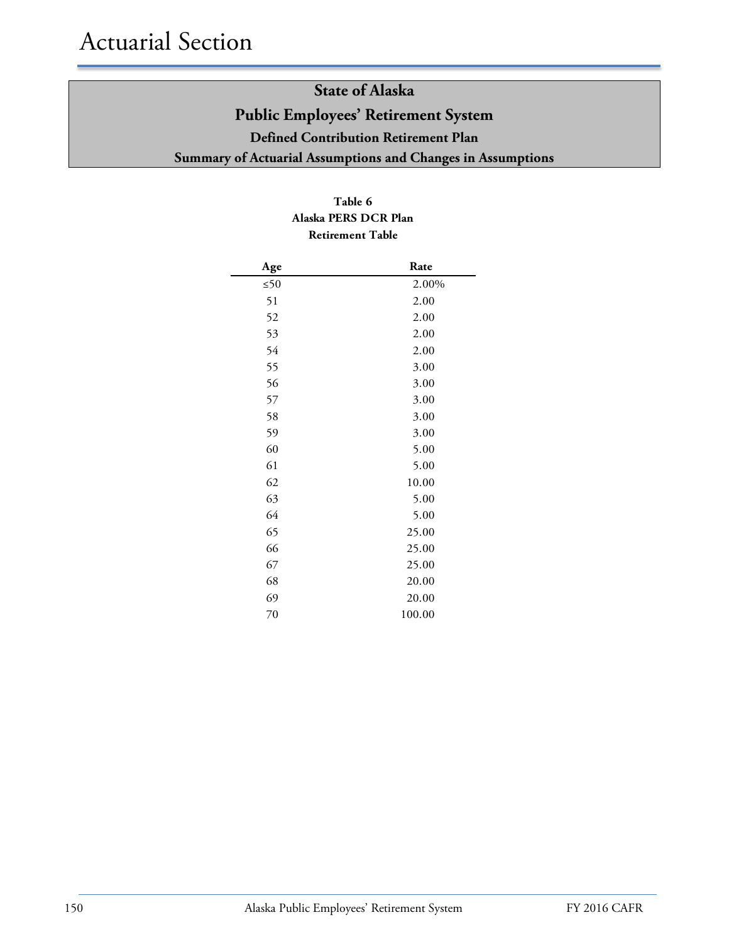### **Table 6 Alaska PERS DCR Plan Retirement Table**

| Age       | Rate   |
|-----------|--------|
| $\leq 50$ | 2.00%  |
| 51        | 2.00   |
| 52        | 2.00   |
| 53        | 2.00   |
| 54        | 2.00   |
| 55        | 3.00   |
| 56        | 3.00   |
| 57        | 3.00   |
| 58        | 3.00   |
| 59        | 3.00   |
| 60        | 5.00   |
| 61        | 5.00   |
| 62        | 10.00  |
| 63        | 5.00   |
| 64        | 5.00   |
| 65        | 25.00  |
| 66        | 25.00  |
| 67        | 25.00  |
| 68        | 20.00  |
| 69        | 20.00  |
| 70        | 100.00 |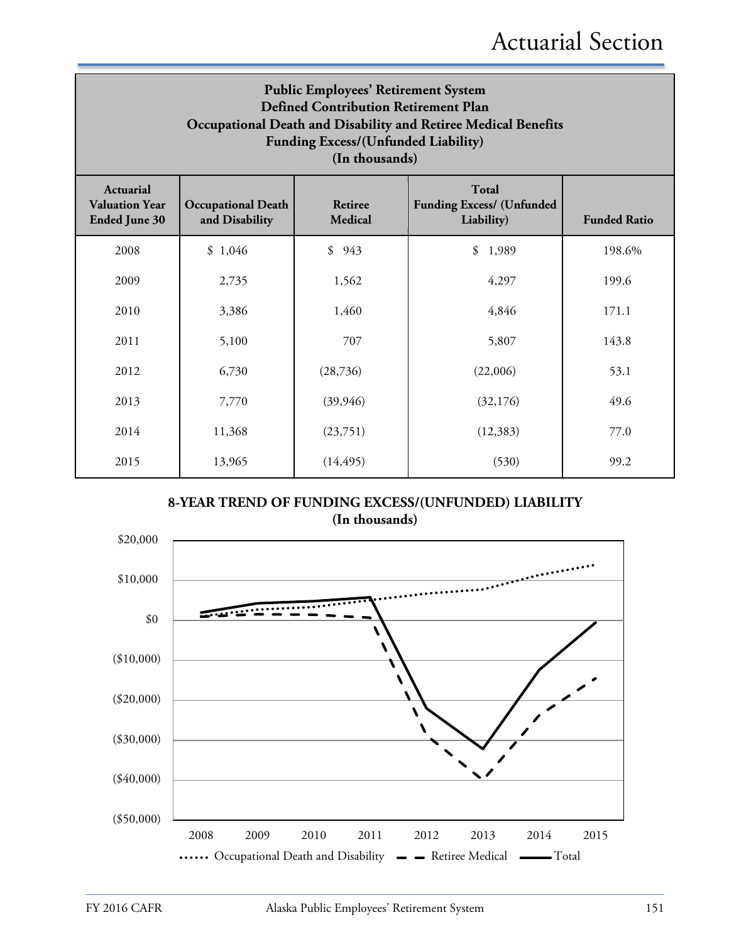| <b>Public Employees' Retirement System</b><br><b>Defined Contribution Retirement Plan</b><br>Occupational Death and Disability and Retiree Medical Benefits<br>Funding Excess/(Unfunded Liability)<br>(In thousands) |                                             |                                  |                                                         |                     |  |  |
|----------------------------------------------------------------------------------------------------------------------------------------------------------------------------------------------------------------------|---------------------------------------------|----------------------------------|---------------------------------------------------------|---------------------|--|--|
| <b>Actuarial</b><br><b>Valuation Year</b><br><b>Ended June 30</b>                                                                                                                                                    | <b>Occupational Death</b><br>and Disability | <b>Retiree</b><br><b>Medical</b> | Total<br><b>Funding Excess/ (Unfunded</b><br>Liability) | <b>Funded Ratio</b> |  |  |
| 2008                                                                                                                                                                                                                 | \$1,046                                     | \$943                            | \$<br>1,989                                             | 198.6%              |  |  |
| 2009                                                                                                                                                                                                                 | 2,735                                       | 1,562                            | 4,297                                                   | 199.6               |  |  |
| 2010                                                                                                                                                                                                                 | 3,386                                       | 1,460                            | 4,846                                                   | 171.1               |  |  |
| 2011                                                                                                                                                                                                                 | 5,100                                       | 707                              | 5,807                                                   | 143.8               |  |  |
| 2012                                                                                                                                                                                                                 | 6,730                                       | (28, 736)                        | (22,006)                                                | 53.1                |  |  |
| 2013                                                                                                                                                                                                                 | 7,770                                       | (39, 946)                        | (32,176)                                                | 49.6                |  |  |
| 2014                                                                                                                                                                                                                 | 11,368                                      | (23,751)                         | (12, 383)                                               | 77.0                |  |  |
| 2015                                                                                                                                                                                                                 | 13,965                                      | (14, 495)                        | (530)                                                   | 99.2                |  |  |

**8-YEAR TREND OF FUNDING EXCESS/(UNFUNDED) LIABILITY (In thousands)**

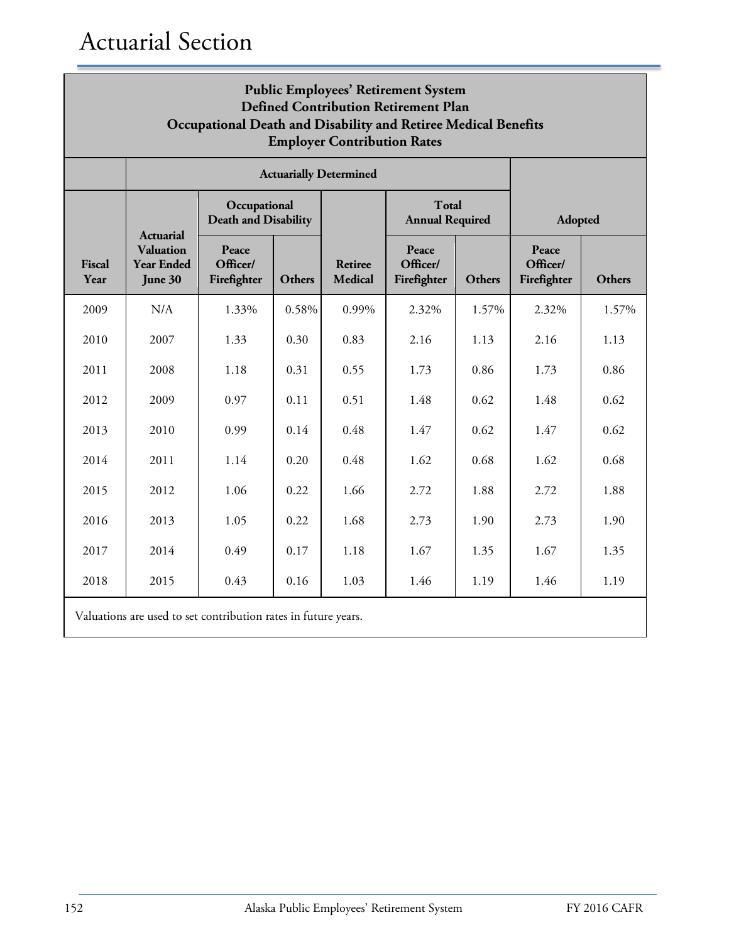| <b>Public Employees' Retirement System</b><br><b>Defined Contribution Retirement Plan</b><br>Occupational Death and Disability and Retiree Medical Benefits<br><b>Employer Contribution Rates</b> |                                                                      |                                                                |        |                                  |                                        |        |                                  |        |
|---------------------------------------------------------------------------------------------------------------------------------------------------------------------------------------------------|----------------------------------------------------------------------|----------------------------------------------------------------|--------|----------------------------------|----------------------------------------|--------|----------------------------------|--------|
|                                                                                                                                                                                                   |                                                                      |                                                                |        | <b>Actuarially Determined</b>    |                                        |        |                                  |        |
|                                                                                                                                                                                                   |                                                                      | Occupational<br><b>Death and Disability</b>                    |        |                                  | <b>Total</b><br><b>Annual Required</b> |        | <b>Adopted</b>                   |        |
| <b>Fiscal</b><br>Year                                                                                                                                                                             | <b>Actuarial</b><br><b>Valuation</b><br><b>Year Ended</b><br>June 30 | Peace<br>Officer/<br>Firefighter                               | Others | <b>Retiree</b><br><b>Medical</b> | Peace<br>Officer/<br>Firefighter       | Others | Peace<br>Officer/<br>Firefighter | Others |
| 2009                                                                                                                                                                                              | N/A                                                                  | 1.33%                                                          | 0.58%  | 0.99%                            | 2.32%                                  | 1.57%  | 2.32%                            | 1.57%  |
| 2010                                                                                                                                                                                              | 2007                                                                 | 1.33                                                           | 0.30   | 0.83                             | 2.16                                   | 1.13   | 2.16                             | 1.13   |
| 2011                                                                                                                                                                                              | 2008                                                                 | 1.18                                                           | 0.31   | 0.55                             | 1.73                                   | 0.86   | 1.73                             | 0.86   |
| 2012                                                                                                                                                                                              | 2009                                                                 | 0.97                                                           | 0.11   | 0.51                             | 1.48                                   | 0.62   | 1.48                             | 0.62   |
| 2013                                                                                                                                                                                              | 2010                                                                 | 0.99                                                           | 0.14   | 0.48                             | 1.47                                   | 0.62   | 1.47                             | 0.62   |
| 2014                                                                                                                                                                                              | 2011                                                                 | 1.14                                                           | 0.20   | 0.48                             | 1.62                                   | 0.68   | 1.62                             | 0.68   |
| 2015                                                                                                                                                                                              | 2012                                                                 | 1.06                                                           | 0.22   | 1.66                             | 2.72                                   | 1.88   | 2.72                             | 1.88   |
| 2016                                                                                                                                                                                              | 2013                                                                 | 1.05                                                           | 0.22   | 1.68                             | 2.73                                   | 1.90   | 2.73                             | 1.90   |
| 2017                                                                                                                                                                                              | 2014                                                                 | 0.49                                                           | 0.17   | 1.18                             | 1.67                                   | 1.35   | 1.67                             | 1.35   |
| 2018                                                                                                                                                                                              | 2015                                                                 | 0.43<br>0.16<br>1.03<br>1.46<br>1.19<br>1.46<br>1.19           |        |                                  |                                        |        |                                  |        |
|                                                                                                                                                                                                   |                                                                      | Valuations are used to set contribution rates in future years. |        |                                  |                                        |        |                                  |        |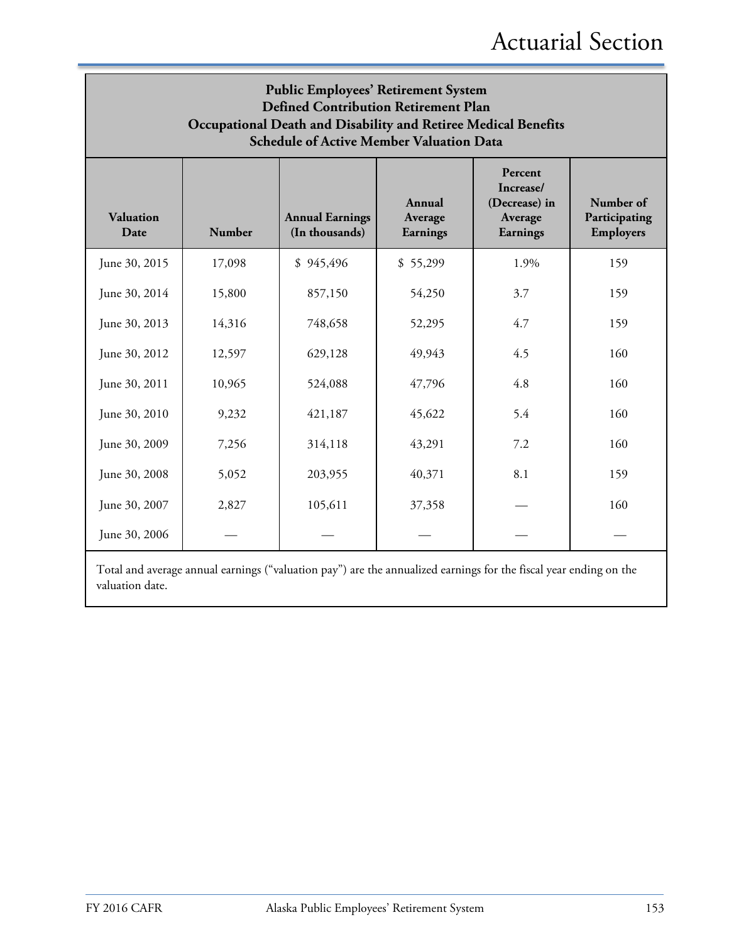| <b>Public Employees' Retirement System</b><br><b>Defined Contribution Retirement Plan</b><br>Occupational Death and Disability and Retiree Medical Benefits<br><b>Schedule of Active Member Valuation Data</b> |        |                                          |                               |                                                              |                                                |  |
|----------------------------------------------------------------------------------------------------------------------------------------------------------------------------------------------------------------|--------|------------------------------------------|-------------------------------|--------------------------------------------------------------|------------------------------------------------|--|
| <b>Valuation</b><br>Date                                                                                                                                                                                       | Number | <b>Annual Earnings</b><br>(In thousands) | Annual<br>Average<br>Earnings | Percent<br>Increase/<br>(Decrease) in<br>Average<br>Earnings | Number of<br>Participating<br><b>Employers</b> |  |
| June 30, 2015                                                                                                                                                                                                  | 17,098 | \$945,496                                | \$55,299                      | 1.9%                                                         | 159                                            |  |
| June 30, 2014                                                                                                                                                                                                  | 15,800 | 857,150                                  | 54,250                        | 3.7                                                          | 159                                            |  |
| June 30, 2013                                                                                                                                                                                                  | 14,316 | 748,658                                  | 52,295                        | 4.7                                                          | 159                                            |  |
| June 30, 2012                                                                                                                                                                                                  | 12,597 | 629,128                                  | 49,943                        | 4.5                                                          | 160                                            |  |
| June 30, 2011                                                                                                                                                                                                  | 10,965 | 524,088                                  | 47,796                        | 4.8                                                          | 160                                            |  |
| June 30, 2010                                                                                                                                                                                                  | 9,232  | 421,187                                  | 45,622                        | 5.4                                                          | 160                                            |  |
| June 30, 2009                                                                                                                                                                                                  | 7,256  | 314,118                                  | 43,291                        | 7.2                                                          | 160                                            |  |
| June 30, 2008                                                                                                                                                                                                  | 5,052  | 203,955                                  | 40,371                        | 8.1                                                          | 159                                            |  |
| June 30, 2007                                                                                                                                                                                                  | 2,827  | 105,611                                  | 37,358                        |                                                              | 160                                            |  |
| June 30, 2006                                                                                                                                                                                                  |        |                                          |                               |                                                              |                                                |  |

Total and average annual earnings ("valuation pay") are the annualized earnings for the fiscal year ending on the valuation date.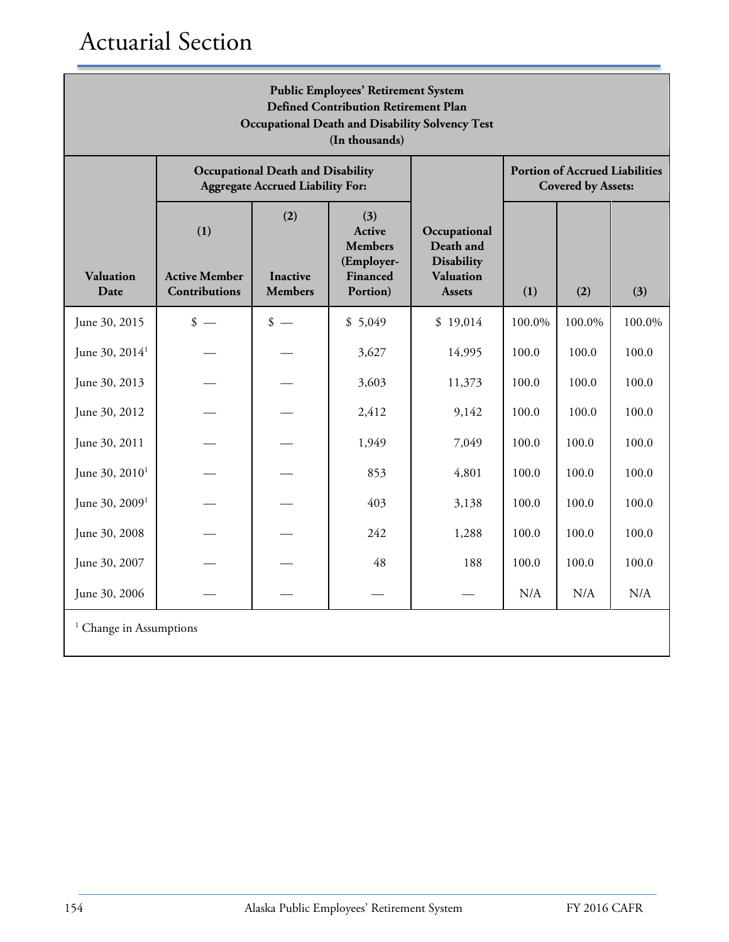| <b>Public Employees' Retirement System</b><br><b>Defined Contribution Retirement Plan</b><br><b>Occupational Death and Disability Solvency Test</b><br>(In thousands) |                                              |                                                                                     |                                    |                                                        |        |                                                                    |        |
|-----------------------------------------------------------------------------------------------------------------------------------------------------------------------|----------------------------------------------|-------------------------------------------------------------------------------------|------------------------------------|--------------------------------------------------------|--------|--------------------------------------------------------------------|--------|
|                                                                                                                                                                       |                                              | <b>Occupational Death and Disability</b><br><b>Aggregate Accrued Liability For:</b> |                                    |                                                        |        | <b>Portion of Accrued Liabilities</b><br><b>Covered by Assets:</b> |        |
|                                                                                                                                                                       | (1)                                          | (2)                                                                                 | (3)<br>Active<br><b>Members</b>    | Occupational<br>Death and                              |        |                                                                    |        |
| <b>Valuation</b><br>Date                                                                                                                                              | <b>Active Member</b><br><b>Contributions</b> | <b>Inactive</b><br><b>Members</b>                                                   | (Employer-<br>Financed<br>Portion) | <b>Disability</b><br><b>Valuation</b><br><b>Assets</b> | (1)    | (2)                                                                | (3)    |
| June 30, 2015                                                                                                                                                         | $\frac{\text{I}}{\text{I}}$                  | $\frac{\text{I}}{\text{I}}$                                                         | \$5,049                            | \$19,014                                               | 100.0% | 100.0%                                                             | 100.0% |
| June 30, 2014 <sup>1</sup>                                                                                                                                            |                                              |                                                                                     | 3,627                              | 14,995                                                 | 100.0  | 100.0                                                              | 100.0  |
| June 30, 2013                                                                                                                                                         |                                              |                                                                                     | 3,603                              | 11,373                                                 | 100.0  | 100.0                                                              | 100.0  |
| June 30, 2012                                                                                                                                                         |                                              |                                                                                     | 2,412                              | 9,142                                                  | 100.0  | 100.0                                                              | 100.0  |
| June 30, 2011                                                                                                                                                         |                                              |                                                                                     | 1,949                              | 7,049                                                  | 100.0  | 100.0                                                              | 100.0  |
| June 30, 2010 <sup>1</sup>                                                                                                                                            |                                              |                                                                                     | 853                                | 4,801                                                  | 100.0  | 100.0                                                              | 100.0  |
| June 30, 2009 <sup>1</sup>                                                                                                                                            |                                              |                                                                                     | 403                                | 3,138                                                  | 100.0  | 100.0                                                              | 100.0  |
| June 30, 2008                                                                                                                                                         |                                              |                                                                                     | 242                                | 1,288                                                  | 100.0  | 100.0                                                              | 100.0  |
| June 30, 2007                                                                                                                                                         |                                              |                                                                                     | 48                                 | 188                                                    | 100.0  | 100.0                                                              | 100.0  |
| June 30, 2006                                                                                                                                                         |                                              |                                                                                     |                                    |                                                        | N/A    | N/A                                                                | N/A    |
| <sup>1</sup> Change in Assumptions                                                                                                                                    |                                              |                                                                                     |                                    |                                                        |        |                                                                    |        |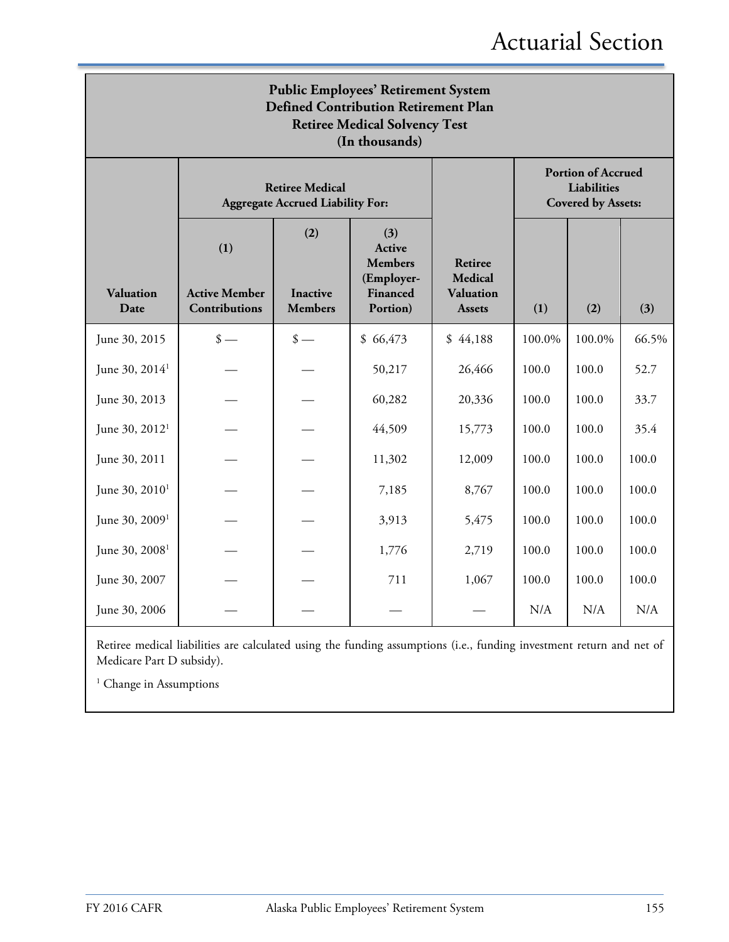| <b>Public Employees' Retirement System</b><br><b>Defined Contribution Retirement Plan</b><br><b>Retiree Medical Solvency Test</b><br>(In thousands) |                                                     |                                                                   |                                                                       |                                                                |        |                                                                       |       |
|-----------------------------------------------------------------------------------------------------------------------------------------------------|-----------------------------------------------------|-------------------------------------------------------------------|-----------------------------------------------------------------------|----------------------------------------------------------------|--------|-----------------------------------------------------------------------|-------|
|                                                                                                                                                     |                                                     | <b>Retiree Medical</b><br><b>Aggregate Accrued Liability For:</b> |                                                                       |                                                                |        | <b>Portion of Accrued</b><br>Liabilities<br><b>Covered by Assets:</b> |       |
| <b>Valuation</b><br>Date                                                                                                                            | (1)<br><b>Active Member</b><br><b>Contributions</b> | (2)<br><b>Inactive</b><br><b>Members</b>                          | (3)<br>Active<br><b>Members</b><br>(Employer-<br>Financed<br>Portion) | Retiree<br><b>Medical</b><br><b>Valuation</b><br><b>Assets</b> | (1)    | (2)                                                                   | (3)   |
| June 30, 2015                                                                                                                                       | $\frac{\text{I}}{\text{I}}$                         | $\frac{\text{I}}{\text{I}}$                                       | \$66,473                                                              | \$44,188                                                       | 100.0% | 100.0%                                                                | 66.5% |
| June 30, 2014 <sup>1</sup>                                                                                                                          |                                                     |                                                                   | 50,217                                                                | 26,466                                                         | 100.0  | 100.0                                                                 | 52.7  |
| June 30, 2013                                                                                                                                       |                                                     |                                                                   | 60,282                                                                | 20,336                                                         | 100.0  | 100.0                                                                 | 33.7  |
| June 30, 2012 <sup>1</sup>                                                                                                                          |                                                     |                                                                   | 44,509                                                                | 15,773                                                         | 100.0  | 100.0                                                                 | 35.4  |
| June 30, 2011                                                                                                                                       |                                                     |                                                                   | 11,302                                                                | 12,009                                                         | 100.0  | 100.0                                                                 | 100.0 |
| June 30, 2010 <sup>1</sup>                                                                                                                          |                                                     |                                                                   | 7,185                                                                 | 8,767                                                          | 100.0  | 100.0                                                                 | 100.0 |
| June 30, 2009 <sup>1</sup>                                                                                                                          |                                                     |                                                                   | 3,913                                                                 | 5,475                                                          | 100.0  | 100.0                                                                 | 100.0 |
| June 30, 2008 <sup>1</sup>                                                                                                                          |                                                     |                                                                   | 1,776                                                                 | 2,719                                                          | 100.0  | 100.0                                                                 | 100.0 |
| June 30, 2007                                                                                                                                       |                                                     |                                                                   | 711                                                                   | 1,067                                                          | 100.0  | 100.0                                                                 | 100.0 |
| June 30, 2006                                                                                                                                       |                                                     |                                                                   |                                                                       |                                                                | N/A    | N/A                                                                   | N/A   |

Retiree medical liabilities are calculated using the funding assumptions (i.e., funding investment return and net of Medicare Part D subsidy).

<sup>1</sup> Change in Assumptions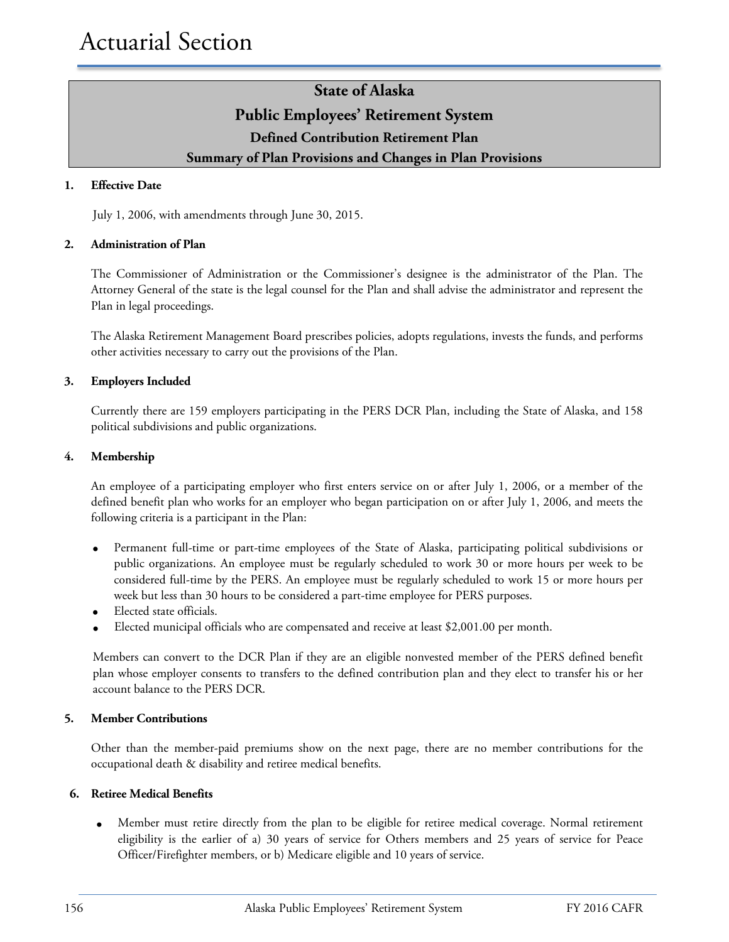### **State of Alaska Public Employees' Retirement System Defined Contribution Retirement Plan Summary of Plan Provisions and Changes in Plan Provisions**

### **1. Effective Date**

July 1, 2006, with amendments through June 30, 2015.

#### **2. Administration of Plan**

The Commissioner of Administration or the Commissioner's designee is the administrator of the Plan. The Attorney General of the state is the legal counsel for the Plan and shall advise the administrator and represent the Plan in legal proceedings.

The Alaska Retirement Management Board prescribes policies, adopts regulations, invests the funds, and performs other activities necessary to carry out the provisions of the Plan.

#### **3. Employers Included**

Currently there are 159 employers participating in the PERS DCR Plan, including the State of Alaska, and 158 political subdivisions and public organizations.

#### **4. Membership**

An employee of a participating employer who first enters service on or after July 1, 2006, or a member of the defined benefit plan who works for an employer who began participation on or after July 1, 2006, and meets the following criteria is a participant in the Plan:

- Permanent full-time or part-time employees of the State of Alaska, participating political subdivisions or public organizations. An employee must be regularly scheduled to work 30 or more hours per week to be considered full-time by the PERS. An employee must be regularly scheduled to work 15 or more hours per week but less than 30 hours to be considered a part-time employee for PERS purposes.
- Elected state officials.
- Elected municipal officials who are compensated and receive at least \$2,001.00 per month.

Members can convert to the DCR Plan if they are an eligible nonvested member of the PERS defined benefit plan whose employer consents to transfers to the defined contribution plan and they elect to transfer his or her account balance to the PERS DCR.

#### **5. Member Contributions**

Other than the member-paid premiums show on the next page, there are no member contributions for the occupational death & disability and retiree medical benefits.

#### **6. Retiree Medical Benefits**

• Member must retire directly from the plan to be eligible for retiree medical coverage. Normal retirement eligibility is the earlier of a) 30 years of service for Others members and 25 years of service for Peace Officer/Firefighter members, or b) Medicare eligible and 10 years of service.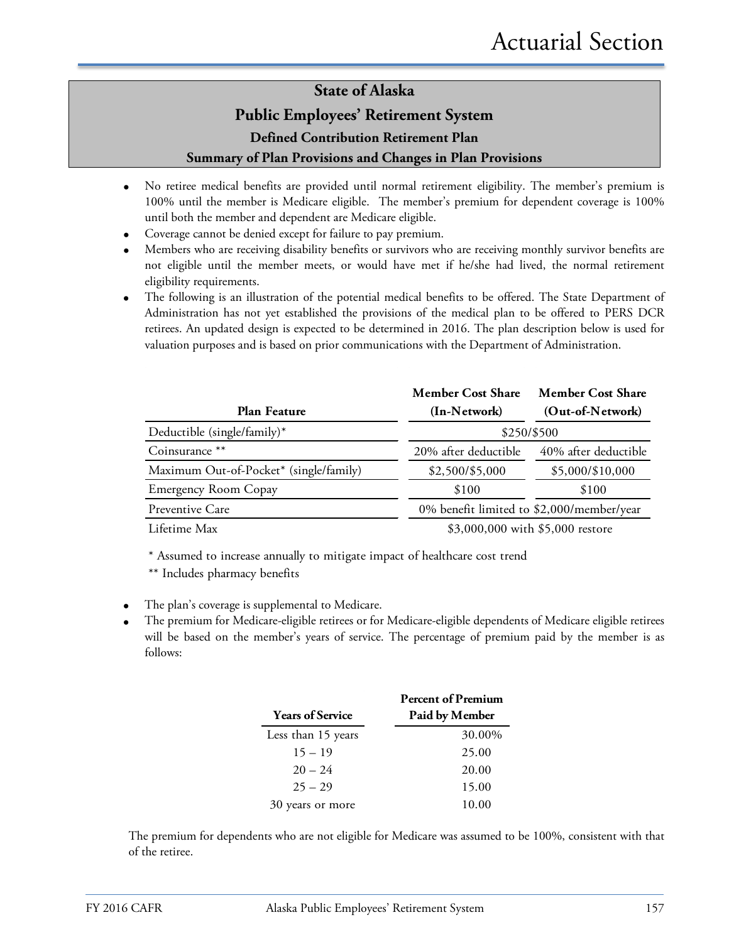### **State of Alaska**

### **Public Employees' Retirement System**

**Defined Contribution Retirement Plan**

### **Summary of Plan Provisions and Changes in Plan Provisions**

- No retiree medical benefits are provided until normal retirement eligibility. The member's premium is 100% until the member is Medicare eligible. The member's premium for dependent coverage is 100% until both the member and dependent are Medicare eligible.
- Coverage cannot be denied except for failure to pay premium.
- Members who are receiving disability benefits or survivors who are receiving monthly survivor benefits are not eligible until the member meets, or would have met if he/she had lived, the normal retirement eligibility requirements.
- The following is an illustration of the potential medical benefits to be offered. The State Department of Administration has not yet established the provisions of the medical plan to be offered to PERS DCR retirees. An updated design is expected to be determined in 2016. The plan description below is used for valuation purposes and is based on prior communications with the Department of Administration.

| Plan Feature                           | <b>Member Cost Share</b><br>(In-Network)  | <b>Member Cost Share</b><br>(Out-of-Network) |  |  |  |
|----------------------------------------|-------------------------------------------|----------------------------------------------|--|--|--|
| Deductible (single/family)*            | \$250/\$500                               |                                              |  |  |  |
| Coinsurance **                         | 20% after deductible                      | 40% after deductible                         |  |  |  |
| Maximum Out-of-Pocket* (single/family) | \$2,500/\$5,000                           | \$5,000/\$10,000                             |  |  |  |
| <b>Emergency Room Copay</b>            | \$100                                     | \$100                                        |  |  |  |
| Preventive Care                        | 0% benefit limited to \$2,000/member/year |                                              |  |  |  |
| Lifetime Max                           | \$3,000,000 with \$5,000 restore          |                                              |  |  |  |

\* Assumed to increase annually to mitigate impact of healthcare cost trend

\*\* Includes pharmacy benefits

- The plan's coverage is supplemental to Medicare.
- The premium for Medicare-eligible retirees or for Medicare-eligible dependents of Medicare eligible retirees will be based on the member's years of service. The percentage of premium paid by the member is as follows:

|                         | <b>Percent of Premium</b> |
|-------------------------|---------------------------|
| <b>Years of Service</b> | Paid by Member            |
| Less than 15 years      | 30.00%                    |
| $15 - 19$               | 25.00                     |
| $20 - 24$               | 20.00                     |
| $25 - 29$               | 15.00                     |
| 30 years or more        | 10.00                     |

The premium for dependents who are not eligible for Medicare was assumed to be 100%, consistent with that of the retiree.